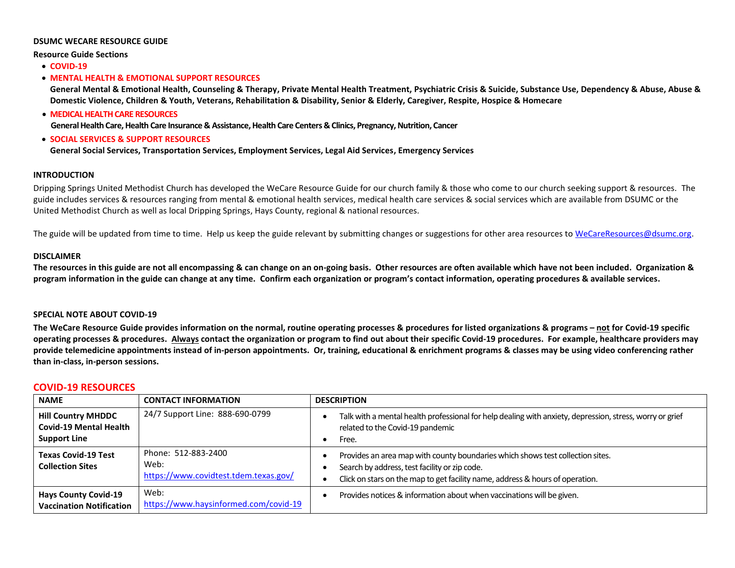#### **DSUMC WECARE RESOURCE GUIDE**

**Resource Guide Sections**

• **COVID-19**

#### • **MENTAL HEALTH & EMOTIONAL SUPPORT RESOURCES**

**General Mental & Emotional Health, Counseling & Therapy, Private Mental Health Treatment, Psychiatric Crisis & Suicide, Substance Use, Dependency & Abuse, Abuse & Domestic Violence, Children & Youth, Veterans, Rehabilitation & Disability, Senior & Elderly, Caregiver, Respite, Hospice & Homecare**

• **MEDICAL HEALTH CARE RESOURCES**

**General Health Care, Health Care Insurance & Assistance, Health Care Centers & Clinics, Pregnancy, Nutrition, Cancer**

#### • **SOCIAL SERVICES & SUPPORT RESOURCES**

**General Social Services, Transportation Services, Employment Services, Legal Aid Services, Emergency Services**

#### **INTRODUCTION**

Dripping Springs United Methodist Church has developed the WeCare Resource Guide for our church family & those who come to our church seeking support & resources. The guide includes services & resources ranging from mental & emotional health services, medical health care services & social services which are available from DSUMC or the United Methodist Church as well as local Dripping Springs, Hays County, regional & national resources.

The guide will be updated from time to time. Help us keep the guide relevant by submitting changes or suggestions for other area resources t[o WeCareResources@dsumc.org.](mailto:WeCareResources@dsumc.org)

#### **DISCLAIMER**

**The resources in this guide are not all encompassing & can change on an on-going basis. Other resources are often available which have not been included. Organization & program information in the guide can change at any time. Confirm each organization or program's contact information, operating procedures & available services.** 

#### **SPECIAL NOTE ABOUT COVID-19**

**The WeCare Resource Guide provides information on the normal, routine operating processes & procedures for listed organizations & programs – not for Covid-19 specific operating processes & procedures. Always contact the organization or program to find out about their specific Covid-19 procedures. For example, healthcare providers may provide telemedicine appointments instead of in-person appointments. Or, training, educational & enrichment programs & classes may be using video conferencing rather than in-class, in-person sessions.**

#### **COVID-19 RESOURCES**

| <b>NAME</b>                                                                       | <b>CONTACT INFORMATION</b>                                           | <b>DESCRIPTION</b>                                                                                                                                                                                               |
|-----------------------------------------------------------------------------------|----------------------------------------------------------------------|------------------------------------------------------------------------------------------------------------------------------------------------------------------------------------------------------------------|
| <b>Hill Country MHDDC</b><br><b>Covid-19 Mental Health</b><br><b>Support Line</b> | 24/7 Support Line: 888-690-0799                                      | Talk with a mental health professional for help dealing with anxiety, depression, stress, worry or grief<br>related to the Covid-19 pandemic<br>Free.                                                            |
| <b>Texas Covid-19 Test</b><br><b>Collection Sites</b>                             | Phone: 512-883-2400<br>Web:<br>https://www.covidtest.tdem.texas.gov/ | Provides an area map with county boundaries which shows test collection sites.<br>Search by address, test facility or zip code.<br>Click on stars on the map to get facility name, address & hours of operation. |
| <b>Hays County Covid-19</b><br><b>Vaccination Notification</b>                    | Web:<br>https://www.haysinformed.com/covid-19                        | Provides notices & information about when vaccinations will be given.                                                                                                                                            |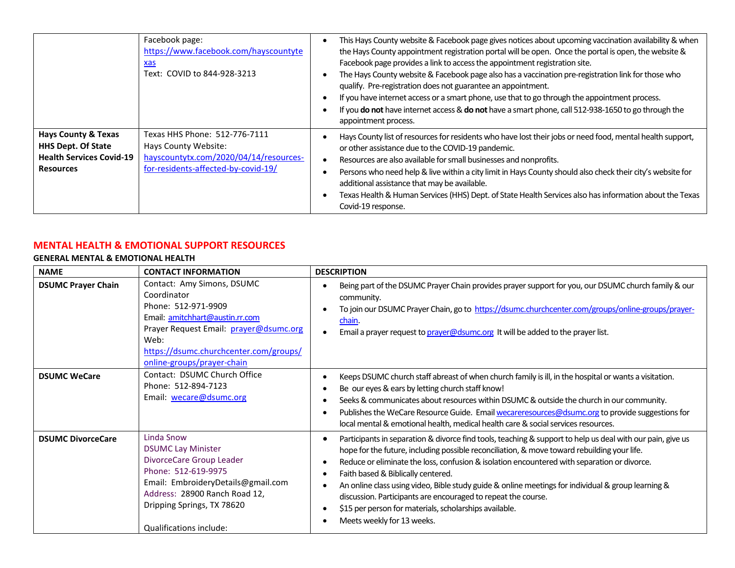|                                                                                                                    | Facebook page:<br>https://www.facebook.com/hayscountyte<br><u>xas</u><br>Text: COVID to 844-928-3213                                   | This Hays County website & Facebook page gives notices about upcoming vaccination availability & when<br>the Hays County appointment registration portal will be open. Once the portal is open, the website &<br>Facebook page provides a link to access the appointment registration site.<br>The Hays County website & Facebook page also has a vaccination pre-registration link for those who<br>qualify. Pre-registration does not guarantee an appointment.<br>If you have internet access or a smart phone, use that to go through the appointment process.<br>If you do not have internet access & do not have a smart phone, call 512-938-1650 to go through the<br>appointment process. |
|--------------------------------------------------------------------------------------------------------------------|----------------------------------------------------------------------------------------------------------------------------------------|---------------------------------------------------------------------------------------------------------------------------------------------------------------------------------------------------------------------------------------------------------------------------------------------------------------------------------------------------------------------------------------------------------------------------------------------------------------------------------------------------------------------------------------------------------------------------------------------------------------------------------------------------------------------------------------------------|
| <b>Hays County &amp; Texas</b><br><b>HHS Dept. Of State</b><br><b>Health Services Covid-19</b><br><b>Resources</b> | Texas HHS Phone: 512-776-7111<br>Hays County Website:<br>hayscountytx.com/2020/04/14/resources-<br>for-residents-affected-by-covid-19/ | Hays County list of resources for residents who have lost their jobs or need food, mental health support,<br>or other assistance due to the COVID-19 pandemic.<br>Resources are also available for small businesses and nonprofits.<br>Persons who need help & live within a city limit in Hays County should also check their city's website for<br>additional assistance that may be available.<br>Texas Health & Human Services (HHS) Dept. of State Health Services also has information about the Texas<br>Covid-19 response.                                                                                                                                                                |

# **MENTAL HEALTH & EMOTIONAL SUPPORT RESOURCES**

# **GENERAL MENTAL & EMOTIONAL HEALTH**

| <b>NAME</b>               | <b>CONTACT INFORMATION</b>                                                                                                                                                                                                    | <b>DESCRIPTION</b>                                                                                                                                                                                                                                                                                                                                                                                                                                                                                                                                                                                                                                                |
|---------------------------|-------------------------------------------------------------------------------------------------------------------------------------------------------------------------------------------------------------------------------|-------------------------------------------------------------------------------------------------------------------------------------------------------------------------------------------------------------------------------------------------------------------------------------------------------------------------------------------------------------------------------------------------------------------------------------------------------------------------------------------------------------------------------------------------------------------------------------------------------------------------------------------------------------------|
| <b>DSUMC Prayer Chain</b> | Contact: Amy Simons, DSUMC<br>Coordinator<br>Phone: 512-971-9909<br>Email: amitchhart@austin.rr.com<br>Prayer Request Email: prayer@dsumc.org<br>Web:<br>https://dsumc.churchcenter.com/groups/<br>online-groups/prayer-chain | Being part of the DSUMC Prayer Chain provides prayer support for you, our DSUMC church family & our<br>community.<br>To join our DSUMC Prayer Chain, go to https://dsumc.churchcenter.com/groups/online-groups/prayer-<br>chain.<br>Email a prayer request to <i>prayer@dsumc.org</i> It will be added to the prayer list.<br>$\bullet$                                                                                                                                                                                                                                                                                                                           |
| <b>DSUMC WeCare</b>       | Contact: DSUMC Church Office<br>Phone: 512-894-7123<br>Email: wecare@dsumc.org                                                                                                                                                | Keeps DSUMC church staff abreast of when church family is ill, in the hospital or wants a visitation.<br>Be our eyes & ears by letting church staff know!<br>Seeks & communicates about resources within DSUMC & outside the church in our community.<br>Publishes the WeCare Resource Guide. Email wecareresources@dsumc.org to provide suggestions for<br>$\bullet$<br>local mental & emotional health, medical health care & social services resources.                                                                                                                                                                                                        |
| <b>DSUMC DivorceCare</b>  | Linda Snow<br><b>DSUMC Lay Minister</b><br>DivorceCare Group Leader<br>Phone: 512-619-9975<br>Email: EmbroideryDetails@gmail.com<br>Address: 28900 Ranch Road 12,<br>Dripping Springs, TX 78620<br>Qualifications include:    | Participants in separation & divorce find tools, teaching & support to help us deal with our pain, give us<br>$\bullet$<br>hope for the future, including possible reconciliation, & move toward rebuilding your life.<br>Reduce or eliminate the loss, confusion & isolation encountered with separation or divorce.<br>$\bullet$<br>Faith based & Biblically centered.<br>$\bullet$<br>An online class using video, Bible study guide & online meetings for individual & group learning &<br>discussion. Participants are encouraged to repeat the course.<br>\$15 per person for materials, scholarships available.<br>$\bullet$<br>Meets weekly for 13 weeks. |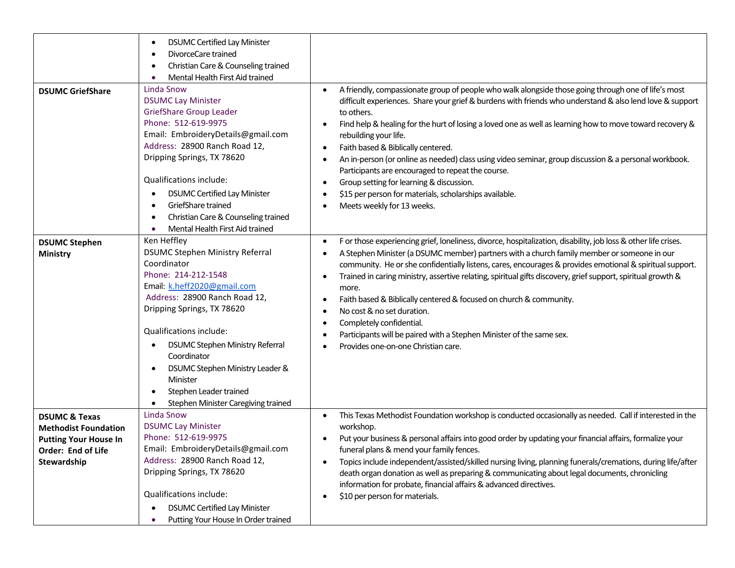|                                                                                                                              | <b>DSUMC Certified Lay Minister</b><br>$\bullet$<br>DivorceCare trained<br>$\bullet$<br>Christian Care & Counseling trained<br>٠<br>Mental Health First Aid trained                                                                                                                                                                                                                                                                       |                                                                                                                                                                                                                                                                                                                                                                                                                                                                                                                                                                                                                                                                                                                                                                                                  |
|------------------------------------------------------------------------------------------------------------------------------|-------------------------------------------------------------------------------------------------------------------------------------------------------------------------------------------------------------------------------------------------------------------------------------------------------------------------------------------------------------------------------------------------------------------------------------------|--------------------------------------------------------------------------------------------------------------------------------------------------------------------------------------------------------------------------------------------------------------------------------------------------------------------------------------------------------------------------------------------------------------------------------------------------------------------------------------------------------------------------------------------------------------------------------------------------------------------------------------------------------------------------------------------------------------------------------------------------------------------------------------------------|
| <b>DSUMC GriefShare</b>                                                                                                      | <b>Linda Snow</b><br><b>DSUMC Lay Minister</b><br><b>GriefShare Group Leader</b><br>Phone: 512-619-9975<br>Email: EmbroideryDetails@gmail.com<br>Address: 28900 Ranch Road 12,<br>Dripping Springs, TX 78620<br><b>Qualifications include:</b><br><b>DSUMC Certified Lay Minister</b><br>٠<br>GriefShare trained<br>$\bullet$<br>Christian Care & Counseling trained<br>$\bullet$<br>Mental Health First Aid trained                      | A friendly, compassionate group of people who walk alongside those going through one of life's most<br>$\bullet$<br>difficult experiences. Share your grief & burdens with friends who understand & also lend love & support<br>to others.<br>Find help & healing for the hurt of losing a loved one as well as learning how to move toward recovery &<br>$\bullet$<br>rebuilding your life.<br>Faith based & Biblically centered.<br>$\bullet$<br>An in-person (or online as needed) class using video seminar, group discussion & a personal workbook.<br>$\bullet$<br>Participants are encouraged to repeat the course.<br>Group setting for learning & discussion.<br>$\bullet$<br>\$15 per person for materials, scholarships available.<br>$\bullet$<br>Meets weekly for 13 weeks.<br>٠    |
| <b>DSUMC Stephen</b><br><b>Ministry</b>                                                                                      | Ken Heffley<br><b>DSUMC Stephen Ministry Referral</b><br>Coordinator<br>Phone: 214-212-1548<br>Email: k.heff2020@gmail.com<br>Address: 28900 Ranch Road 12,<br>Dripping Springs, TX 78620<br>Qualifications include:<br><b>DSUMC Stephen Ministry Referral</b><br>٠<br>Coordinator<br>DSUMC Stephen Ministry Leader &<br>$\bullet$<br>Minister<br>Stephen Leader trained<br>$\bullet$<br>Stephen Minister Caregiving trained<br>$\bullet$ | F or those experiencing grief, loneliness, divorce, hospitalization, disability, job loss & other life crises.<br>$\bullet$<br>A Stephen Minister (a DSUMC member) partners with a church family member or someone in our<br>$\bullet$<br>community. He or she confidentially listens, cares, encourages & provides emotional & spiritual support.<br>Trained in caring ministry, assertive relating, spiritual gifts discovery, grief support, spiritual growth &<br>$\bullet$<br>more.<br>Faith based & Biblically centered & focused on church & community.<br>$\bullet$<br>No cost & no set duration.<br>$\bullet$<br>Completely confidential.<br>٠<br>Participants will be paired with a Stephen Minister of the same sex.<br>$\bullet$<br>Provides one-on-one Christian care.<br>$\bullet$ |
| <b>DSUMC &amp; Texas</b><br><b>Methodist Foundation</b><br><b>Putting Your House In</b><br>Order: End of Life<br>Stewardship | Linda Snow<br><b>DSUMC Lay Minister</b><br>Phone: 512-619-9975<br>Email: EmbroideryDetails@gmail.com<br>Address: 28900 Ranch Road 12,<br>Dripping Springs, TX 78620<br>Qualifications include:<br><b>DSUMC Certified Lay Minister</b><br>$\bullet$<br>Putting Your House In Order trained<br>٠                                                                                                                                            | This Texas Methodist Foundation workshop is conducted occasionally as needed. Call if interested in the<br>$\bullet$<br>workshop.<br>Put your business & personal affairs into good order by updating your financial affairs, formalize your<br>$\bullet$<br>funeral plans & mend your family fences.<br>Topics include independent/assisted/skilled nursing living, planning funerals/cremations, during life/after<br>$\bullet$<br>death organ donation as well as preparing & communicating about legal documents, chronicling<br>information for probate, financial affairs & advanced directives.<br>\$10 per person for materials.<br>$\bullet$                                                                                                                                            |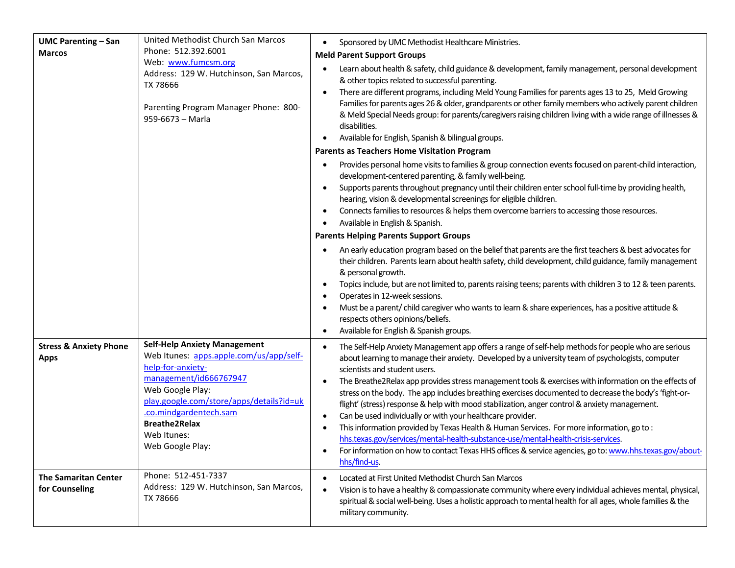| <b>UMC Parenting - San</b>                       | United Methodist Church San Marcos                                                                                                                                                                                                                                                 | Sponsored by UMC Methodist Healthcare Ministries.<br>$\bullet$                                                                                                                                                                                                                                                                                                                                                                                                                                                                                                                                                                                                                                                                                                                                                                                                                                                                                                                |
|--------------------------------------------------|------------------------------------------------------------------------------------------------------------------------------------------------------------------------------------------------------------------------------------------------------------------------------------|-------------------------------------------------------------------------------------------------------------------------------------------------------------------------------------------------------------------------------------------------------------------------------------------------------------------------------------------------------------------------------------------------------------------------------------------------------------------------------------------------------------------------------------------------------------------------------------------------------------------------------------------------------------------------------------------------------------------------------------------------------------------------------------------------------------------------------------------------------------------------------------------------------------------------------------------------------------------------------|
| <b>Marcos</b>                                    | Phone: 512.392.6001                                                                                                                                                                                                                                                                | <b>Meld Parent Support Groups</b>                                                                                                                                                                                                                                                                                                                                                                                                                                                                                                                                                                                                                                                                                                                                                                                                                                                                                                                                             |
|                                                  | Web: www.fumcsm.org<br>Address: 129 W. Hutchinson, San Marcos,<br>TX 78666<br>Parenting Program Manager Phone: 800-<br>959-6673 - Marla                                                                                                                                            | Learn about health & safety, child guidance & development, family management, personal development<br>٠<br>& other topics related to successful parenting.<br>There are different programs, including Meld Young Families for parents ages 13 to 25, Meld Growing<br>$\bullet$<br>Families for parents ages 26 & older, grandparents or other family members who actively parent children<br>& Meld Special Needs group: for parents/caregivers raising children living with a wide range of illnesses &<br>disabilities.<br>Available for English, Spanish & bilingual groups.<br>$\bullet$                                                                                                                                                                                                                                                                                                                                                                                  |
|                                                  |                                                                                                                                                                                                                                                                                    | <b>Parents as Teachers Home Visitation Program</b>                                                                                                                                                                                                                                                                                                                                                                                                                                                                                                                                                                                                                                                                                                                                                                                                                                                                                                                            |
|                                                  |                                                                                                                                                                                                                                                                                    | Provides personal home visits to families & group connection events focused on parent-child interaction,<br>$\bullet$<br>development-centered parenting, & family well-being.<br>Supports parents throughout pregnancy until their children enter school full-time by providing health,<br>$\bullet$<br>hearing, vision & developmental screenings for eligible children.<br>Connects families to resources & helps them overcome barriers to accessing those resources.<br>$\bullet$<br>Available in English & Spanish.                                                                                                                                                                                                                                                                                                                                                                                                                                                      |
|                                                  |                                                                                                                                                                                                                                                                                    | <b>Parents Helping Parents Support Groups</b>                                                                                                                                                                                                                                                                                                                                                                                                                                                                                                                                                                                                                                                                                                                                                                                                                                                                                                                                 |
|                                                  |                                                                                                                                                                                                                                                                                    | An early education program based on the belief that parents are the first teachers & best advocates for<br>their children. Parents learn about health safety, child development, child guidance, family management<br>& personal growth.<br>Topics include, but are not limited to, parents raising teens; parents with children 3 to 12 & teen parents.<br>$\bullet$<br>Operates in 12-week sessions.<br>$\bullet$<br>Must be a parent/child caregiver who wants to learn & share experiences, has a positive attitude &<br>$\bullet$<br>respects others opinions/beliefs.<br>Available for English & Spanish groups.<br>$\bullet$                                                                                                                                                                                                                                                                                                                                           |
| <b>Stress &amp; Anxiety Phone</b><br><b>Apps</b> | <b>Self-Help Anxiety Management</b><br>Web Itunes: apps.apple.com/us/app/self-<br>help-for-anxiety-<br>management/id666767947<br>Web Google Play:<br>play.google.com/store/apps/details?id=uk<br>.co.mindgardentech.sam<br><b>Breathe2Relax</b><br>Web Itunes:<br>Web Google Play: | The Self-Help Anxiety Management app offers a range of self-help methods for people who are serious<br>$\bullet$<br>about learning to manage their anxiety. Developed by a university team of psychologists, computer<br>scientists and student users.<br>The Breathe2Relax app provides stress management tools & exercises with information on the effects of<br>$\bullet$<br>stress on the body. The app includes breathing exercises documented to decrease the body's 'fight-or-<br>flight' (stress) response & help with mood stabilization, anger control & anxiety management.<br>Can be used individually or with your healthcare provider.<br>$\bullet$<br>This information provided by Texas Health & Human Services. For more information, go to:<br>hhs.texas.gov/services/mental-health-substance-use/mental-health-crisis-services.<br>For information on how to contact Texas HHS offices & service agencies, go to: www.hhs.texas.gov/about-<br>hhs/find-us. |
| <b>The Samaritan Center</b><br>for Counseling    | Phone: 512-451-7337<br>Address: 129 W. Hutchinson, San Marcos,<br>TX 78666                                                                                                                                                                                                         | Located at First United Methodist Church San Marcos<br>$\bullet$<br>Vision is to have a healthy & compassionate community where every individual achieves mental, physical,<br>$\bullet$<br>spiritual & social well-being. Uses a holistic approach to mental health for all ages, whole families & the<br>military community.                                                                                                                                                                                                                                                                                                                                                                                                                                                                                                                                                                                                                                                |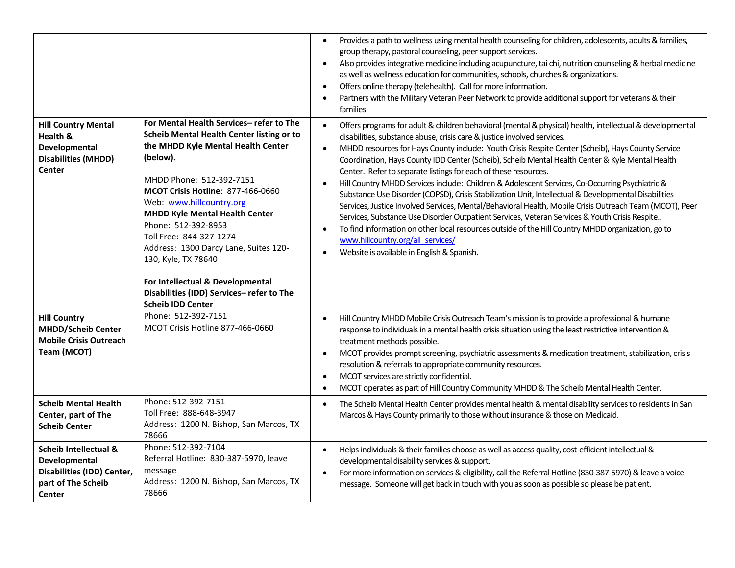|                                                                                                                 |                                                                                                                                                                                                                                                                                                                                                                                                                                                                                       | Provides a path to wellness using mental health counseling for children, adolescents, adults & families,<br>group therapy, pastoral counseling, peer support services.<br>Also provides integrative medicine including acupuncture, tai chi, nutrition counseling & herbal medicine<br>$\bullet$<br>as well as wellness education for communities, schools, churches & organizations.<br>Offers online therapy (telehealth). Call for more information.<br>$\bullet$<br>Partners with the Military Veteran Peer Network to provide additional support for veterans & their<br>families.                                                                                                                                                                                                                                                                                                                                                                                                                                                                                                                                          |
|-----------------------------------------------------------------------------------------------------------------|---------------------------------------------------------------------------------------------------------------------------------------------------------------------------------------------------------------------------------------------------------------------------------------------------------------------------------------------------------------------------------------------------------------------------------------------------------------------------------------|----------------------------------------------------------------------------------------------------------------------------------------------------------------------------------------------------------------------------------------------------------------------------------------------------------------------------------------------------------------------------------------------------------------------------------------------------------------------------------------------------------------------------------------------------------------------------------------------------------------------------------------------------------------------------------------------------------------------------------------------------------------------------------------------------------------------------------------------------------------------------------------------------------------------------------------------------------------------------------------------------------------------------------------------------------------------------------------------------------------------------------|
| <b>Hill Country Mental</b><br>Health &<br>Developmental<br><b>Disabilities (MHDD)</b><br>Center                 | For Mental Health Services-refer to The<br>Scheib Mental Health Center listing or to<br>the MHDD Kyle Mental Health Center<br>(below).<br>MHDD Phone: 512-392-7151<br><b>MCOT Crisis Hotline: 877-466-0660</b><br>Web: www.hillcountry.org<br><b>MHDD Kyle Mental Health Center</b><br>Phone: 512-392-8953<br>Toll Free: 844-327-1274<br>Address: 1300 Darcy Lane, Suites 120-<br>130, Kyle, TX 78640<br>For Intellectual & Developmental<br>Disabilities (IDD) Services-refer to The | Offers programs for adult & children behavioral (mental & physical) health, intellectual & developmental<br>$\bullet$<br>disabilities, substance abuse, crisis care & justice involved services.<br>MHDD resources for Hays County include: Youth Crisis Respite Center (Scheib), Hays County Service<br>$\bullet$<br>Coordination, Hays County IDD Center (Scheib), Scheib Mental Health Center & Kyle Mental Health<br>Center. Refer to separate listings for each of these resources.<br>Hill Country MHDD Services include: Children & Adolescent Services, Co-Occurring Psychiatric &<br>Substance Use Disorder (COPSD), Crisis Stabilization Unit, Intellectual & Developmental Disabilities<br>Services, Justice Involved Services, Mental/Behavioral Health, Mobile Crisis Outreach Team (MCOT), Peer<br>Services, Substance Use Disorder Outpatient Services, Veteran Services & Youth Crisis Respite<br>To find information on other local resources outside of the Hill Country MHDD organization, go to<br>$\bullet$<br>www.hillcountry.org/all_services/<br>Website is available in English & Spanish.<br>$\bullet$ |
| <b>Hill Country</b><br><b>MHDD/Scheib Center</b><br><b>Mobile Crisis Outreach</b><br>Team (MCOT)                | <b>Scheib IDD Center</b><br>Phone: 512-392-7151<br>MCOT Crisis Hotline 877-466-0660                                                                                                                                                                                                                                                                                                                                                                                                   | Hill Country MHDD Mobile Crisis Outreach Team's mission is to provide a professional & humane<br>$\bullet$<br>response to individuals in a mental health crisis situation using the least restrictive intervention &<br>treatment methods possible.<br>MCOT provides prompt screening, psychiatric assessments & medication treatment, stabilization, crisis<br>$\bullet$<br>resolution & referrals to appropriate community resources.<br>MCOT services are strictly confidential.<br>$\bullet$<br>MCOT operates as part of Hill Country Community MHDD & The Scheib Mental Health Center.                                                                                                                                                                                                                                                                                                                                                                                                                                                                                                                                      |
| <b>Scheib Mental Health</b><br>Center, part of The<br><b>Scheib Center</b>                                      | Phone: 512-392-7151<br>Toll Free: 888-648-3947<br>Address: 1200 N. Bishop, San Marcos, TX<br>78666                                                                                                                                                                                                                                                                                                                                                                                    | The Scheib Mental Health Center provides mental health & mental disability services to residents in San<br>$\bullet$<br>Marcos & Hays County primarily to those without insurance & those on Medicaid.                                                                                                                                                                                                                                                                                                                                                                                                                                                                                                                                                                                                                                                                                                                                                                                                                                                                                                                           |
| <b>Scheib Intellectual &amp;</b><br>Developmental<br>Disabilities (IDD) Center,<br>part of The Scheib<br>Center | Phone: 512-392-7104<br>Referral Hotline: 830-387-5970, leave<br>message<br>Address: 1200 N. Bishop, San Marcos, TX<br>78666                                                                                                                                                                                                                                                                                                                                                           | Helps individuals & their families choose as well as access quality, cost-efficient intellectual &<br>$\bullet$<br>developmental disability services & support.<br>For more information on services & eligibility, call the Referral Hotline (830-387-5970) & leave a voice<br>$\bullet$<br>message. Someone will get back in touch with you as soon as possible so please be patient.                                                                                                                                                                                                                                                                                                                                                                                                                                                                                                                                                                                                                                                                                                                                           |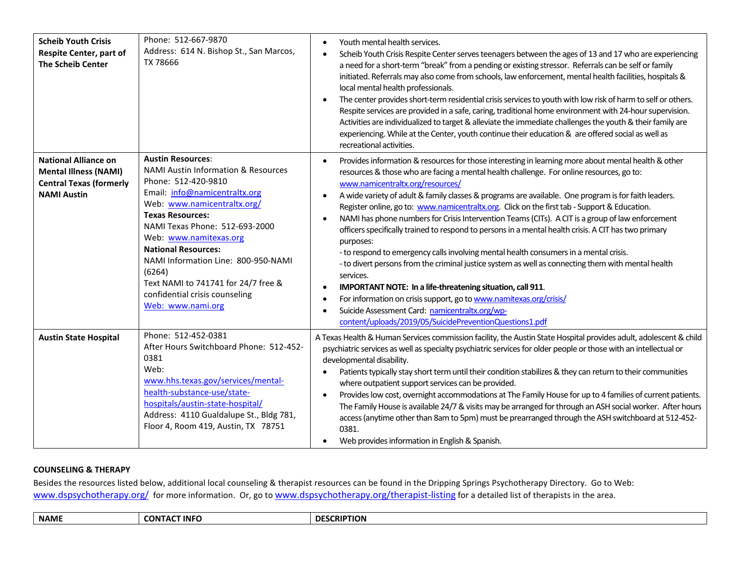| <b>Scheib Youth Crisis</b><br><b>Respite Center, part of</b><br><b>The Scheib Center</b>                            | Phone: 512-667-9870<br>Address: 614 N. Bishop St., San Marcos,<br>TX 78666                                                                                                                                                                                                                                                                                                                                                            | Youth mental health services.<br>$\bullet$<br>Scheib Youth Crisis Respite Center serves teenagers between the ages of 13 and 17 who are experiencing<br>$\bullet$<br>a need for a short-term "break" from a pending or existing stressor. Referrals can be self or family<br>initiated. Referrals may also come from schools, law enforcement, mental health facilities, hospitals &<br>local mental health professionals.<br>The center provides short-term residential crisis services to youth with low risk of harm to self or others.<br>$\bullet$<br>Respite services are provided in a safe, caring, traditional home environment with 24-hour supervision.<br>Activities are individualized to target & alleviate the immediate challenges the youth & their family are<br>experiencing. While at the Center, youth continue their education & are offered social as well as<br>recreational activities.                                                                                                                                                                                                                                                                                                |
|---------------------------------------------------------------------------------------------------------------------|---------------------------------------------------------------------------------------------------------------------------------------------------------------------------------------------------------------------------------------------------------------------------------------------------------------------------------------------------------------------------------------------------------------------------------------|-----------------------------------------------------------------------------------------------------------------------------------------------------------------------------------------------------------------------------------------------------------------------------------------------------------------------------------------------------------------------------------------------------------------------------------------------------------------------------------------------------------------------------------------------------------------------------------------------------------------------------------------------------------------------------------------------------------------------------------------------------------------------------------------------------------------------------------------------------------------------------------------------------------------------------------------------------------------------------------------------------------------------------------------------------------------------------------------------------------------------------------------------------------------------------------------------------------------|
| <b>National Alliance on</b><br><b>Mental Illness (NAMI)</b><br><b>Central Texas (formerly</b><br><b>NAMI Austin</b> | <b>Austin Resources:</b><br><b>NAMI Austin Information &amp; Resources</b><br>Phone: 512-420-9810<br>Email: info@namicentraltx.org<br>Web: www.namicentraltx.org/<br><b>Texas Resources:</b><br>NAMI Texas Phone: 512-693-2000<br>Web: www.namitexas.org<br><b>National Resources:</b><br>NAMI Information Line: 800-950-NAMI<br>(6264)<br>Text NAMI to 741741 for 24/7 free &<br>confidential crisis counseling<br>Web: www.nami.org | Provides information & resources for those interesting in learning more about mental health & other<br>$\bullet$<br>resources & those who are facing a mental health challenge. For online resources, go to:<br>www.namicentraltx.org/resources/<br>A wide variety of adult & family classes & programs are available. One program is for faith leaders.<br>$\bullet$<br>Register online, go to: www.namicentraltx.org. Click on the first tab - Support & Education.<br>NAMI has phone numbers for Crisis Intervention Teams (CITs). A CIT is a group of law enforcement<br>$\bullet$<br>officers specifically trained to respond to persons in a mental health crisis. A CIT has two primary<br>purposes:<br>- to respond to emergency calls involving mental health consumers in a mental crisis.<br>- to divert persons from the criminal justice system as well as connecting them with mental health<br>services.<br>IMPORTANT NOTE: In a life-threatening situation, call 911.<br>$\bullet$<br>For information on crisis support, go to www.namitexas.org/crisis/<br>$\bullet$<br>Suicide Assessment Card: namicentraltx.org/wp-<br>$\bullet$<br>content/uploads/2019/05/SuicidePreventionQuestions1.pdf |
| <b>Austin State Hospital</b>                                                                                        | Phone: 512-452-0381<br>After Hours Switchboard Phone: 512-452-<br>0381<br>Web:<br>www.hhs.texas.gov/services/mental-<br>health-substance-use/state-<br>hospitals/austin-state-hospital/<br>Address: 4110 Gualdalupe St., Bldg 781,<br>Floor 4, Room 419, Austin, TX 78751                                                                                                                                                             | A Texas Health & Human Services commission facility, the Austin State Hospital provides adult, adolescent & child<br>psychiatric services as well as specialty psychiatric services for older people or those with an intellectual or<br>developmental disability.<br>Patients typically stay short term until their condition stabilizes & they can return to their communities<br>where outpatient support services can be provided.<br>Provides low cost, overnight accommodations at The Family House for up to 4 families of current patients.<br>$\bullet$<br>The Family House is available 24/7 & visits may be arranged for through an ASH social worker. After hours<br>access (anytime other than 8am to 5pm) must be prearranged through the ASH switchboard at 512-452-<br>0381.<br>Web provides information in English & Spanish.                                                                                                                                                                                                                                                                                                                                                                  |

# **COUNSELING & THERAPY**

Besides the resources listed below, additional local counseling & therapist resources can be found in the Dripping Springs Psychotherapy Directory. Go to Web: [www.dspsychotherapy.org/](http://www.dspsychotherapy.org/) for more information. Or, go to [www.dspsychotherapy.org/therapist-listing](http://www.dspsychotherapy.org/therapist-listing) for a detailed list of therapists in the area.

| CON<br>1JF<br>.<br>$-$ |  | <b>NAME</b> | INC | <b>CRIPTION</b> |
|------------------------|--|-------------|-----|-----------------|
|------------------------|--|-------------|-----|-----------------|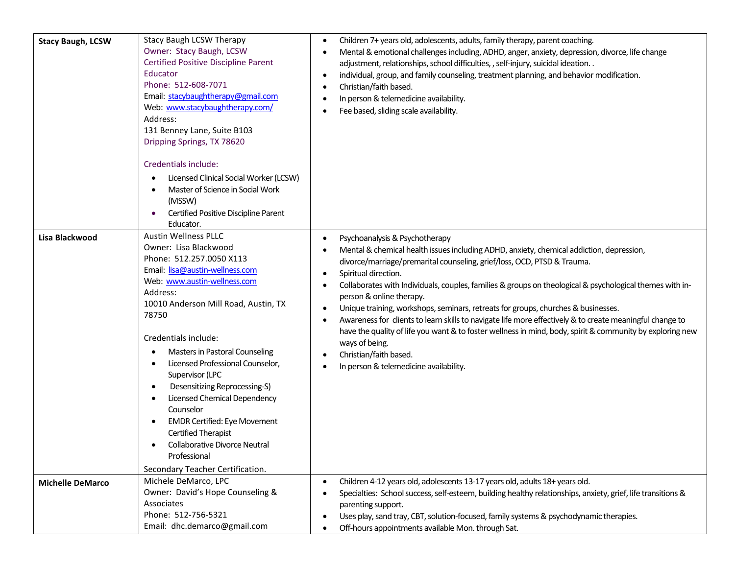| <b>Stacy Baugh, LCSW</b> | Stacy Baugh LCSW Therapy<br>Owner: Stacy Baugh, LCSW<br><b>Certified Positive Discipline Parent</b><br>Educator<br>Phone: 512-608-7071<br>Email: stacybaughtherapy@gmail.com<br>Web: www.stacybaughtherapy.com/<br>Address:<br>131 Benney Lane, Suite B103<br>Dripping Springs, TX 78620                                                                                                                                                                                                                                                                                        | Children 7+ years old, adolescents, adults, family therapy, parent coaching.<br>$\bullet$<br>Mental & emotional challenges including, ADHD, anger, anxiety, depression, divorce, life change<br>$\bullet$<br>adjustment, relationships, school difficulties, , self-injury, suicidal ideation. .<br>individual, group, and family counseling, treatment planning, and behavior modification.<br>$\bullet$<br>Christian/faith based.<br>$\bullet$<br>In person & telemedicine availability.<br>$\bullet$<br>Fee based, sliding scale availability.                                                                                                                                                                                                                                                                                                                    |
|--------------------------|---------------------------------------------------------------------------------------------------------------------------------------------------------------------------------------------------------------------------------------------------------------------------------------------------------------------------------------------------------------------------------------------------------------------------------------------------------------------------------------------------------------------------------------------------------------------------------|----------------------------------------------------------------------------------------------------------------------------------------------------------------------------------------------------------------------------------------------------------------------------------------------------------------------------------------------------------------------------------------------------------------------------------------------------------------------------------------------------------------------------------------------------------------------------------------------------------------------------------------------------------------------------------------------------------------------------------------------------------------------------------------------------------------------------------------------------------------------|
|                          | Credentials include:<br>Licensed Clinical Social Worker (LCSW)<br>٠<br>Master of Science in Social Work<br>(MSSW)<br>Certified Positive Discipline Parent<br>Educator.                                                                                                                                                                                                                                                                                                                                                                                                          |                                                                                                                                                                                                                                                                                                                                                                                                                                                                                                                                                                                                                                                                                                                                                                                                                                                                      |
| Lisa Blackwood           | <b>Austin Wellness PLLC</b><br>Owner: Lisa Blackwood<br>Phone: 512.257.0050 X113<br>Email: lisa@austin-wellness.com<br>Web: www.austin-wellness.com<br>Address:<br>10010 Anderson Mill Road, Austin, TX<br>78750<br>Credentials include:<br>Masters in Pastoral Counseling<br>Licensed Professional Counselor,<br>Supervisor (LPC<br>Desensitizing Reprocessing-S)<br>$\bullet$<br>Licensed Chemical Dependency<br>Counselor<br><b>EMDR Certified: Eye Movement</b><br>Certified Therapist<br>Collaborative Divorce Neutral<br>Professional<br>Secondary Teacher Certification. | Psychoanalysis & Psychotherapy<br>$\bullet$<br>Mental & chemical health issues including ADHD, anxiety, chemical addiction, depression,<br>$\bullet$<br>divorce/marriage/premarital counseling, grief/loss, OCD, PTSD & Trauma.<br>Spiritual direction.<br>$\bullet$<br>Collaborates with Individuals, couples, families & groups on theological & psychological themes with in-<br>$\bullet$<br>person & online therapy.<br>Unique training, workshops, seminars, retreats for groups, churches & businesses.<br>$\bullet$<br>Awareness for clients to learn skills to navigate life more effectively & to create meaningful change to<br>$\bullet$<br>have the quality of life you want & to foster wellness in mind, body, spirit & community by exploring new<br>ways of being.<br>Christian/faith based.<br>$\bullet$<br>In person & telemedicine availability. |
| <b>Michelle DeMarco</b>  | Michele DeMarco, LPC<br>Owner: David's Hope Counseling &<br>Associates<br>Phone: 512-756-5321<br>Email: dhc.demarco@gmail.com                                                                                                                                                                                                                                                                                                                                                                                                                                                   | Children 4-12 years old, adolescents 13-17 years old, adults 18+ years old.<br>$\bullet$<br>Specialties: School success, self-esteem, building healthy relationships, anxiety, grief, life transitions &<br>parenting support.<br>Uses play, sand tray, CBT, solution-focused, family systems & psychodynamic therapies.<br>$\bullet$<br>Off-hours appointments available Mon. through Sat.<br>$\bullet$                                                                                                                                                                                                                                                                                                                                                                                                                                                             |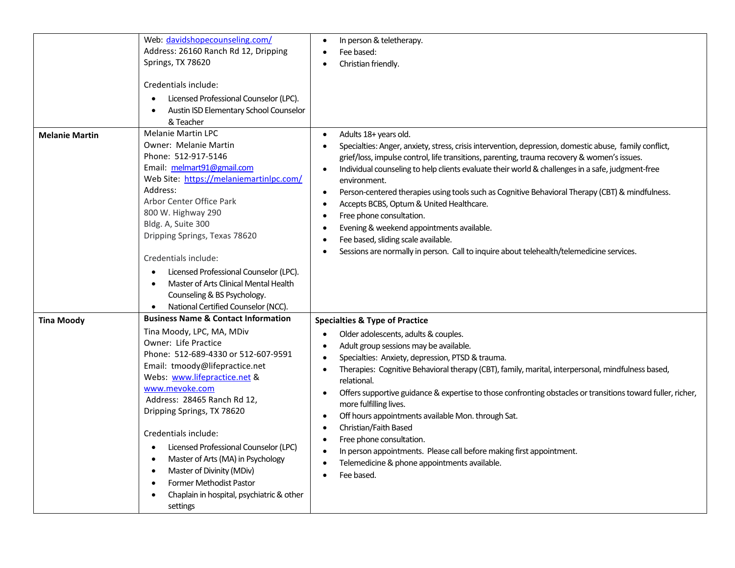|                       | Web: davidshopecounseling.com/<br>Address: 26160 Ranch Rd 12, Dripping<br>Springs, TX 78620<br>Credentials include:<br>Licensed Professional Counselor (LPC).<br>$\bullet$<br>Austin ISD Elementary School Counselor<br>& Teacher                                                                                                                                                                                                                                                                                                                                             | In person & teletherapy.<br>$\bullet$<br>Fee based:<br>Christian friendly.                                                                                                                                                                                                                                                                                                                                                                                                                                                                                                                                                                                                                                                                                                                       |
|-----------------------|-------------------------------------------------------------------------------------------------------------------------------------------------------------------------------------------------------------------------------------------------------------------------------------------------------------------------------------------------------------------------------------------------------------------------------------------------------------------------------------------------------------------------------------------------------------------------------|--------------------------------------------------------------------------------------------------------------------------------------------------------------------------------------------------------------------------------------------------------------------------------------------------------------------------------------------------------------------------------------------------------------------------------------------------------------------------------------------------------------------------------------------------------------------------------------------------------------------------------------------------------------------------------------------------------------------------------------------------------------------------------------------------|
| <b>Melanie Martin</b> | <b>Melanie Martin LPC</b><br><b>Owner: Melanie Martin</b><br>Phone: 512-917-5146<br>Email: melmart91@gmail.com<br>Web Site: https://melaniemartinlpc.com/<br>Address:<br>Arbor Center Office Park<br>800 W. Highway 290<br>Bldg. A, Suite 300<br>Dripping Springs, Texas 78620<br>Credentials include:<br>Licensed Professional Counselor (LPC).<br>$\bullet$<br>Master of Arts Clinical Mental Health<br>$\bullet$<br>Counseling & BS Psychology.<br>National Certified Counselor (NCC).<br>$\bullet$                                                                        | Adults 18+ years old.<br>$\bullet$<br>Specialties: Anger, anxiety, stress, crisis intervention, depression, domestic abuse, family conflict,<br>grief/loss, impulse control, life transitions, parenting, trauma recovery & women's issues.<br>Individual counseling to help clients evaluate their world & challenges in a safe, judgment-free<br>$\bullet$<br>environment.<br>Person-centered therapies using tools such as Cognitive Behavioral Therapy (CBT) & mindfulness.<br>$\bullet$<br>Accepts BCBS, Optum & United Healthcare.<br>$\bullet$<br>Free phone consultation.<br>٠<br>Evening & weekend appointments available.<br>$\bullet$<br>Fee based, sliding scale available.<br>$\bullet$<br>Sessions are normally in person. Call to inquire about telehealth/telemedicine services. |
| <b>Tina Moody</b>     | <b>Business Name &amp; Contact Information</b><br>Tina Moody, LPC, MA, MDiv<br>Owner: Life Practice<br>Phone: 512-689-4330 or 512-607-9591<br>Email: tmoody@lifepractice.net<br>Webs: www.lifepractice.net &<br>www.mevoke.com<br>Address: 28465 Ranch Rd 12,<br>Dripping Springs, TX 78620<br>Credentials include:<br>Licensed Professional Counselor (LPC)<br>$\bullet$<br>Master of Arts (MA) in Psychology<br>$\bullet$<br>Master of Divinity (MDiv)<br>$\bullet$<br><b>Former Methodist Pastor</b><br>$\bullet$<br>Chaplain in hospital, psychiatric & other<br>settings | <b>Specialties &amp; Type of Practice</b><br>Older adolescents, adults & couples.<br>Adult group sessions may be available.<br>Specialties: Anxiety, depression, PTSD & trauma.<br>$\bullet$<br>Therapies: Cognitive Behavioral therapy (CBT), family, marital, interpersonal, mindfulness based,<br>٠<br>relational.<br>Offers supportive guidance & expertise to those confronting obstacles or transitions toward fuller, richer,<br>$\bullet$<br>more fulfilling lives.<br>Off hours appointments available Mon. through Sat.<br>$\bullet$<br>Christian/Faith Based<br>$\bullet$<br>Free phone consultation.<br>$\bullet$<br>In person appointments. Please call before making first appointment.<br>$\bullet$<br>Telemedicine & phone appointments available.<br>Fee based.<br>$\bullet$    |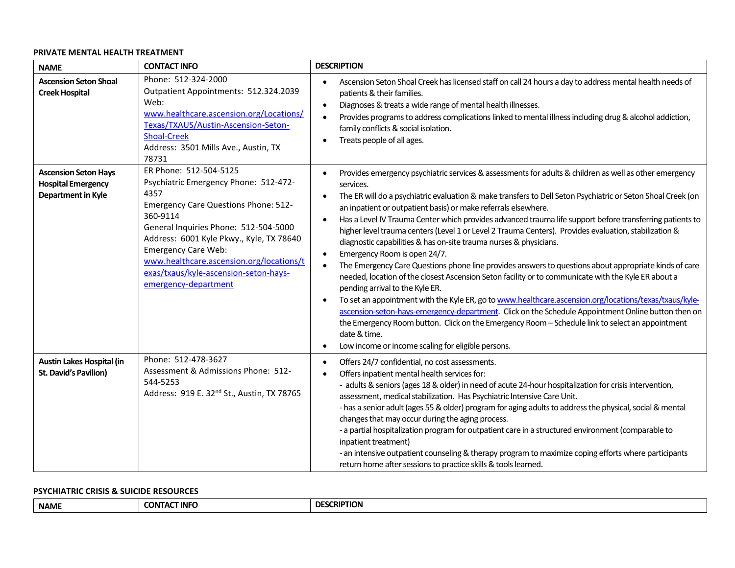### **PRIVATE MENTAL HEALTH TREATMENT**

| <b>NAME</b>                                                                    | <b>CONTACT INFO</b>                                                                                                                                                                                                                                                                                                                                                | <b>DESCRIPTION</b>                                                                                                                                                                                                                                                                                                                                                                                                                                                                                                                                                                                                                                                                                                                                                                                                                                                                                                                                                                                                                                                                                                                                                                                                                                                                                                                          |
|--------------------------------------------------------------------------------|--------------------------------------------------------------------------------------------------------------------------------------------------------------------------------------------------------------------------------------------------------------------------------------------------------------------------------------------------------------------|---------------------------------------------------------------------------------------------------------------------------------------------------------------------------------------------------------------------------------------------------------------------------------------------------------------------------------------------------------------------------------------------------------------------------------------------------------------------------------------------------------------------------------------------------------------------------------------------------------------------------------------------------------------------------------------------------------------------------------------------------------------------------------------------------------------------------------------------------------------------------------------------------------------------------------------------------------------------------------------------------------------------------------------------------------------------------------------------------------------------------------------------------------------------------------------------------------------------------------------------------------------------------------------------------------------------------------------------|
| <b>Ascension Seton Shoal</b><br><b>Creek Hospital</b>                          | Phone: 512-324-2000<br>Outpatient Appointments: 512.324.2039<br>Web:<br>www.healthcare.ascension.org/Locations/<br>Texas/TXAUS/Austin-Ascension-Seton-<br><b>Shoal-Creek</b><br>Address: 3501 Mills Ave., Austin, TX<br>78731                                                                                                                                      | Ascension Seton Shoal Creek has licensed staff on call 24 hours a day to address mental health needs of<br>$\bullet$<br>patients & their families.<br>Diagnoses & treats a wide range of mental health illnesses.<br>$\bullet$<br>Provides programs to address complications linked to mental illness including drug & alcohol addiction,<br>$\bullet$<br>family conflicts & social isolation.<br>Treats people of all ages.<br>$\bullet$                                                                                                                                                                                                                                                                                                                                                                                                                                                                                                                                                                                                                                                                                                                                                                                                                                                                                                   |
| <b>Ascension Seton Hays</b><br><b>Hospital Emergency</b><br>Department in Kyle | ER Phone: 512-504-5125<br>Psychiatric Emergency Phone: 512-472-<br>4357<br><b>Emergency Care Questions Phone: 512-</b><br>360-9114<br>General Inquiries Phone: 512-504-5000<br>Address: 6001 Kyle Pkwy., Kyle, TX 78640<br><b>Emergency Care Web:</b><br>www.healthcare.ascension.org/locations/t<br>exas/txaus/kyle-ascension-seton-hays-<br>emergency-department | Provides emergency psychiatric services & assessments for adults & children as well as other emergency<br>$\bullet$<br>services.<br>The ER will do a psychiatric evaluation & make transfers to Dell Seton Psychiatric or Seton Shoal Creek (on<br>an inpatient or outpatient basis) or make referrals elsewhere.<br>Has a Level IV Trauma Center which provides advanced trauma life support before transferring patients to<br>higher level trauma centers (Level 1 or Level 2 Trauma Centers). Provides evaluation, stabilization &<br>diagnostic capabilities & has on-site trauma nurses & physicians.<br>Emergency Room is open 24/7.<br>$\bullet$<br>The Emergency Care Questions phone line provides answers to questions about appropriate kinds of care<br>$\bullet$<br>needed, location of the closest Ascension Seton facility or to communicate with the Kyle ER about a<br>pending arrival to the Kyle ER.<br>To set an appointment with the Kyle ER, go to www.healthcare.ascension.org/locations/texas/txaus/kyle-<br>$\bullet$<br>ascension-seton-hays-emergency-department. Click on the Schedule Appointment Online button then on<br>the Emergency Room button. Click on the Emergency Room - Schedule link to select an appointment<br>date & time.<br>Low income or income scaling for eligible persons.<br>$\bullet$ |
| <b>Austin Lakes Hospital (in</b><br><b>St. David's Pavilion)</b>               | Phone: 512-478-3627<br>Assessment & Admissions Phone: 512-<br>544-5253<br>Address: 919 E. 32 <sup>nd</sup> St., Austin, TX 78765                                                                                                                                                                                                                                   | Offers 24/7 confidential, no cost assessments.<br>$\bullet$<br>Offers inpatient mental health services for:<br>- adults & seniors (ages 18 & older) in need of acute 24-hour hospitalization for crisis intervention,<br>assessment, medical stabilization. Has Psychiatric Intensive Care Unit.<br>- has a senior adult (ages 55 & older) program for aging adults to address the physical, social & mental<br>changes that may occur during the aging process.<br>- a partial hospitalization program for outpatient care in a structured environment (comparable to<br>inpatient treatment)<br>- an intensive outpatient counseling & therapy program to maximize coping efforts where participants<br>return home after sessions to practice skills & tools learned.                                                                                                                                                                                                                                                                                                                                                                                                                                                                                                                                                                    |

#### **PSYCHIATRIC CRISIS & SUICIDE RESOURCES**

| T INFC<br><b>CONTA</b><br><b>NAME</b> | <b>SCRIPTION</b><br>- 1 J H |
|---------------------------------------|-----------------------------|
|---------------------------------------|-----------------------------|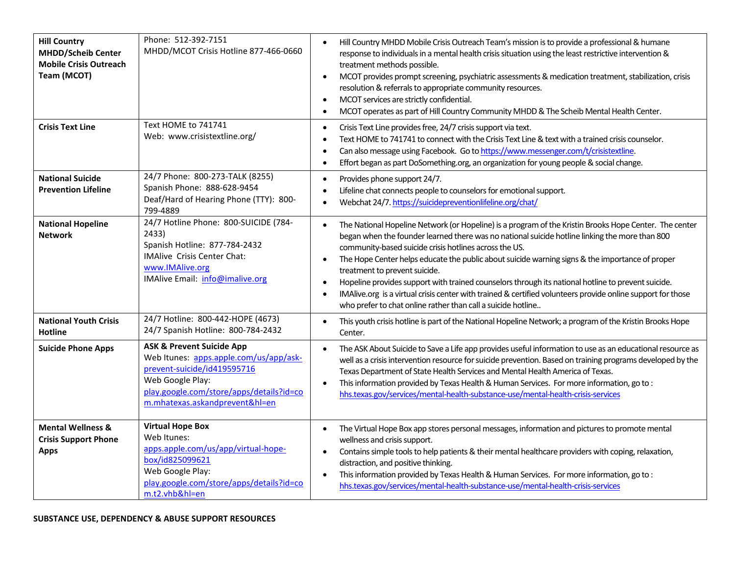| <b>Hill Country</b><br><b>MHDD/Scheib Center</b><br><b>Mobile Crisis Outreach</b><br>Team (MCOT) | Phone: 512-392-7151<br>MHDD/MCOT Crisis Hotline 877-466-0660                                                                                                                                                    | Hill Country MHDD Mobile Crisis Outreach Team's mission is to provide a professional & humane<br>$\bullet$<br>response to individuals in a mental health crisis situation using the least restrictive intervention &<br>treatment methods possible.<br>MCOT provides prompt screening, psychiatric assessments & medication treatment, stabilization, crisis<br>$\bullet$<br>resolution & referrals to appropriate community resources.<br>MCOT services are strictly confidential.<br>$\bullet$<br>MCOT operates as part of Hill Country Community MHDD & The Scheib Mental Health Center.<br>$\bullet$                                                                                                                                        |
|--------------------------------------------------------------------------------------------------|-----------------------------------------------------------------------------------------------------------------------------------------------------------------------------------------------------------------|-------------------------------------------------------------------------------------------------------------------------------------------------------------------------------------------------------------------------------------------------------------------------------------------------------------------------------------------------------------------------------------------------------------------------------------------------------------------------------------------------------------------------------------------------------------------------------------------------------------------------------------------------------------------------------------------------------------------------------------------------|
| <b>Crisis Text Line</b>                                                                          | Text HOME to 741741<br>Web: www.crisistextline.org/                                                                                                                                                             | Crisis Text Line provides free, 24/7 crisis support via text.<br>$\bullet$<br>Text HOME to 741741 to connect with the Crisis Text Line & text with a trained crisis counselor.<br>$\bullet$<br>Can also message using Facebook. Go to https://www.messenger.com/t/crisistextline.<br>Effort began as part DoSomething.org, an organization for young people & social change.<br>$\bullet$                                                                                                                                                                                                                                                                                                                                                       |
| <b>National Suicide</b><br><b>Prevention Lifeline</b>                                            | 24/7 Phone: 800-273-TALK (8255)<br>Spanish Phone: 888-628-9454<br>Deaf/Hard of Hearing Phone (TTY): 800-<br>799-4889                                                                                            | Provides phone support 24/7.<br>$\bullet$<br>Lifeline chat connects people to counselors for emotional support.<br>٠<br>Webchat 24/7. https://suicidepreventionlifeline.org/chat/                                                                                                                                                                                                                                                                                                                                                                                                                                                                                                                                                               |
| <b>National Hopeline</b><br><b>Network</b>                                                       | 24/7 Hotline Phone: 800-SUICIDE (784-<br>2433)<br>Spanish Hotline: 877-784-2432<br>IMAlive Crisis Center Chat:<br>www.IMAlive.org<br>IMAlive Email: info@imalive.org                                            | The National Hopeline Network (or Hopeline) is a program of the Kristin Brooks Hope Center. The center<br>$\bullet$<br>began when the founder learned there was no national suicide hotline linking the more than 800<br>community-based suicide crisis hotlines across the US.<br>The Hope Center helps educate the public about suicide warning signs & the importance of proper<br>$\bullet$<br>treatment to prevent suicide.<br>Hopeline provides support with trained counselors through its national hotline to prevent suicide.<br>$\bullet$<br>IMAlive.org is a virtual crisis center with trained & certified volunteers provide online support for those<br>$\bullet$<br>who prefer to chat online rather than call a suicide hotline |
| <b>National Youth Crisis</b><br><b>Hotline</b>                                                   | 24/7 Hotline: 800-442-HOPE (4673)<br>24/7 Spanish Hotline: 800-784-2432                                                                                                                                         | This youth crisis hotline is part of the National Hopeline Network; a program of the Kristin Brooks Hope<br>$\bullet$<br>Center.                                                                                                                                                                                                                                                                                                                                                                                                                                                                                                                                                                                                                |
| <b>Suicide Phone Apps</b>                                                                        | <b>ASK &amp; Prevent Suicide App</b><br>Web Itunes: apps.apple.com/us/app/ask-<br>prevent-suicide/id419595716<br>Web Google Play:<br>play.google.com/store/apps/details?id=co<br>m.mhatexas.askandprevent&hl=en | The ASK About Suicide to Save a Life app provides useful information to use as an educational resource as<br>$\bullet$<br>well as a crisis intervention resource for suicide prevention. Based on training programs developed by the<br>Texas Department of State Health Services and Mental Health America of Texas.<br>This information provided by Texas Health & Human Services. For more information, go to:<br>$\bullet$<br>hhs.texas.gov/services/mental-health-substance-use/mental-health-crisis-services                                                                                                                                                                                                                              |
| <b>Mental Wellness &amp;</b><br><b>Crisis Support Phone</b><br><b>Apps</b>                       | <b>Virtual Hope Box</b><br>Web Itunes:<br>apps.apple.com/us/app/virtual-hope-<br>box/id825099621<br>Web Google Play:<br>play.google.com/store/apps/details?id=co<br>m.t2.vhb&hl=en                              | The Virtual Hope Box app stores personal messages, information and pictures to promote mental<br>$\bullet$<br>wellness and crisis support.<br>Contains simple tools to help patients & their mental healthcare providers with coping, relaxation,<br>$\bullet$<br>distraction, and positive thinking.<br>This information provided by Texas Health & Human Services. For more information, go to:<br>$\bullet$<br>hhs.texas.gov/services/mental-health-substance-use/mental-health-crisis-services                                                                                                                                                                                                                                              |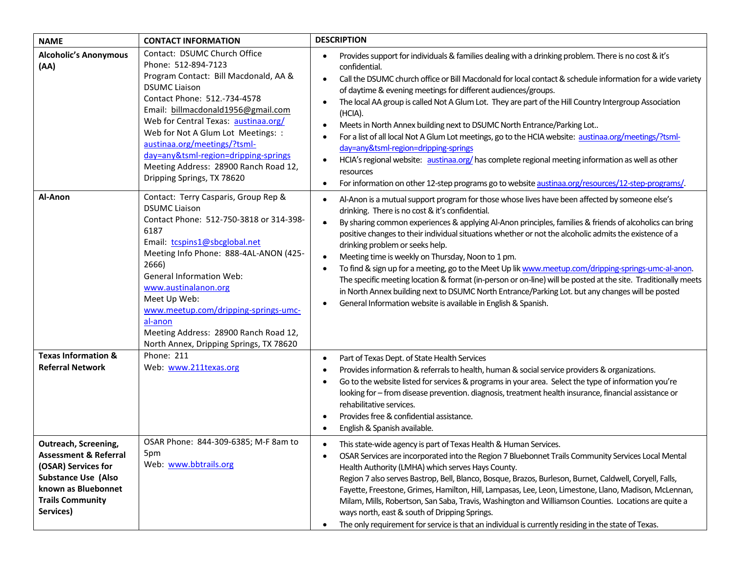| <b>NAME</b>                                                                                                                                                                  | <b>CONTACT INFORMATION</b>                                                                                                                                                                                                                                                                                                                                                                                              | <b>DESCRIPTION</b>                                                                                                                                                                                                                                                                                                                                                                                                                                                                                                                                                                                                                                                                                                                                                                                                                                                                                                                                            |  |
|------------------------------------------------------------------------------------------------------------------------------------------------------------------------------|-------------------------------------------------------------------------------------------------------------------------------------------------------------------------------------------------------------------------------------------------------------------------------------------------------------------------------------------------------------------------------------------------------------------------|---------------------------------------------------------------------------------------------------------------------------------------------------------------------------------------------------------------------------------------------------------------------------------------------------------------------------------------------------------------------------------------------------------------------------------------------------------------------------------------------------------------------------------------------------------------------------------------------------------------------------------------------------------------------------------------------------------------------------------------------------------------------------------------------------------------------------------------------------------------------------------------------------------------------------------------------------------------|--|
| <b>Alcoholic's Anonymous</b><br>(AA)                                                                                                                                         | Contact: DSUMC Church Office<br>Phone: 512-894-7123<br>Program Contact: Bill Macdonald, AA &<br><b>DSUMC Liaison</b><br>Contact Phone: 512.-734-4578<br>Email: billmacdonald1956@gmail.com<br>Web for Central Texas: austinaa.org/<br>Web for Not A Glum Lot Meetings: :<br>austinaa.org/meetings/?tsml-<br>day=any&tsml-region=dripping-springs<br>Meeting Address: 28900 Ranch Road 12,<br>Dripping Springs, TX 78620 | Provides support for individuals & families dealing with a drinking problem. There is no cost & it's<br>$\bullet$<br>confidential.<br>Call the DSUMC church office or Bill Macdonald for local contact & schedule information for a wide variety<br>$\bullet$<br>of daytime & evening meetings for different audiences/groups.<br>The local AA group is called Not A Glum Lot. They are part of the Hill Country Intergroup Association<br>$\bullet$<br>(HCIA).<br>Meets in North Annex building next to DSUMC North Entrance/Parking Lot<br>$\bullet$<br>For a list of all local Not A Glum Lot meetings, go to the HCIA website: austinaa.org/meetings/?tsml-<br>٠<br>day=any&tsml-region=dripping-springs<br>HCIA's regional website: austinaa.org/ has complete regional meeting information as well as other<br>$\bullet$<br>resources<br>For information on other 12-step programs go to website austinaa.org/resources/12-step-programs/.<br>$\bullet$ |  |
| Al-Anon                                                                                                                                                                      | Contact: Terry Casparis, Group Rep &<br><b>DSUMC Liaison</b><br>Contact Phone: 512-750-3818 or 314-398-<br>6187<br>Email: tcspins1@sbcglobal.net<br>Meeting Info Phone: 888-4AL-ANON (425-<br>2666)<br><b>General Information Web:</b><br>www.austinalanon.org<br>Meet Up Web:<br>www.meetup.com/dripping-springs-umc-<br>al-anon<br>Meeting Address: 28900 Ranch Road 12,<br>North Annex, Dripping Springs, TX 78620   | Al-Anon is a mutual support program for those whose lives have been affected by someone else's<br>$\bullet$<br>drinking. There is no cost & it's confidential.<br>By sharing common experiences & applying Al-Anon principles, families & friends of alcoholics can bring<br>$\bullet$<br>positive changes to their individual situations whether or not the alcoholic admits the existence of a<br>drinking problem or seeks help.<br>Meeting time is weekly on Thursday, Noon to 1 pm.<br>$\bullet$<br>To find & sign up for a meeting, go to the Meet Up lik www.meetup.com/dripping-springs-umc-al-anon.<br>$\bullet$<br>The specific meeting location & format (in-person or on-line) will be posted at the site. Traditionally meets<br>in North Annex building next to DSUMC North Entrance/Parking Lot. but any changes will be posted<br>General Information website is available in English & Spanish.<br>$\bullet$                                 |  |
| <b>Texas Information &amp;</b><br><b>Referral Network</b>                                                                                                                    | Phone: 211<br>Web: www.211texas.org                                                                                                                                                                                                                                                                                                                                                                                     | Part of Texas Dept. of State Health Services<br>$\bullet$<br>Provides information & referrals to health, human & social service providers & organizations.<br>٠<br>Go to the website listed for services & programs in your area. Select the type of information you're<br>٠<br>looking for - from disease prevention. diagnosis, treatment health insurance, financial assistance or<br>rehabilitative services.<br>Provides free & confidential assistance.<br>٠<br>English & Spanish available.<br>٠                                                                                                                                                                                                                                                                                                                                                                                                                                                       |  |
| Outreach, Screening,<br><b>Assessment &amp; Referral</b><br>(OSAR) Services for<br><b>Substance Use (Also</b><br>known as Bluebonnet<br><b>Trails Community</b><br>Services) | OSAR Phone: 844-309-6385; M-F 8am to<br>5pm<br>Web: www.bbtrails.org                                                                                                                                                                                                                                                                                                                                                    | This state-wide agency is part of Texas Health & Human Services.<br>$\bullet$<br>OSAR Services are incorporated into the Region 7 Bluebonnet Trails Community Services Local Mental<br>$\bullet$<br>Health Authority (LMHA) which serves Hays County.<br>Region 7 also serves Bastrop, Bell, Blanco, Bosque, Brazos, Burleson, Burnet, Caldwell, Coryell, Falls,<br>Fayette, Freestone, Grimes, Hamilton, Hill, Lampasas, Lee, Leon, Limestone, Llano, Madison, McLennan,<br>Milam, Mills, Robertson, San Saba, Travis, Washington and Williamson Counties. Locations are quite a<br>ways north, east & south of Dripping Springs.<br>The only requirement for service is that an individual is currently residing in the state of Texas.<br>$\bullet$                                                                                                                                                                                                        |  |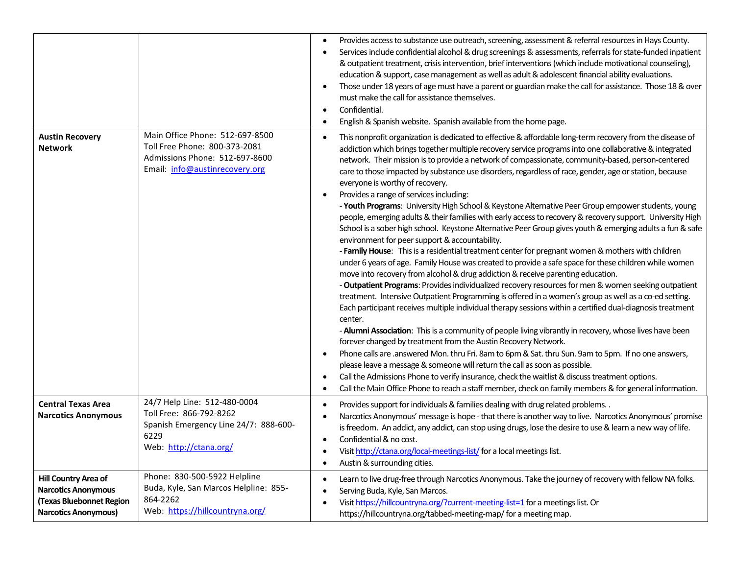|                                                                                                                            |                                                                                                                                      | Provides access to substance use outreach, screening, assessment & referral resources in Hays County.<br>$\bullet$<br>Services include confidential alcohol & drug screenings & assessments, referrals for state-funded inpatient<br>& outpatient treatment, crisis intervention, brief interventions (which include motivational counseling),<br>education & support, case management as well as adult & adolescent financial ability evaluations.<br>Those under 18 years of age must have a parent or guardian make the call for assistance. Those 18 & over<br>$\bullet$<br>must make the call for assistance themselves.<br>Confidential.<br>$\bullet$<br>English & Spanish website. Spanish available from the home page.<br>$\bullet$                                                                                                                                                                                                                                                                                                                                                                                                                                                                                                                                                                                                                                                                                                                                                                                                                                                                                                                                                                                                                                                                                                                                                                                                                                                                                                                                                                                                                                     |
|----------------------------------------------------------------------------------------------------------------------------|--------------------------------------------------------------------------------------------------------------------------------------|----------------------------------------------------------------------------------------------------------------------------------------------------------------------------------------------------------------------------------------------------------------------------------------------------------------------------------------------------------------------------------------------------------------------------------------------------------------------------------------------------------------------------------------------------------------------------------------------------------------------------------------------------------------------------------------------------------------------------------------------------------------------------------------------------------------------------------------------------------------------------------------------------------------------------------------------------------------------------------------------------------------------------------------------------------------------------------------------------------------------------------------------------------------------------------------------------------------------------------------------------------------------------------------------------------------------------------------------------------------------------------------------------------------------------------------------------------------------------------------------------------------------------------------------------------------------------------------------------------------------------------------------------------------------------------------------------------------------------------------------------------------------------------------------------------------------------------------------------------------------------------------------------------------------------------------------------------------------------------------------------------------------------------------------------------------------------------------------------------------------------------------------------------------------------------|
| <b>Austin Recovery</b><br><b>Network</b>                                                                                   | Main Office Phone: 512-697-8500<br>Toll Free Phone: 800-373-2081<br>Admissions Phone: 512-697-8600<br>Email: info@austinrecovery.org | This nonprofit organization is dedicated to effective & affordable long-term recovery from the disease of<br>addiction which brings together multiple recovery service programs into one collaborative & integrated<br>network. Their mission is to provide a network of compassionate, community-based, person-centered<br>care to those impacted by substance use disorders, regardless of race, gender, age or station, because<br>everyone is worthy of recovery.<br>Provides a range of services including:<br>$\bullet$<br>- Youth Programs: University High School & Keystone Alternative Peer Group empower students, young<br>people, emerging adults & their families with early access to recovery & recovery support. University High<br>School is a sober high school. Keystone Alternative Peer Group gives youth & emerging adults a fun & safe<br>environment for peer support & accountability.<br>- Family House: This is a residential treatment center for pregnant women & mothers with children<br>under 6 years of age. Family House was created to provide a safe space for these children while women<br>move into recovery from alcohol & drug addiction & receive parenting education.<br>- Outpatient Programs: Provides individualized recovery resources for men & women seeking outpatient<br>treatment. Intensive Outpatient Programming is offered in a women's group as well as a co-ed setting.<br>Each participant receives multiple individual therapy sessions within a certified dual-diagnosis treatment<br>center.<br>- Alumni Association: This is a community of people living vibrantly in recovery, whose lives have been<br>forever changed by treatment from the Austin Recovery Network.<br>Phone calls are .answered Mon. thru Fri. 8am to 6pm & Sat. thru Sun. 9am to 5pm. If no one answers,<br>$\bullet$<br>please leave a message & someone will return the call as soon as possible.<br>Call the Admissions Phone to verify insurance, check the waitlist & discuss treatment options.<br>$\bullet$<br>Call the Main Office Phone to reach a staff member, check on family members & for general information.<br>$\bullet$ |
| <b>Central Texas Area</b><br><b>Narcotics Anonymous</b>                                                                    | 24/7 Help Line: 512-480-0004<br>Toll Free: 866-792-8262<br>Spanish Emergency Line 24/7: 888-600-<br>6229<br>Web: http://ctana.org/   | Provides support for individuals & families dealing with drug related problems. .<br>$\bullet$<br>Narcotics Anonymous' message is hope - that there is another way to live. Narcotics Anonymous' promise<br>٠<br>is freedom. An addict, any addict, can stop using drugs, lose the desire to use & learn a new way of life.<br>Confidential & no cost.<br>$\bullet$<br>Visit http://ctana.org/local-meetings-list/ for a local meetings list.<br>$\bullet$<br>Austin & surrounding cities.<br>٠                                                                                                                                                                                                                                                                                                                                                                                                                                                                                                                                                                                                                                                                                                                                                                                                                                                                                                                                                                                                                                                                                                                                                                                                                                                                                                                                                                                                                                                                                                                                                                                                                                                                                  |
| <b>Hill Country Area of</b><br><b>Narcotics Anonymous</b><br><b>Texas Bluebonnet Region</b><br><b>Narcotics Anonymous)</b> | Phone: 830-500-5922 Helpline<br>Buda, Kyle, San Marcos Helpline: 855-<br>864-2262<br>Web: https://hillcountryna.org/                 | Learn to live drug-free through Narcotics Anonymous. Take the journey of recovery with fellow NA folks.<br>$\bullet$<br>Serving Buda, Kyle, San Marcos.<br>$\bullet$<br>Visit https://hillcountryna.org/?current-meeting-list=1 for a meetings list. Or<br>https://hillcountryna.org/tabbed-meeting-map/ for a meeting map.                                                                                                                                                                                                                                                                                                                                                                                                                                                                                                                                                                                                                                                                                                                                                                                                                                                                                                                                                                                                                                                                                                                                                                                                                                                                                                                                                                                                                                                                                                                                                                                                                                                                                                                                                                                                                                                      |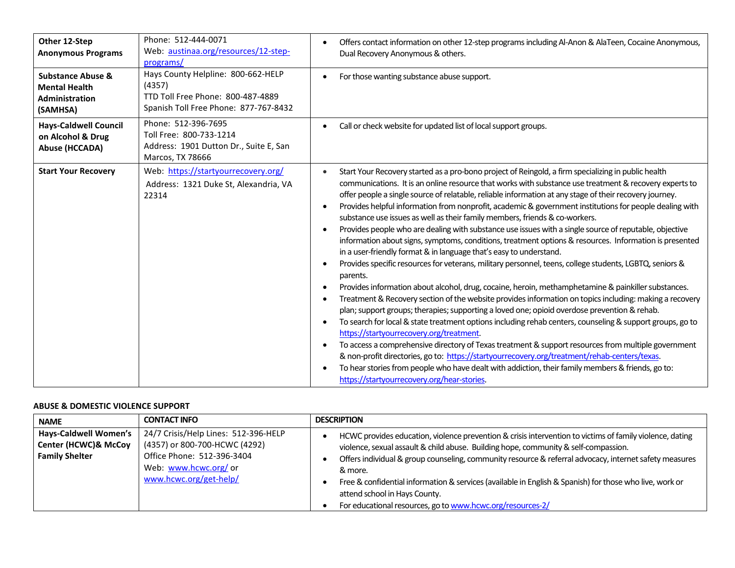| Other 12-Step<br><b>Anonymous Programs</b>                                         | Phone: 512-444-0071<br>Web: austinaa.org/resources/12-step-<br>programs/                                                   | Offers contact information on other 12-step programs including Al-Anon & AlaTeen, Cocaine Anonymous,<br>Dual Recovery Anonymous & others.                                                                                                                                                                                                                                                                                                                                                                                                                                                                                                                                                                                                                                                                                                                                                                                                                                                                                                                                                                                                                                                                                                                                                                                                                                                                                                                                                                                                                                                                                                                                                                                                                                                                                                                                                      |
|------------------------------------------------------------------------------------|----------------------------------------------------------------------------------------------------------------------------|------------------------------------------------------------------------------------------------------------------------------------------------------------------------------------------------------------------------------------------------------------------------------------------------------------------------------------------------------------------------------------------------------------------------------------------------------------------------------------------------------------------------------------------------------------------------------------------------------------------------------------------------------------------------------------------------------------------------------------------------------------------------------------------------------------------------------------------------------------------------------------------------------------------------------------------------------------------------------------------------------------------------------------------------------------------------------------------------------------------------------------------------------------------------------------------------------------------------------------------------------------------------------------------------------------------------------------------------------------------------------------------------------------------------------------------------------------------------------------------------------------------------------------------------------------------------------------------------------------------------------------------------------------------------------------------------------------------------------------------------------------------------------------------------------------------------------------------------------------------------------------------------|
| <b>Substance Abuse &amp;</b><br><b>Mental Health</b><br>Administration<br>(SAMHSA) | Hays County Helpline: 800-662-HELP<br>(4357)<br>TTD Toll Free Phone: 800-487-4889<br>Spanish Toll Free Phone: 877-767-8432 | For those wanting substance abuse support.<br>$\bullet$                                                                                                                                                                                                                                                                                                                                                                                                                                                                                                                                                                                                                                                                                                                                                                                                                                                                                                                                                                                                                                                                                                                                                                                                                                                                                                                                                                                                                                                                                                                                                                                                                                                                                                                                                                                                                                        |
| <b>Hays-Caldwell Council</b><br>on Alcohol & Drug<br><b>Abuse (HCCADA)</b>         | Phone: 512-396-7695<br>Toll Free: 800-733-1214<br>Address: 1901 Dutton Dr., Suite E, San<br>Marcos, TX 78666               | Call or check website for updated list of local support groups.                                                                                                                                                                                                                                                                                                                                                                                                                                                                                                                                                                                                                                                                                                                                                                                                                                                                                                                                                                                                                                                                                                                                                                                                                                                                                                                                                                                                                                                                                                                                                                                                                                                                                                                                                                                                                                |
| <b>Start Your Recovery</b>                                                         | Web: https://startyourrecovery.org/<br>Address: 1321 Duke St, Alexandria, VA<br>22314                                      | Start Your Recovery started as a pro-bono project of Reingold, a firm specializing in public health<br>$\bullet$<br>communications. It is an online resource that works with substance use treatment & recovery experts to<br>offer people a single source of relatable, reliable information at any stage of their recovery journey.<br>Provides helpful information from nonprofit, academic & government institutions for people dealing with<br>$\bullet$<br>substance use issues as well as their family members, friends & co-workers.<br>Provides people who are dealing with substance use issues with a single source of reputable, objective<br>$\bullet$<br>information about signs, symptoms, conditions, treatment options & resources. Information is presented<br>in a user-friendly format & in language that's easy to understand.<br>Provides specific resources for veterans, military personnel, teens, college students, LGBTQ, seniors &<br>$\bullet$<br>parents.<br>Provides information about alcohol, drug, cocaine, heroin, methamphetamine & painkiller substances.<br>$\bullet$<br>Treatment & Recovery section of the website provides information on topics including: making a recovery<br>$\bullet$<br>plan; support groups; therapies; supporting a loved one; opioid overdose prevention & rehab.<br>To search for local & state treatment options including rehab centers, counseling & support groups, go to<br>$\bullet$<br>https://startyourrecovery.org/treatment.<br>To access a comprehensive directory of Texas treatment & support resources from multiple government<br>$\bullet$<br>& non-profit directories, go to: https://startyourrecovery.org/treatment/rehab-centers/texas.<br>To hear stories from people who have dealt with addiction, their family members & friends, go to:<br>$\bullet$<br>https://startyourrecovery.org/hear-stories |

### **ABUSE & DOMESTIC VIOLENCE SUPPORT**

| <b>NAME</b>                                                                   | <b>CONTACT INFO</b>                                                                                                                                    | <b>DESCRIPTION</b>                                                                                                                                                                                                                                                                                                                                                                                                                                               |  |
|-------------------------------------------------------------------------------|--------------------------------------------------------------------------------------------------------------------------------------------------------|------------------------------------------------------------------------------------------------------------------------------------------------------------------------------------------------------------------------------------------------------------------------------------------------------------------------------------------------------------------------------------------------------------------------------------------------------------------|--|
| <b>Hays-Caldwell Women's</b><br>Center (HCWC)& McCoy<br><b>Family Shelter</b> | 24/7 Crisis/Help Lines: 512-396-HELP<br>(4357) or 800-700-HCWC (4292)<br>Office Phone: 512-396-3404<br>Web: www.hcwc.org/ or<br>www.hcwc.org/get-help/ | HCWC provides education, violence prevention & crisis intervention to victims of family violence, dating<br>violence, sexual assault & child abuse. Building hope, community & self-compassion.<br>Offers individual & group counseling, community resource & referral advocacy, internet safety measures<br>& more.<br>Free & confidential information & services (available in English & Spanish) for those who live, work or<br>attend school in Hays County. |  |
|                                                                               |                                                                                                                                                        | For educational resources, go to www.hcwc.org/resources-2/                                                                                                                                                                                                                                                                                                                                                                                                       |  |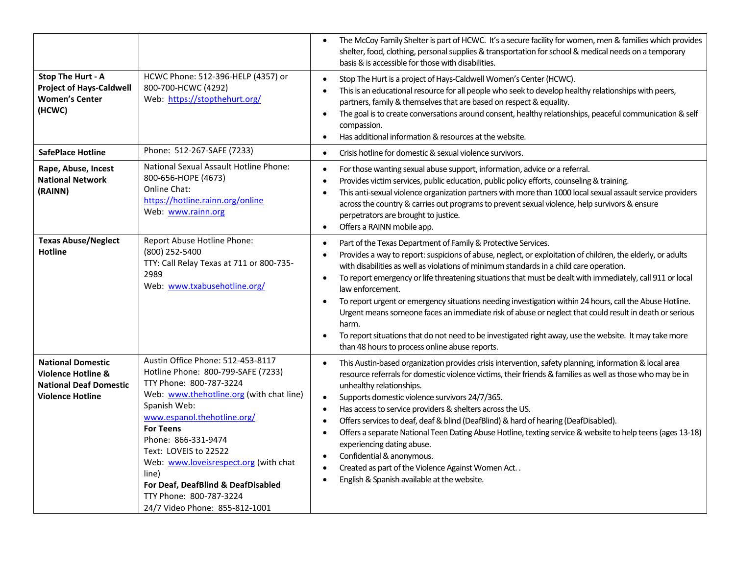|                                                                                                                       |                                                                                                                                                                                                                                                                                                                                                                                                                        | The McCoy Family Shelter is part of HCWC. It's a secure facility for women, men & families which provides<br>shelter, food, clothing, personal supplies & transportation for school & medical needs on a temporary<br>basis & is accessible for those with disabilities.                                                                                                                                                                                                                                                                                                                                                                                                                                                                                                                                                                                            |
|-----------------------------------------------------------------------------------------------------------------------|------------------------------------------------------------------------------------------------------------------------------------------------------------------------------------------------------------------------------------------------------------------------------------------------------------------------------------------------------------------------------------------------------------------------|---------------------------------------------------------------------------------------------------------------------------------------------------------------------------------------------------------------------------------------------------------------------------------------------------------------------------------------------------------------------------------------------------------------------------------------------------------------------------------------------------------------------------------------------------------------------------------------------------------------------------------------------------------------------------------------------------------------------------------------------------------------------------------------------------------------------------------------------------------------------|
| Stop The Hurt - A<br><b>Project of Hays-Caldwell</b><br><b>Women's Center</b><br>(HCWC)                               | HCWC Phone: 512-396-HELP (4357) or<br>800-700-HCWC (4292)<br>Web: https://stopthehurt.org/                                                                                                                                                                                                                                                                                                                             | Stop The Hurt is a project of Hays-Caldwell Women's Center (HCWC).<br>$\bullet$<br>This is an educational resource for all people who seek to develop healthy relationships with peers,<br>partners, family & themselves that are based on respect & equality.<br>The goal is to create conversations around consent, healthy relationships, peaceful communication & self<br>$\bullet$<br>compassion.<br>Has additional information & resources at the website.<br>$\bullet$                                                                                                                                                                                                                                                                                                                                                                                       |
| <b>SafePlace Hotline</b>                                                                                              | Phone: 512-267-SAFE (7233)                                                                                                                                                                                                                                                                                                                                                                                             | Crisis hotline for domestic & sexual violence survivors.<br>$\bullet$                                                                                                                                                                                                                                                                                                                                                                                                                                                                                                                                                                                                                                                                                                                                                                                               |
| Rape, Abuse, Incest<br><b>National Network</b><br>(RAINN)                                                             | National Sexual Assault Hotline Phone:<br>800-656-HOPE (4673)<br>Online Chat:<br>https://hotline.rainn.org/online<br>Web: www.rainn.org                                                                                                                                                                                                                                                                                | For those wanting sexual abuse support, information, advice or a referral.<br>$\bullet$<br>Provides victim services, public education, public policy efforts, counseling & training.<br>$\bullet$<br>This anti-sexual violence organization partners with more than 1000 local sexual assault service providers<br>$\bullet$<br>across the country & carries out programs to prevent sexual violence, help survivors & ensure<br>perpetrators are brought to justice.<br>Offers a RAINN mobile app.<br>$\bullet$                                                                                                                                                                                                                                                                                                                                                    |
| <b>Texas Abuse/Neglect</b><br><b>Hotline</b>                                                                          | Report Abuse Hotline Phone:<br>(800) 252-5400<br>TTY: Call Relay Texas at 711 or 800-735-<br>2989<br>Web: www.txabusehotline.org/                                                                                                                                                                                                                                                                                      | Part of the Texas Department of Family & Protective Services.<br>$\bullet$<br>Provides a way to report: suspicions of abuse, neglect, or exploitation of children, the elderly, or adults<br>$\bullet$<br>with disabilities as well as violations of minimum standards in a child care operation.<br>To report emergency or life threatening situations that must be dealt with immediately, call 911 or local<br>$\bullet$<br>law enforcement.<br>To report urgent or emergency situations needing investigation within 24 hours, call the Abuse Hotline.<br>$\bullet$<br>Urgent means someone faces an immediate risk of abuse or neglect that could result in death or serious<br>harm.<br>To report situations that do not need to be investigated right away, use the website. It may take more<br>$\bullet$<br>than 48 hours to process online abuse reports. |
| <b>National Domestic</b><br><b>Violence Hotline &amp;</b><br><b>National Deaf Domestic</b><br><b>Violence Hotline</b> | Austin Office Phone: 512-453-8117<br>Hotline Phone: 800-799-SAFE (7233)<br>TTY Phone: 800-787-3224<br>Web: www.thehotline.org (with chat line)<br>Spanish Web:<br>www.espanol.thehotline.org/<br><b>For Teens</b><br>Phone: 866-331-9474<br>Text: LOVEIS to 22522<br>Web: www.loveisrespect.org (with chat<br>line)<br>For Deaf, DeafBlind & DeafDisabled<br>TTY Phone: 800-787-3224<br>24/7 Video Phone: 855-812-1001 | This Austin-based organization provides crisis intervention, safety planning, information & local area<br>$\bullet$<br>resource referrals for domestic violence victims, their friends & families as well as those who may be in<br>unhealthy relationships.<br>Supports domestic violence survivors 24/7/365.<br>$\bullet$<br>Has access to service providers & shelters across the US.<br>$\bullet$<br>Offers services to deaf, deaf & blind (DeafBlind) & hard of hearing (DeafDisabled).<br>$\bullet$<br>Offers a separate National Teen Dating Abuse Hotline, texting service & website to help teens (ages 13-18)<br>$\bullet$<br>experiencing dating abuse.<br>Confidential & anonymous.<br>$\bullet$<br>Created as part of the Violence Against Women Act<br>$\bullet$<br>English & Spanish available at the website.<br>$\bullet$                          |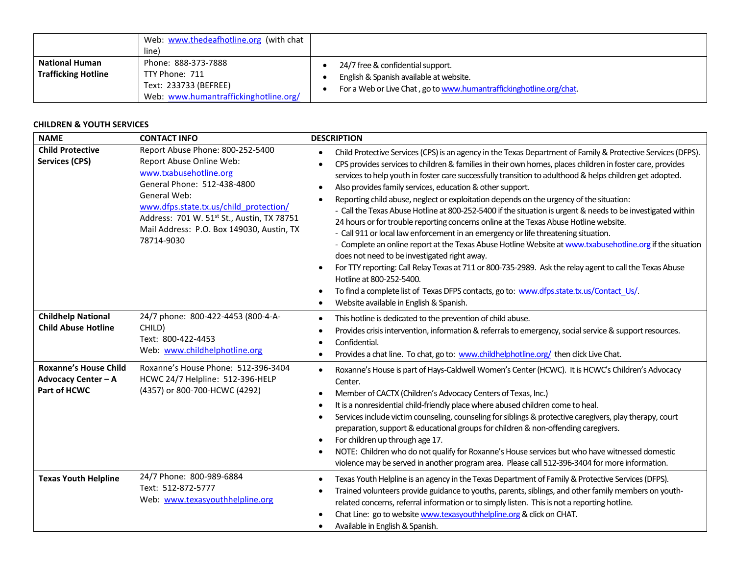|                                                     | Web: www.thedeafhotline.org (with chat<br>line)                                                         |                                                                                                                                                     |
|-----------------------------------------------------|---------------------------------------------------------------------------------------------------------|-----------------------------------------------------------------------------------------------------------------------------------------------------|
| <b>National Human</b><br><b>Trafficking Hotline</b> | Phone: 888-373-7888<br>TTY Phone: 711<br>Text: 233733 (BEFREE)<br>Web: www.humantraffickinghotline.org/ | 24/7 free & confidential support.<br>English & Spanish available at website.<br>For a Web or Live Chat, go to www.humantraffickinghotline.org/chat. |

# **CHILDREN & YOUTH SERVICES**

| <b>NAME</b>                                                                | <b>CONTACT INFO</b>                                                                                                                                                                                                                                                                      | <b>DESCRIPTION</b>                                                                                                                                                                                                                                                                                                                                                                                                                                                                                                                                                                                                                                                                                                                                                                                                                                                                                                                                                                                                                                                                                                                                                                                                                                                                         |
|----------------------------------------------------------------------------|------------------------------------------------------------------------------------------------------------------------------------------------------------------------------------------------------------------------------------------------------------------------------------------|--------------------------------------------------------------------------------------------------------------------------------------------------------------------------------------------------------------------------------------------------------------------------------------------------------------------------------------------------------------------------------------------------------------------------------------------------------------------------------------------------------------------------------------------------------------------------------------------------------------------------------------------------------------------------------------------------------------------------------------------------------------------------------------------------------------------------------------------------------------------------------------------------------------------------------------------------------------------------------------------------------------------------------------------------------------------------------------------------------------------------------------------------------------------------------------------------------------------------------------------------------------------------------------------|
| <b>Child Protective</b><br><b>Services (CPS)</b>                           | Report Abuse Phone: 800-252-5400<br>Report Abuse Online Web:<br>www.txabusehotline.org<br>General Phone: 512-438-4800<br>General Web:<br>www.dfps.state.tx.us/child protection/<br>Address: 701 W. 51st St., Austin, TX 78751<br>Mail Address: P.O. Box 149030, Austin, TX<br>78714-9030 | Child Protective Services (CPS) is an agency in the Texas Department of Family & Protective Services (DFPS).<br>$\bullet$<br>CPS provides services to children & families in their own homes, places children in foster care, provides<br>services to help youth in foster care successfully transition to adulthood & helps children get adopted.<br>Also provides family services, education & other support.<br>$\bullet$<br>Reporting child abuse, neglect or exploitation depends on the urgency of the situation:<br>$\bullet$<br>- Call the Texas Abuse Hotline at 800-252-5400 if the situation is urgent & needs to be investigated within<br>24 hours or for trouble reporting concerns online at the Texas Abuse Hotline website.<br>- Call 911 or local law enforcement in an emergency or life threatening situation.<br>- Complete an online report at the Texas Abuse Hotline Website at www.txabusehotline.org if the situation<br>does not need to be investigated right away.<br>For TTY reporting: Call Relay Texas at 711 or 800-735-2989. Ask the relay agent to call the Texas Abuse<br>Hotline at 800-252-5400.<br>To find a complete list of Texas DFPS contacts, go to: www.dfps.state.tx.us/Contact Us/.<br>$\bullet$<br>Website available in English & Spanish. |
| <b>Childhelp National</b><br><b>Child Abuse Hotline</b>                    | 24/7 phone: 800-422-4453 (800-4-A-<br>CHILD)<br>Text: 800-422-4453<br>Web: www.childhelphotline.org                                                                                                                                                                                      | This hotline is dedicated to the prevention of child abuse.<br>$\bullet$<br>Provides crisis intervention, information & referrals to emergency, social service & support resources.<br>Confidential.<br>Provides a chat line. To chat, go to: www.childhelphotline.org/ then click Live Chat.<br>$\bullet$                                                                                                                                                                                                                                                                                                                                                                                                                                                                                                                                                                                                                                                                                                                                                                                                                                                                                                                                                                                 |
| <b>Roxanne's House Child</b><br><b>Advocacy Center - A</b><br>Part of HCWC | Roxanne's House Phone: 512-396-3404<br>HCWC 24/7 Helpline: 512-396-HELP<br>(4357) or 800-700-HCWC (4292)                                                                                                                                                                                 | Roxanne's House is part of Hays-Caldwell Women's Center (HCWC). It is HCWC's Children's Advocacy<br>$\bullet$<br>Center.<br>Member of CACTX (Children's Advocacy Centers of Texas, Inc.)<br>$\bullet$<br>It is a nonresidential child-friendly place where abused children come to heal.<br>Services include victim counseling, counseling for siblings & protective caregivers, play therapy, court<br>preparation, support & educational groups for children & non-offending caregivers.<br>For children up through age 17.<br>$\bullet$<br>NOTE: Children who do not qualify for Roxanne's House services but who have witnessed domestic<br>violence may be served in another program area. Please call 512-396-3404 for more information.                                                                                                                                                                                                                                                                                                                                                                                                                                                                                                                                             |
| <b>Texas Youth Helpline</b>                                                | 24/7 Phone: 800-989-6884<br>Text: 512-872-5777<br>Web: www.texasyouthhelpline.org                                                                                                                                                                                                        | Texas Youth Helpline is an agency in the Texas Department of Family & Protective Services (DFPS).<br>Trained volunteers provide guidance to youths, parents, siblings, and other family members on youth-<br>related concerns, referral information or to simply listen. This is not a reporting hotline.<br>Chat Line: go to website www.texasyouthhelpline.org & click on CHAT.<br>$\bullet$<br>Available in English & Spanish.                                                                                                                                                                                                                                                                                                                                                                                                                                                                                                                                                                                                                                                                                                                                                                                                                                                          |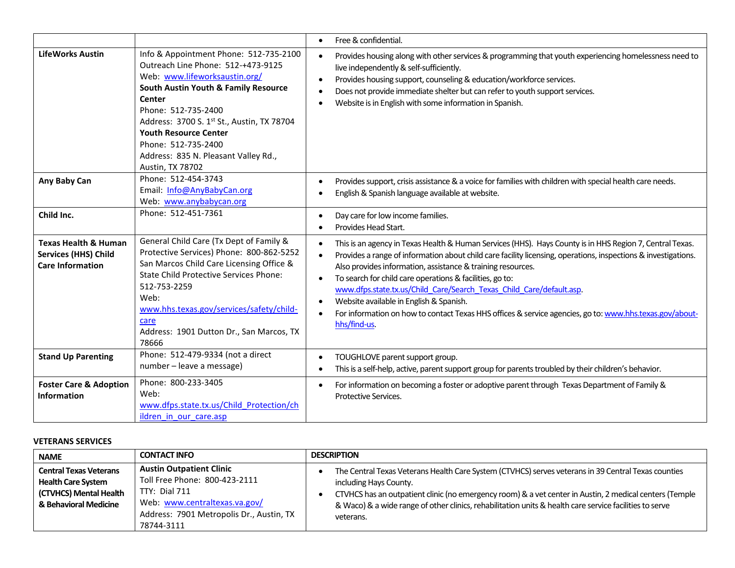|                                                                                           |                                                                                                                                                                                                                                                                                                                                                                    | Free & confidential.<br>$\bullet$                                                                                                                                                                                                                                                                                                                                                                                                                                                                                                                                                                   |
|-------------------------------------------------------------------------------------------|--------------------------------------------------------------------------------------------------------------------------------------------------------------------------------------------------------------------------------------------------------------------------------------------------------------------------------------------------------------------|-----------------------------------------------------------------------------------------------------------------------------------------------------------------------------------------------------------------------------------------------------------------------------------------------------------------------------------------------------------------------------------------------------------------------------------------------------------------------------------------------------------------------------------------------------------------------------------------------------|
| <b>LifeWorks Austin</b>                                                                   | Info & Appointment Phone: 512-735-2100<br>Outreach Line Phone: 512-+473-9125<br>Web: www.lifeworksaustin.org/<br><b>South Austin Youth &amp; Family Resource</b><br>Center<br>Phone: 512-735-2400<br>Address: 3700 S. 1st St., Austin, TX 78704<br><b>Youth Resource Center</b><br>Phone: 512-735-2400<br>Address: 835 N. Pleasant Valley Rd.,<br>Austin, TX 78702 | Provides housing along with other services & programming that youth experiencing homelessness need to<br>live independently & self-sufficiently.<br>Provides housing support, counseling & education/workforce services.<br>Does not provide immediate shelter but can refer to youth support services.<br>Website is in English with some information in Spanish.                                                                                                                                                                                                                                  |
| Any Baby Can                                                                              | Phone: 512-454-3743<br>Email: Info@AnyBabyCan.org<br>Web: www.anybabycan.org                                                                                                                                                                                                                                                                                       | Provides support, crisis assistance & a voice for families with children with special health care needs.<br>English & Spanish language available at website.                                                                                                                                                                                                                                                                                                                                                                                                                                        |
| Child Inc.                                                                                | Phone: 512-451-7361                                                                                                                                                                                                                                                                                                                                                | Day care for low income families.<br>Provides Head Start.                                                                                                                                                                                                                                                                                                                                                                                                                                                                                                                                           |
| <b>Texas Health &amp; Human</b><br><b>Services (HHS) Child</b><br><b>Care Information</b> | General Child Care (Tx Dept of Family &<br>Protective Services) Phone: 800-862-5252<br>San Marcos Child Care Licensing Office &<br><b>State Child Protective Services Phone:</b><br>512-753-2259<br>Web:<br>www.hhs.texas.gov/services/safety/child-<br>care<br>Address: 1901 Dutton Dr., San Marcos, TX<br>78666                                                  | This is an agency in Texas Health & Human Services (HHS). Hays County is in HHS Region 7, Central Texas.<br>Provides a range of information about child care facility licensing, operations, inspections & investigations.<br>Also provides information, assistance & training resources.<br>To search for child care operations & facilities, go to:<br>www.dfps.state.tx.us/Child Care/Search Texas Child Care/default.asp.<br>Website available in English & Spanish.<br>For information on how to contact Texas HHS offices & service agencies, go to: www.hhs.texas.gov/about-<br>hhs/find-us. |
| <b>Stand Up Parenting</b>                                                                 | Phone: 512-479-9334 (not a direct<br>number - leave a message)                                                                                                                                                                                                                                                                                                     | TOUGHLOVE parent support group.<br>This is a self-help, active, parent support group for parents troubled by their children's behavior.                                                                                                                                                                                                                                                                                                                                                                                                                                                             |
| <b>Foster Care &amp; Adoption</b><br><b>Information</b>                                   | Phone: 800-233-3405<br>Web:<br>www.dfps.state.tx.us/Child Protection/ch<br>ildren in our care.asp                                                                                                                                                                                                                                                                  | For information on becoming a foster or adoptive parent through Texas Department of Family &<br>Protective Services.                                                                                                                                                                                                                                                                                                                                                                                                                                                                                |

# **VETERANS SERVICES**

| <b>NAME</b>                                                                                                   | <b>CONTACT INFO</b>                                                                                                                                                          | <b>DESCRIPTION</b>                                                                                                                                                                                                                                                                                                                                               |  |
|---------------------------------------------------------------------------------------------------------------|------------------------------------------------------------------------------------------------------------------------------------------------------------------------------|------------------------------------------------------------------------------------------------------------------------------------------------------------------------------------------------------------------------------------------------------------------------------------------------------------------------------------------------------------------|--|
| <b>Central Texas Veterans</b><br><b>Health Care System</b><br>(CTVHCS) Mental Health<br>& Behavioral Medicine | <b>Austin Outpatient Clinic</b><br>Toll Free Phone: 800-423-2111<br>TTY: Dial 711<br>Web: www.centraltexas.va.gov/<br>Address: 7901 Metropolis Dr., Austin, TX<br>78744-3111 | The Central Texas Veterans Health Care System (CTVHCS) serves veterans in 39 Central Texas counties<br>including Hays County.<br>CTVHCS has an outpatient clinic (no emergency room) & a vet center in Austin, 2 medical centers (Temple<br>& Waco) & a wide range of other clinics, rehabilitation units & health care service facilities to serve<br>veterans. |  |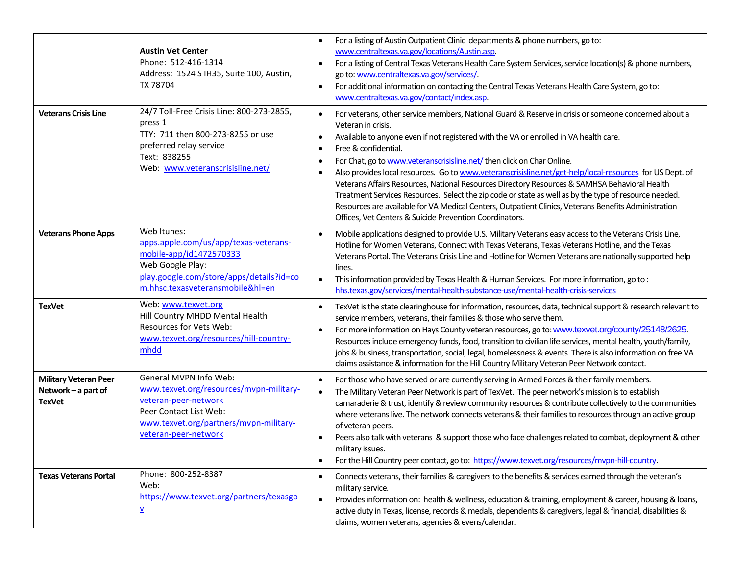|                                                                      | <b>Austin Vet Center</b><br>Phone: 512-416-1314<br>Address: 1524 S IH35, Suite 100, Austin,<br>TX 78704                                                                               | For a listing of Austin Outpatient Clinic departments & phone numbers, go to:<br>$\bullet$<br>www.centraltexas.va.gov/locations/Austin.asp.<br>For a listing of Central Texas Veterans Health Care System Services, service location(s) & phone numbers,<br>$\bullet$<br>go to: www.centraltexas.va.gov/services/<br>For additional information on contacting the Central Texas Veterans Health Care System, go to:<br>$\bullet$<br>www.centraltexas.va.gov/contact/index.asp.                                                                                                                                                                                                                                                                                                                                                                                         |
|----------------------------------------------------------------------|---------------------------------------------------------------------------------------------------------------------------------------------------------------------------------------|------------------------------------------------------------------------------------------------------------------------------------------------------------------------------------------------------------------------------------------------------------------------------------------------------------------------------------------------------------------------------------------------------------------------------------------------------------------------------------------------------------------------------------------------------------------------------------------------------------------------------------------------------------------------------------------------------------------------------------------------------------------------------------------------------------------------------------------------------------------------|
| <b>Veterans Crisis Line</b>                                          | 24/7 Toll-Free Crisis Line: 800-273-2855,<br>press 1<br>TTY: 711 then 800-273-8255 or use<br>preferred relay service<br>Text: 838255<br>Web: www.veteranscrisisline.net/              | For veterans, other service members, National Guard & Reserve in crisis or someone concerned about a<br>$\bullet$<br>Veteran in crisis.<br>Available to anyone even if not registered with the VA or enrolled in VA health care.<br>$\bullet$<br>Free & confidential.<br>$\bullet$<br>For Chat, go to www.veteranscrisisline.net/then click on Char Online.<br>٠<br>Also provides local resources. Go to www.veteranscrisisline.net/get-help/local-resources for US Dept. of<br>$\bullet$<br>Veterans Affairs Resources, National Resources Directory Resources & SAMHSA Behavioral Health<br>Treatment Services Resources. Select the zip code or state as well as by the type of resource needed.<br>Resources are available for VA Medical Centers, Outpatient Clinics, Veterans Benefits Administration<br>Offices, Vet Centers & Suicide Prevention Coordinators. |
| <b>Veterans Phone Apps</b>                                           | Web Itunes:<br>apps.apple.com/us/app/texas-veterans-<br>mobile-app/id1472570333<br>Web Google Play:<br>play.google.com/store/apps/details?id=co<br>m.hhsc.texasveteransmobile&hl=en   | Mobile applications designed to provide U.S. Military Veterans easy access to the Veterans Crisis Line,<br>$\bullet$<br>Hotline for Women Veterans, Connect with Texas Veterans, Texas Veterans Hotline, and the Texas<br>Veterans Portal. The Veterans Crisis Line and Hotline for Women Veterans are nationally supported help<br>lines.<br>This information provided by Texas Health & Human Services. For more information, go to:<br>hhs.texas.gov/services/mental-health-substance-use/mental-health-crisis-services                                                                                                                                                                                                                                                                                                                                             |
| <b>TexVet</b>                                                        | Web: www.texvet.org<br>Hill Country MHDD Mental Health<br>Resources for Vets Web:<br>www.texvet.org/resources/hill-country-<br>mhdd                                                   | TexVet is the state clearinghouse for information, resources, data, technical support & research relevant to<br>$\bullet$<br>service members, veterans, their families & those who serve them.<br>For more information on Hays County veteran resources, go to: www.texvet.org/county/25148/2625.<br>$\bullet$<br>Resources include emergency funds, food, transition to civilian life services, mental health, youth/family,<br>jobs & business, transportation, social, legal, homelessness & events There is also information on free VA<br>claims assistance & information for the Hill Country Military Veteran Peer Network contact.                                                                                                                                                                                                                             |
| <b>Military Veteran Peer</b><br>Network - a part of<br><b>TexVet</b> | General MVPN Info Web:<br>www.texvet.org/resources/mypn-military-<br>veteran-peer-network<br>Peer Contact List Web:<br>www.texvet.org/partners/mvpn-military-<br>veteran-peer-network | For those who have served or are currently serving in Armed Forces & their family members.<br>$\bullet$<br>The Military Veteran Peer Network is part of TexVet. The peer network's mission is to establish<br>$\bullet$<br>camaraderie & trust, identify & review community resources & contribute collectively to the communities<br>where veterans live. The network connects veterans & their families to resources through an active group<br>of veteran peers.<br>Peers also talk with veterans & support those who face challenges related to combat, deployment & other<br>military issues.<br>For the Hill Country peer contact, go to: https://www.texvet.org/resources/mypn-hill-country.                                                                                                                                                                    |
| <b>Texas Veterans Portal</b>                                         | Phone: 800-252-8387<br>Web:<br>https://www.texvet.org/partners/texasgo<br>$\overline{\Lambda}$                                                                                        | Connects veterans, their families & caregivers to the benefits & services earned through the veteran's<br>$\bullet$<br>military service.<br>Provides information on: health & wellness, education & training, employment & career, housing & loans,<br>$\bullet$<br>active duty in Texas, license, records & medals, dependents & caregivers, legal & financial, disabilities &<br>claims, women veterans, agencies & evens/calendar.                                                                                                                                                                                                                                                                                                                                                                                                                                  |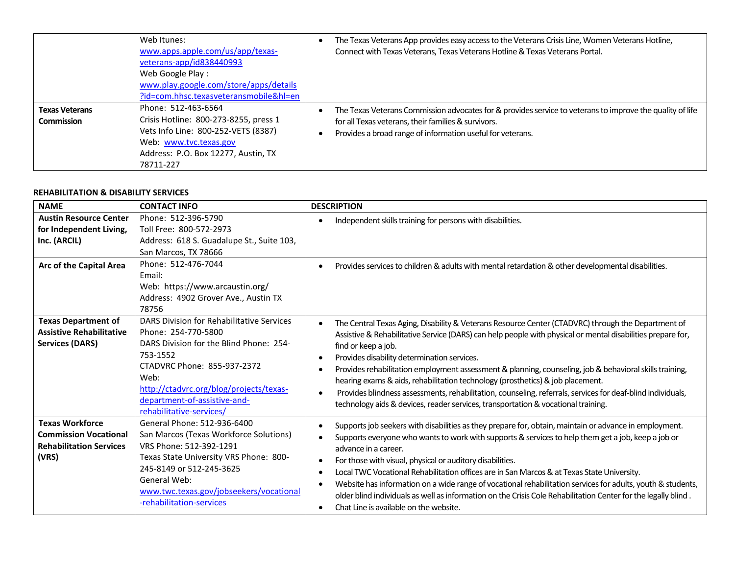|                                     | Web Itunes:<br>www.apps.apple.com/us/app/texas-<br>veterans-app/id838440993<br>Web Google Play:<br>www.play.google.com/store/apps/details<br>?id=com.hhsc.texasveteransmobile&hl=en | The Texas Veterans App provides easy access to the Veterans Crisis Line, Women Veterans Hotline,<br>Connect with Texas Veterans, Texas Veterans Hotline & Texas Veterans Portal.                                               |
|-------------------------------------|-------------------------------------------------------------------------------------------------------------------------------------------------------------------------------------|--------------------------------------------------------------------------------------------------------------------------------------------------------------------------------------------------------------------------------|
| <b>Texas Veterans</b><br>Commission | Phone: 512-463-6564<br>Crisis Hotline: 800-273-8255, press 1<br>Vets Info Line: 800-252-VETS (8387)<br>Web: www.tvc.texas.gov<br>Address: P.O. Box 12277, Austin, TX<br>78711-227   | The Texas Veterans Commission advocates for & provides service to veterans to improve the quality of life<br>for all Texas veterans, their families & survivors.<br>Provides a broad range of information useful for veterans. |

### **REHABILITATION & DISABILITY SERVICES**

| <b>NAME</b>                                                                                       | <b>CONTACT INFO</b>                                                                                                                                                                                                                                                   | <b>DESCRIPTION</b>                                                                                                                                                                                                                                                                                                                                                                                                                                                                                                                                                                                                                                                                                    |
|---------------------------------------------------------------------------------------------------|-----------------------------------------------------------------------------------------------------------------------------------------------------------------------------------------------------------------------------------------------------------------------|-------------------------------------------------------------------------------------------------------------------------------------------------------------------------------------------------------------------------------------------------------------------------------------------------------------------------------------------------------------------------------------------------------------------------------------------------------------------------------------------------------------------------------------------------------------------------------------------------------------------------------------------------------------------------------------------------------|
| <b>Austin Resource Center</b><br>for Independent Living,<br>Inc. (ARCIL)                          | Phone: 512-396-5790<br>Toll Free: 800-572-2973<br>Address: 618 S. Guadalupe St., Suite 103,<br>San Marcos, TX 78666                                                                                                                                                   | Independent skills training for persons with disabilities.                                                                                                                                                                                                                                                                                                                                                                                                                                                                                                                                                                                                                                            |
| Arc of the Capital Area                                                                           | Phone: 512-476-7044<br>Email:<br>Web: https://www.arcaustin.org/<br>Address: 4902 Grover Ave., Austin TX<br>78756                                                                                                                                                     | Provides services to children & adults with mental retardation & other developmental disabilities.                                                                                                                                                                                                                                                                                                                                                                                                                                                                                                                                                                                                    |
| <b>Texas Department of</b><br><b>Assistive Rehabilitative</b><br><b>Services (DARS)</b>           | DARS Division for Rehabilitative Services<br>Phone: 254-770-5800<br>DARS Division for the Blind Phone: 254-<br>753-1552<br>CTADVRC Phone: 855-937-2372<br>Web:<br>http://ctadvrc.org/blog/projects/texas-<br>department-of-assistive-and-<br>rehabilitative-services/ | The Central Texas Aging, Disability & Veterans Resource Center (CTADVRC) through the Department of<br>Assistive & Rehabilitative Service (DARS) can help people with physical or mental disabilities prepare for,<br>find or keep a job.<br>Provides disability determination services.<br>Provides rehabilitation employment assessment & planning, counseling, job & behavioral skills training,<br>hearing exams & aids, rehabilitation technology (prosthetics) & job placement.<br>Provides blindness assessments, rehabilitation, counseling, referrals, services for deaf-blind individuals,<br>$\bullet$<br>technology aids & devices, reader services, transportation & vocational training. |
| <b>Texas Workforce</b><br><b>Commission Vocational</b><br><b>Rehabilitation Services</b><br>(VRS) | General Phone: 512-936-6400<br>San Marcos (Texas Workforce Solutions)<br>VRS Phone: 512-392-1291<br>Texas State University VRS Phone: 800-<br>245-8149 or 512-245-3625<br>General Web:<br>www.twc.texas.gov/jobseekers/vocational<br>-rehabilitation-services         | Supports job seekers with disabilities as they prepare for, obtain, maintain or advance in employment.<br>Supports everyone who wants to work with supports & services to help them get a job, keep a job or<br>advance in a career.<br>For those with visual, physical or auditory disabilities.<br>Local TWC Vocational Rehabilitation offices are in San Marcos & at Texas State University.<br>Website has information on a wide range of vocational rehabilitation services for adults, youth & students,<br>older blind individuals as well as information on the Crisis Cole Rehabilitation Center for the legally blind.<br>Chat Line is available on the website.                            |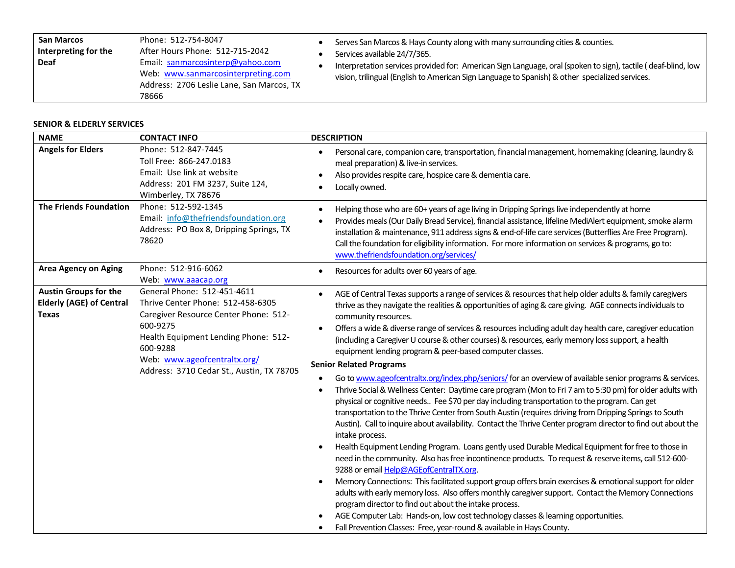| <b>San Marcos</b><br>Interpreting for the<br><b>Deaf</b> | Phone: 512-754-8047<br>After Hours Phone: 512-715-2042<br>Email: sanmarcosinterp@yahoo.com<br>Web: www.sanmarcosinterpreting.com<br>Address: 2706 Leslie Lane, San Marcos, TX<br>78666 |  | Serves San Marcos & Hays County along with many surrounding cities & counties.<br>Services available 24/7/365.<br>Interpretation services provided for: American Sign Language, oral (spoken to sign), tactile (deaf-blind, low<br>vision, trilingual (English to American Sign Language to Spanish) & other specialized services. |
|----------------------------------------------------------|----------------------------------------------------------------------------------------------------------------------------------------------------------------------------------------|--|------------------------------------------------------------------------------------------------------------------------------------------------------------------------------------------------------------------------------------------------------------------------------------------------------------------------------------|
|----------------------------------------------------------|----------------------------------------------------------------------------------------------------------------------------------------------------------------------------------------|--|------------------------------------------------------------------------------------------------------------------------------------------------------------------------------------------------------------------------------------------------------------------------------------------------------------------------------------|

#### **SENIOR & ELDERLY SERVICES**

| <b>NAME</b>                                                                     | <b>CONTACT INFO</b>                                                                                                                                                                                                                                    | <b>DESCRIPTION</b>                                                                                                                                                                                                                                                                                                                                                                                                                                                                                                                                                                                                                                                                                                                                                                                                                                                                                                                                                                                                                                                                                                                                                                                                                                                                                                                                                                                                                                                                                                                                                                                                                                                                                                                                                                                                                                                  |
|---------------------------------------------------------------------------------|--------------------------------------------------------------------------------------------------------------------------------------------------------------------------------------------------------------------------------------------------------|---------------------------------------------------------------------------------------------------------------------------------------------------------------------------------------------------------------------------------------------------------------------------------------------------------------------------------------------------------------------------------------------------------------------------------------------------------------------------------------------------------------------------------------------------------------------------------------------------------------------------------------------------------------------------------------------------------------------------------------------------------------------------------------------------------------------------------------------------------------------------------------------------------------------------------------------------------------------------------------------------------------------------------------------------------------------------------------------------------------------------------------------------------------------------------------------------------------------------------------------------------------------------------------------------------------------------------------------------------------------------------------------------------------------------------------------------------------------------------------------------------------------------------------------------------------------------------------------------------------------------------------------------------------------------------------------------------------------------------------------------------------------------------------------------------------------------------------------------------------------|
| <b>Angels for Elders</b>                                                        | Phone: 512-847-7445<br>Toll Free: 866-247.0183<br>Email: Use link at website<br>Address: 201 FM 3237, Suite 124,<br>Wimberley, TX 78676                                                                                                                | Personal care, companion care, transportation, financial management, homemaking (cleaning, laundry &<br>$\bullet$<br>meal preparation) & live-in services.<br>Also provides respite care, hospice care & dementia care.<br>Locally owned.                                                                                                                                                                                                                                                                                                                                                                                                                                                                                                                                                                                                                                                                                                                                                                                                                                                                                                                                                                                                                                                                                                                                                                                                                                                                                                                                                                                                                                                                                                                                                                                                                           |
| <b>The Friends Foundation</b>                                                   | Phone: 512-592-1345<br>Email: info@thefriendsfoundation.org<br>Address: PO Box 8, Dripping Springs, TX<br>78620                                                                                                                                        | Helping those who are 60+ years of age living in Dripping Springs live independently at home<br>Provides meals (Our Daily Bread Service), financial assistance, lifeline MediAlert equipment, smoke alarm<br>installation & maintenance, 911 address signs & end-of-life care services (Butterflies Are Free Program).<br>Call the foundation for eligibility information. For more information on services & programs, go to:<br>www.thefriendsfoundation.org/services/                                                                                                                                                                                                                                                                                                                                                                                                                                                                                                                                                                                                                                                                                                                                                                                                                                                                                                                                                                                                                                                                                                                                                                                                                                                                                                                                                                                            |
| <b>Area Agency on Aging</b>                                                     | Phone: 512-916-6062<br>Web: www.aaacap.org                                                                                                                                                                                                             | Resources for adults over 60 years of age.<br>$\bullet$                                                                                                                                                                                                                                                                                                                                                                                                                                                                                                                                                                                                                                                                                                                                                                                                                                                                                                                                                                                                                                                                                                                                                                                                                                                                                                                                                                                                                                                                                                                                                                                                                                                                                                                                                                                                             |
| <b>Austin Groups for the</b><br><b>Elderly (AGE) of Central</b><br><b>Texas</b> | General Phone: 512-451-4611<br>Thrive Center Phone: 512-458-6305<br>Caregiver Resource Center Phone: 512-<br>600-9275<br>Health Equipment Lending Phone: 512-<br>600-9288<br>Web: www.ageofcentraltx.org/<br>Address: 3710 Cedar St., Austin, TX 78705 | AGE of Central Texas supports a range of services & resources that help older adults & family caregivers<br>$\bullet$<br>thrive as they navigate the realities & opportunities of aging & care giving. AGE connects individuals to<br>community resources.<br>Offers a wide & diverse range of services & resources including adult day health care, caregiver education<br>$\bullet$<br>(including a Caregiver U course & other courses) & resources, early memory loss support, a health<br>equipment lending program & peer-based computer classes.<br><b>Senior Related Programs</b><br>Go to www.ageofcentraltx.org/index.php/seniors/ for an overview of available senior programs & services.<br>Thrive Social & Wellness Center: Daytime care program (Mon to Fri 7 am to 5:30 pm) for older adults with<br>physical or cognitive needs Fee \$70 per day including transportation to the program. Can get<br>transportation to the Thrive Center from South Austin (requires driving from Dripping Springs to South<br>Austin). Call to inquire about availability. Contact the Thrive Center program director to find out about the<br>intake process.<br>Health Equipment Lending Program. Loans gently used Durable Medical Equipment for free to those in<br>need in the community. Also has free incontinence products. To request & reserve items, call 512-600-<br>9288 or email Help@AGEofCentralTX.org.<br>Memory Connections: This facilitated support group offers brain exercises & emotional support for older<br>adults with early memory loss. Also offers monthly caregiver support. Contact the Memory Connections<br>program director to find out about the intake process.<br>AGE Computer Lab: Hands-on, low cost technology classes & learning opportunities.<br>Fall Prevention Classes: Free, year-round & available in Hays County. |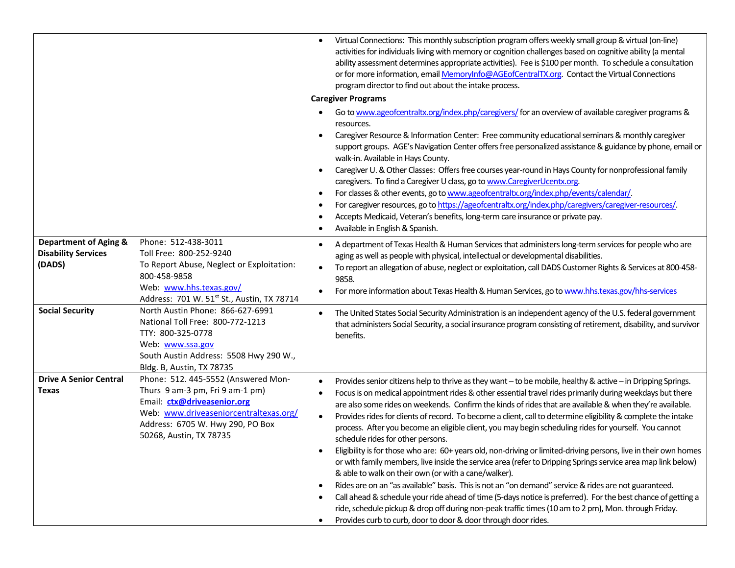|                                                                          |                                                                                                                                                                                                                | Virtual Connections: This monthly subscription program offers weekly small group & virtual (on-line)<br>$\bullet$<br>activities for individuals living with memory or cognition challenges based on cognitive ability (a mental<br>ability assessment determines appropriate activities). Fee is \$100 per month. To schedule a consultation<br>or for more information, email MemoryInfo@AGEofCentralTX.org. Contact the Virtual Connections<br>program director to find out about the intake process.<br><b>Caregiver Programs</b><br>Go to www.ageofcentraltx.org/index.php/caregivers/ for an overview of available caregiver programs &                                                                                                                                                                                                                                                                                                                                                                                                                                                                                                                                                                                                                                                                                             |
|--------------------------------------------------------------------------|----------------------------------------------------------------------------------------------------------------------------------------------------------------------------------------------------------------|------------------------------------------------------------------------------------------------------------------------------------------------------------------------------------------------------------------------------------------------------------------------------------------------------------------------------------------------------------------------------------------------------------------------------------------------------------------------------------------------------------------------------------------------------------------------------------------------------------------------------------------------------------------------------------------------------------------------------------------------------------------------------------------------------------------------------------------------------------------------------------------------------------------------------------------------------------------------------------------------------------------------------------------------------------------------------------------------------------------------------------------------------------------------------------------------------------------------------------------------------------------------------------------------------------------------------------------|
|                                                                          |                                                                                                                                                                                                                | resources.<br>Caregiver Resource & Information Center: Free community educational seminars & monthly caregiver<br>support groups. AGE's Navigation Center offers free personalized assistance & guidance by phone, email or<br>walk-in. Available in Hays County.<br>Caregiver U. & Other Classes: Offers free courses year-round in Hays County for nonprofessional family<br>$\bullet$<br>caregivers. To find a Caregiver U class, go to www.CaregiverUcentx.org.<br>For classes & other events, go to www.ageofcentraltx.org/index.php/events/calendar/.<br>$\bullet$<br>For caregiver resources, go to https://ageofcentraltx.org/index.php/caregivers/caregiver-resources/.<br>Accepts Medicaid, Veteran's benefits, long-term care insurance or private pay.<br>Available in English & Spanish.                                                                                                                                                                                                                                                                                                                                                                                                                                                                                                                                    |
| <b>Department of Aging &amp;</b><br><b>Disability Services</b><br>(DADS) | Phone: 512-438-3011<br>Toll Free: 800-252-9240<br>To Report Abuse, Neglect or Exploitation:<br>800-458-9858<br>Web: www.hhs.texas.gov/<br>Address: 701 W. 51st St., Austin, TX 78714                           | A department of Texas Health & Human Services that administers long-term services for people who are<br>aging as well as people with physical, intellectual or developmental disabilities.<br>To report an allegation of abuse, neglect or exploitation, call DADS Customer Rights & Services at 800-458-<br>9858.<br>For more information about Texas Health & Human Services, go to www.hhs.texas.gov/hhs-services                                                                                                                                                                                                                                                                                                                                                                                                                                                                                                                                                                                                                                                                                                                                                                                                                                                                                                                     |
| <b>Social Security</b>                                                   | North Austin Phone: 866-627-6991<br>National Toll Free: 800-772-1213<br>TTY: 800-325-0778<br>Web: www.ssa.gov<br>South Austin Address: 5508 Hwy 290 W.,<br>Bldg. B, Austin, TX 78735                           | The United States Social Security Administration is an independent agency of the U.S. federal government<br>$\bullet$<br>that administers Social Security, a social insurance program consisting of retirement, disability, and survivor<br>benefits.                                                                                                                                                                                                                                                                                                                                                                                                                                                                                                                                                                                                                                                                                                                                                                                                                                                                                                                                                                                                                                                                                    |
| <b>Drive A Senior Central</b><br>Texas                                   | Phone: 512. 445-5552 (Answered Mon-<br>Thurs 9 am-3 pm, Fri 9 am-1 pm)<br>Email: ctx@driveasenior.org<br>Web: www.driveaseniorcentraltexas.org/<br>Address: 6705 W. Hwy 290, PO Box<br>50268, Austin, TX 78735 | Provides senior citizens help to thrive as they want - to be mobile, healthy & active - in Dripping Springs.<br>$\bullet$<br>Focus is on medical appointment rides & other essential travel rides primarily during weekdays but there<br>$\bullet$<br>are also some rides on weekends. Confirm the kinds of rides that are available & when they're available.<br>Provides rides for clients of record. To become a client, call to determine eligibility & complete the intake<br>process. After you become an eligible client, you may begin scheduling rides for yourself. You cannot<br>schedule rides for other persons.<br>Eligibility is for those who are: 60+ years old, non-driving or limited-driving persons, live in their own homes<br>or with family members, live inside the service area (refer to Dripping Springs service area map link below)<br>& able to walk on their own (or with a cane/walker).<br>Rides are on an "as available" basis. This is not an "on demand" service & rides are not guaranteed.<br>Call ahead & schedule your ride ahead of time (5-days notice is preferred). For the best chance of getting a<br>ride, schedule pickup & drop off during non-peak traffic times (10 am to 2 pm), Mon. through Friday.<br>Provides curb to curb, door to door & door through door rides.<br>$\bullet$ |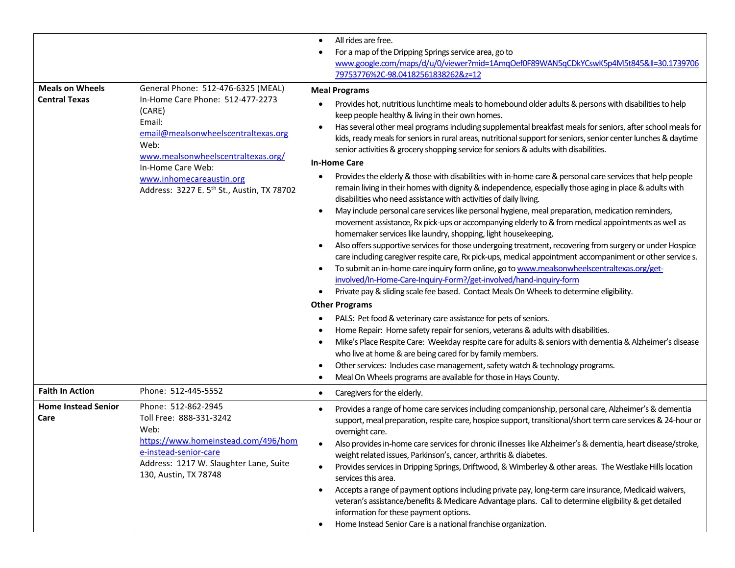|                                                |                                                                                                                                                                                                                                                                                            | All rides are free.<br>$\bullet$<br>For a map of the Dripping Springs service area, go to<br>www.google.com/maps/d/u/0/viewer?mid=1AmgOef0F89WAN5qCDkYCswK5p4M5t845≪=30.1739706<br>79753776%2C-98.04182561838262&z=12                                                                                                                                                                                                                                                                                                                                                                                                                                                                                                                                                                                                                                                                                                                                                                                                                                                                                                                                                                                                                                                                                                                                                                                                                                                                                                                                                                                                                                                                                                                                                                                                                                                                                                                                                                                                                                                                                                                                                                               |
|------------------------------------------------|--------------------------------------------------------------------------------------------------------------------------------------------------------------------------------------------------------------------------------------------------------------------------------------------|-----------------------------------------------------------------------------------------------------------------------------------------------------------------------------------------------------------------------------------------------------------------------------------------------------------------------------------------------------------------------------------------------------------------------------------------------------------------------------------------------------------------------------------------------------------------------------------------------------------------------------------------------------------------------------------------------------------------------------------------------------------------------------------------------------------------------------------------------------------------------------------------------------------------------------------------------------------------------------------------------------------------------------------------------------------------------------------------------------------------------------------------------------------------------------------------------------------------------------------------------------------------------------------------------------------------------------------------------------------------------------------------------------------------------------------------------------------------------------------------------------------------------------------------------------------------------------------------------------------------------------------------------------------------------------------------------------------------------------------------------------------------------------------------------------------------------------------------------------------------------------------------------------------------------------------------------------------------------------------------------------------------------------------------------------------------------------------------------------------------------------------------------------------------------------------------------------|
| <b>Meals on Wheels</b><br><b>Central Texas</b> | General Phone: 512-476-6325 (MEAL)<br>In-Home Care Phone: 512-477-2273<br>(CARE)<br>Email:<br>email@mealsonwheelscentraltexas.org<br>Web:<br>www.mealsonwheelscentraltexas.org/<br>In-Home Care Web:<br>www.inhomecareaustin.org<br>Address: 3227 E. 5 <sup>th</sup> St., Austin, TX 78702 | <b>Meal Programs</b><br>Provides hot, nutritious lunchtime meals to homebound older adults & persons with disabilities to help<br>keep people healthy & living in their own homes.<br>Has several other meal programs including supplemental breakfast meals for seniors, after school meals for<br>kids, ready meals for seniors in rural areas, nutritional support for seniors, senior center lunches & daytime<br>senior activities & grocery shopping service for seniors & adults with disabilities.<br><b>In-Home Care</b><br>Provides the elderly & those with disabilities with in-home care & personal care services that help people<br>$\bullet$<br>remain living in their homes with dignity & independence, especially those aging in place & adults with<br>disabilities who need assistance with activities of daily living.<br>May include personal care services like personal hygiene, meal preparation, medication reminders,<br>$\bullet$<br>movement assistance, Rx pick-ups or accompanying elderly to & from medical appointments as well as<br>homemaker services like laundry, shopping, light housekeeping,<br>Also offers supportive services for those undergoing treatment, recovering from surgery or under Hospice<br>care including caregiver respite care, Rx pick-ups, medical appointment accompaniment or other service s.<br>To submit an in-home care inquiry form online, go to www.mealsonwheelscentraltexas.org/get-<br>involved/In-Home-Care-Inquiry-Form?/get-involved/hand-inquiry-form<br>Private pay & sliding scale fee based. Contact Meals On Wheels to determine eligibility.<br>$\bullet$<br><b>Other Programs</b><br>PALS: Pet food & veterinary care assistance for pets of seniors.<br>Home Repair: Home safety repair for seniors, veterans & adults with disabilities.<br>Mike's Place Respite Care: Weekday respite care for adults & seniors with dementia & Alzheimer's disease<br>$\bullet$<br>who live at home & are being cared for by family members.<br>Other services: Includes case management, safety watch & technology programs.<br>$\bullet$<br>Meal On Wheels programs are available for those in Hays County.<br>$\bullet$ |
| <b>Faith In Action</b>                         | Phone: 512-445-5552                                                                                                                                                                                                                                                                        | Caregivers for the elderly.<br>$\bullet$                                                                                                                                                                                                                                                                                                                                                                                                                                                                                                                                                                                                                                                                                                                                                                                                                                                                                                                                                                                                                                                                                                                                                                                                                                                                                                                                                                                                                                                                                                                                                                                                                                                                                                                                                                                                                                                                                                                                                                                                                                                                                                                                                            |
| <b>Home Instead Senior</b><br>Care             | Phone: 512-862-2945<br>Toll Free: 888-331-3242<br>Web:<br>https://www.homeinstead.com/496/hom<br>e-instead-senior-care<br>Address: 1217 W. Slaughter Lane, Suite<br>130, Austin, TX 78748                                                                                                  | Provides a range of home care services including companionship, personal care, Alzheimer's & dementia<br>$\bullet$<br>support, meal preparation, respite care, hospice support, transitional/short term care services & 24-hour or<br>overnight care.<br>Also provides in-home care services for chronic illnesses like Alzheimer's & dementia, heart disease/stroke,<br>weight related issues, Parkinson's, cancer, arthritis & diabetes.<br>Provides services in Dripping Springs, Driftwood, & Wimberley & other areas. The Westlake Hills location<br>$\bullet$<br>services this area.<br>Accepts a range of payment options including private pay, long-term care insurance, Medicaid waivers,<br>$\bullet$<br>veteran's assistance/benefits & Medicare Advantage plans. Call to determine eligibility & get detailed<br>information for these payment options.<br>Home Instead Senior Care is a national franchise organization.<br>٠                                                                                                                                                                                                                                                                                                                                                                                                                                                                                                                                                                                                                                                                                                                                                                                                                                                                                                                                                                                                                                                                                                                                                                                                                                                         |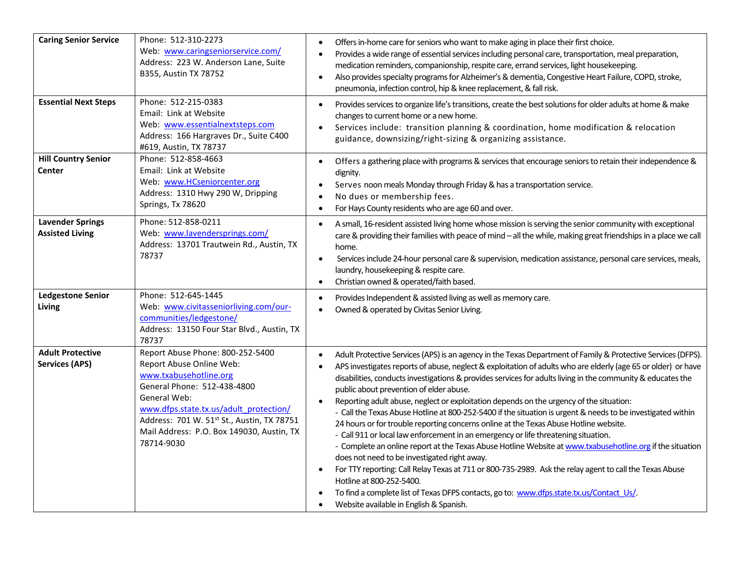| <b>Caring Senior Service</b>                      | Phone: 512-310-2273<br>Web: www.caringseniorservice.com/<br>Address: 223 W. Anderson Lane, Suite<br>B355, Austin TX 78752                                                                                                                                                                | Offers in-home care for seniors who want to make aging in place their first choice.<br>$\bullet$<br>Provides a wide range of essential services including personal care, transportation, meal preparation,<br>medication reminders, companionship, respite care, errand services, light housekeeping.<br>Also provides specialty programs for Alzheimer's & dementia, Congestive Heart Failure, COPD, stroke,<br>$\bullet$<br>pneumonia, infection control, hip & knee replacement, & fall risk.                                                                                                                                                                                                                                                                                                                                                                                                                                                                                                                                                                                                                                                                                                                                                      |
|---------------------------------------------------|------------------------------------------------------------------------------------------------------------------------------------------------------------------------------------------------------------------------------------------------------------------------------------------|-------------------------------------------------------------------------------------------------------------------------------------------------------------------------------------------------------------------------------------------------------------------------------------------------------------------------------------------------------------------------------------------------------------------------------------------------------------------------------------------------------------------------------------------------------------------------------------------------------------------------------------------------------------------------------------------------------------------------------------------------------------------------------------------------------------------------------------------------------------------------------------------------------------------------------------------------------------------------------------------------------------------------------------------------------------------------------------------------------------------------------------------------------------------------------------------------------------------------------------------------------|
| <b>Essential Next Steps</b>                       | Phone: 512-215-0383<br>Email: Link at Website<br>Web: www.essentialnextsteps.com<br>Address: 166 Hargraves Dr., Suite C400<br>#619, Austin, TX 78737                                                                                                                                     | Provides services to organize life's transitions, create the best solutions for older adults at home & make<br>$\bullet$<br>changes to current home or a new home.<br>Services include: transition planning & coordination, home modification & relocation<br>$\bullet$<br>guidance, downsizing/right-sizing & organizing assistance.                                                                                                                                                                                                                                                                                                                                                                                                                                                                                                                                                                                                                                                                                                                                                                                                                                                                                                                 |
| <b>Hill Country Senior</b><br>Center              | Phone: 512-858-4663<br>Email: Link at Website<br>Web: www.HCseniorcenter.org<br>Address: 1310 Hwy 290 W, Dripping<br>Springs, Tx 78620                                                                                                                                                   | Offers a gathering place with programs & services that encourage seniors to retain their independence &<br>$\bullet$<br>dignity.<br>Serves noon meals Monday through Friday & has a transportation service.<br>$\bullet$<br>No dues or membership fees.<br>$\bullet$<br>For Hays County residents who are age 60 and over.<br>$\bullet$                                                                                                                                                                                                                                                                                                                                                                                                                                                                                                                                                                                                                                                                                                                                                                                                                                                                                                               |
| <b>Lavender Springs</b><br><b>Assisted Living</b> | Phone: 512-858-0211<br>Web: www.lavendersprings.com/<br>Address: 13701 Trautwein Rd., Austin, TX<br>78737                                                                                                                                                                                | A small, 16-resident assisted living home whose mission is serving the senior community with exceptional<br>$\bullet$<br>care & providing their families with peace of mind - all the while, making great friendships in a place we call<br>home.<br>Services include 24-hour personal care & supervision, medication assistance, personal care services, meals,<br>$\bullet$<br>laundry, housekeeping & respite care.<br>Christian owned & operated/faith based.<br>$\bullet$                                                                                                                                                                                                                                                                                                                                                                                                                                                                                                                                                                                                                                                                                                                                                                        |
| <b>Ledgestone Senior</b><br>Living                | Phone: 512-645-1445<br>Web: www.civitasseniorliving.com/our-<br>communities/ledgestone/<br>Address: 13150 Four Star Blvd., Austin, TX<br>78737                                                                                                                                           | Provides Independent & assisted living as well as memory care.<br>$\bullet$<br>Owned & operated by Civitas Senior Living.                                                                                                                                                                                                                                                                                                                                                                                                                                                                                                                                                                                                                                                                                                                                                                                                                                                                                                                                                                                                                                                                                                                             |
| <b>Adult Protective</b><br><b>Services (APS)</b>  | Report Abuse Phone: 800-252-5400<br>Report Abuse Online Web:<br>www.txabusehotline.org<br>General Phone: 512-438-4800<br>General Web:<br>www.dfps.state.tx.us/adult_protection/<br>Address: 701 W. 51st St., Austin, TX 78751<br>Mail Address: P.O. Box 149030, Austin, TX<br>78714-9030 | Adult Protective Services (APS) is an agency in the Texas Department of Family & Protective Services (DFPS).<br>APS investigates reports of abuse, neglect & exploitation of adults who are elderly (age 65 or older) or have<br>disabilities, conducts investigations & provides services for adults living in the community & educates the<br>public about prevention of elder abuse.<br>Reporting adult abuse, neglect or exploitation depends on the urgency of the situation:<br>$\bullet$<br>- Call the Texas Abuse Hotline at 800-252-5400 if the situation is urgent & needs to be investigated within<br>24 hours or for trouble reporting concerns online at the Texas Abuse Hotline website.<br>- Call 911 or local law enforcement in an emergency or life threatening situation.<br>- Complete an online report at the Texas Abuse Hotline Website at www.txabusehotline.org if the situation<br>does not need to be investigated right away.<br>For TTY reporting: Call Relay Texas at 711 or 800-735-2989. Ask the relay agent to call the Texas Abuse<br>$\bullet$<br>Hotline at 800-252-5400.<br>To find a complete list of Texas DFPS contacts, go to: www.dfps.state.tx.us/Contact_Us/.<br>Website available in English & Spanish. |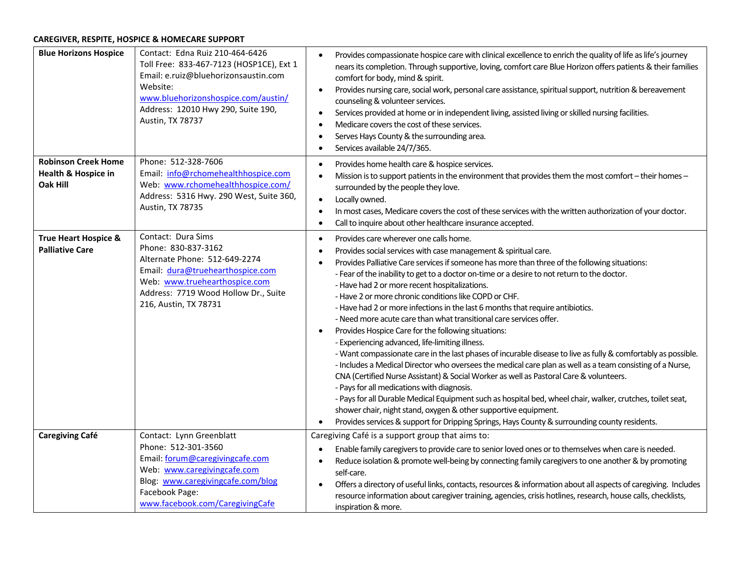# **CAREGIVER, RESPITE, HOSPICE & HOMECARE SUPPORT**

| <b>Blue Horizons Hospice</b>                                  | Contact: Edna Ruiz 210-464-6426<br>Toll Free: 833-467-7123 (HOSP1CE), Ext 1<br>Email: e.ruiz@bluehorizonsaustin.com<br>Website:<br>www.bluehorizonshospice.com/austin/<br>Address: 12010 Hwy 290, Suite 190,<br>Austin, TX 78737 | Provides compassionate hospice care with clinical excellence to enrich the quality of life as life's journey<br>nears its completion. Through supportive, loving, comfort care Blue Horizon offers patients & their families<br>comfort for body, mind & spirit.<br>Provides nursing care, social work, personal care assistance, spiritual support, nutrition & bereavement<br>counseling & volunteer services.<br>Services provided at home or in independent living, assisted living or skilled nursing facilities.<br>Medicare covers the cost of these services.<br>Serves Hays County & the surrounding area.<br>Services available 24/7/365.                                                                                                                                                                                                                                                                                                                                                                                                                                                                                                                                                                                                                                                                                                        |
|---------------------------------------------------------------|----------------------------------------------------------------------------------------------------------------------------------------------------------------------------------------------------------------------------------|------------------------------------------------------------------------------------------------------------------------------------------------------------------------------------------------------------------------------------------------------------------------------------------------------------------------------------------------------------------------------------------------------------------------------------------------------------------------------------------------------------------------------------------------------------------------------------------------------------------------------------------------------------------------------------------------------------------------------------------------------------------------------------------------------------------------------------------------------------------------------------------------------------------------------------------------------------------------------------------------------------------------------------------------------------------------------------------------------------------------------------------------------------------------------------------------------------------------------------------------------------------------------------------------------------------------------------------------------------|
| <b>Robinson Creek Home</b><br>Health & Hospice in<br>Oak Hill | Phone: 512-328-7606<br>Email: info@rchomehealthhospice.com<br>Web: www.rchomehealthhospice.com/<br>Address: 5316 Hwy. 290 West, Suite 360,<br>Austin, TX 78735                                                                   | Provides home health care & hospice services.<br>Mission is to support patients in the environment that provides them the most comfort - their homes -<br>surrounded by the people they love.<br>Locally owned.<br>$\bullet$<br>In most cases, Medicare covers the cost of these services with the written authorization of your doctor.<br>Call to inquire about other healthcare insurance accepted.                                                                                                                                                                                                                                                                                                                                                                                                                                                                                                                                                                                                                                                                                                                                                                                                                                                                                                                                                     |
| <b>True Heart Hospice &amp;</b><br><b>Palliative Care</b>     | Contact: Dura Sims<br>Phone: 830-837-3162<br>Alternate Phone: 512-649-2274<br>Email: dura@truehearthospice.com<br>Web: www.truehearthospice.com<br>Address: 7719 Wood Hollow Dr., Suite<br>216, Austin, TX 78731                 | Provides care wherever one calls home.<br>$\bullet$<br>Provides social services with case management & spiritual care.<br>Provides Palliative Care services if someone has more than three of the following situations:<br>- Fear of the inability to get to a doctor on-time or a desire to not return to the doctor.<br>- Have had 2 or more recent hospitalizations.<br>- Have 2 or more chronic conditions like COPD or CHF.<br>- Have had 2 or more infections in the last 6 months that require antibiotics.<br>- Need more acute care than what transitional care services offer.<br>Provides Hospice Care for the following situations:<br>- Experiencing advanced, life-limiting illness.<br>- Want compassionate care in the last phases of incurable disease to live as fully & comfortably as possible.<br>- Includes a Medical Director who oversees the medical care plan as well as a team consisting of a Nurse,<br>CNA (Certified Nurse Assistant) & Social Worker as well as Pastoral Care & volunteers.<br>- Pays for all medications with diagnosis.<br>- Pays for all Durable Medical Equipment such as hospital bed, wheel chair, walker, crutches, toilet seat,<br>shower chair, night stand, oxygen & other supportive equipment.<br>Provides services & support for Dripping Springs, Hays County & surrounding county residents. |
| <b>Caregiving Café</b>                                        | Contact: Lynn Greenblatt<br>Phone: 512-301-3560<br>Email: forum@caregivingcafe.com<br>Web: www.caregivingcafe.com<br>Blog: www.caregivingcafe.com/blog<br>Facebook Page:<br>www.facebook.com/CaregivingCafe                      | Caregiving Café is a support group that aims to:<br>Enable family caregivers to provide care to senior loved ones or to themselves when care is needed.<br>Reduce isolation & promote well-being by connecting family caregivers to one another & by promoting<br>self-care.<br>Offers a directory of useful links, contacts, resources & information about all aspects of caregiving. Includes<br>resource information about caregiver training, agencies, crisis hotlines, research, house calls, checklists,<br>inspiration & more.                                                                                                                                                                                                                                                                                                                                                                                                                                                                                                                                                                                                                                                                                                                                                                                                                     |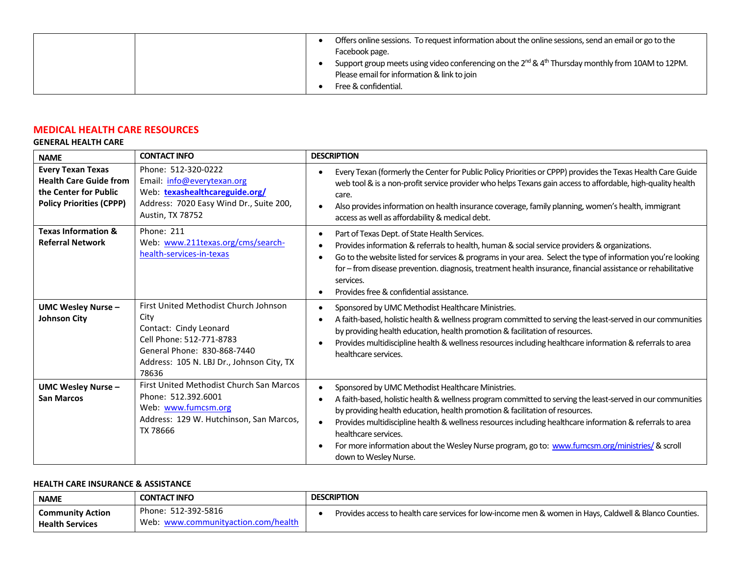| Offers online sessions. To request information about the online sessions, send an email or go to the                      |
|---------------------------------------------------------------------------------------------------------------------------|
| Facebook page.                                                                                                            |
| Support group meets using video conferencing on the 2 <sup>nd</sup> & 4 <sup>th</sup> Thursday monthly from 10AM to 12PM. |
| Please email for information & link to join                                                                               |
| Free & confidential.                                                                                                      |

# **MEDICAL HEALTH CARE RESOURCES**

# **GENERAL HEALTH CARE**

| <b>NAME</b>                                                                                                           | <b>CONTACT INFO</b>                                                                                                                                                                      | <b>DESCRIPTION</b>                                                                                                                                                                                                                                                                                                                                                                                                                                                                                               |
|-----------------------------------------------------------------------------------------------------------------------|------------------------------------------------------------------------------------------------------------------------------------------------------------------------------------------|------------------------------------------------------------------------------------------------------------------------------------------------------------------------------------------------------------------------------------------------------------------------------------------------------------------------------------------------------------------------------------------------------------------------------------------------------------------------------------------------------------------|
| <b>Every Texan Texas</b><br><b>Health Care Guide from</b><br>the Center for Public<br><b>Policy Priorities (CPPP)</b> | Phone: 512-320-0222<br>Email: info@everytexan.org<br>Web: texashealthcareguide.org/<br>Address: 7020 Easy Wind Dr., Suite 200,<br>Austin, TX 78752                                       | Every Texan (formerly the Center for Public Policy Priorities or CPPP) provides the Texas Health Care Guide<br>web tool & is a non-profit service provider who helps Texans gain access to affordable, high-quality health<br>care.<br>Also provides information on health insurance coverage, family planning, women's health, immigrant<br>access as well as affordability & medical debt.                                                                                                                     |
| <b>Texas Information &amp;</b><br><b>Referral Network</b>                                                             | <b>Phone: 211</b><br>Web: www.211texas.org/cms/search-<br>health-services-in-texas                                                                                                       | Part of Texas Dept. of State Health Services.<br>Provides information & referrals to health, human & social service providers & organizations.<br>Go to the website listed for services & programs in your area. Select the type of information you're looking<br>for - from disease prevention. diagnosis, treatment health insurance, financial assistance or rehabilitative<br>services.<br>Provides free & confidential assistance.                                                                          |
| <b>UMC Wesley Nurse -</b><br><b>Johnson City</b>                                                                      | First United Methodist Church Johnson<br>City<br>Contact: Cindy Leonard<br>Cell Phone: 512-771-8783<br>General Phone: 830-868-7440<br>Address: 105 N. LBJ Dr., Johnson City, TX<br>78636 | Sponsored by UMC Methodist Healthcare Ministries.<br>A faith-based, holistic health & wellness program committed to serving the least-served in our communities<br>by providing health education, health promotion & facilitation of resources.<br>Provides multidiscipline health & wellness resources including healthcare information & referrals to area<br>healthcare services.                                                                                                                             |
| <b>UMC Wesley Nurse -</b><br><b>San Marcos</b>                                                                        | First United Methodist Church San Marcos<br>Phone: 512.392.6001<br>Web: www.fumcsm.org<br>Address: 129 W. Hutchinson, San Marcos,<br>TX 78666                                            | Sponsored by UMC Methodist Healthcare Ministries.<br>A faith-based, holistic health & wellness program committed to serving the least-served in our communities<br>by providing health education, health promotion & facilitation of resources.<br>Provides multidiscipline health & wellness resources including healthcare information & referrals to area<br>healthcare services.<br>For more information about the Wesley Nurse program, go to: www.fumcsm.org/ministries/ & scroll<br>down to Wesley Nurse. |

# **HEALTH CARE INSURANCE & ASSISTANCE**

| <b>NAME</b>             | <b>CONTACT INFO</b>                 | <b>DESCRIPTION</b>                                                                                      |
|-------------------------|-------------------------------------|---------------------------------------------------------------------------------------------------------|
| <b>Community Action</b> | Phone: 512-392-5816                 | Provides access to health care services for low-income men & women in Hays, Caldwell & Blanco Counties. |
| <b>Health Services</b>  | Web: www.communityaction.com/health |                                                                                                         |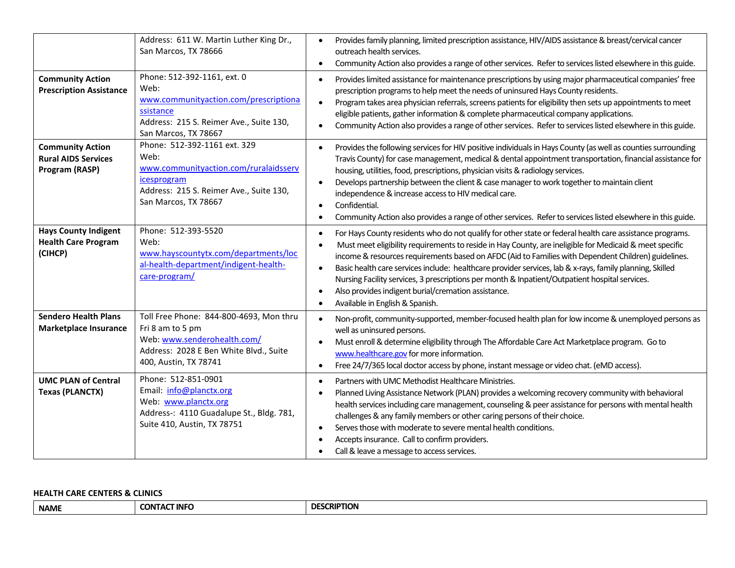|                                                                         | Address: 611 W. Martin Luther King Dr.,<br>San Marcos, TX 78666                                                                                                 | Provides family planning, limited prescription assistance, HIV/AIDS assistance & breast/cervical cancer<br>$\bullet$<br>outreach health services.<br>Community Action also provides a range of other services. Refer to services listed elsewhere in this guide.<br>$\bullet$                                                                                                                                                                                                                                                                                                                                                                                                          |
|-------------------------------------------------------------------------|-----------------------------------------------------------------------------------------------------------------------------------------------------------------|----------------------------------------------------------------------------------------------------------------------------------------------------------------------------------------------------------------------------------------------------------------------------------------------------------------------------------------------------------------------------------------------------------------------------------------------------------------------------------------------------------------------------------------------------------------------------------------------------------------------------------------------------------------------------------------|
| <b>Community Action</b><br><b>Prescription Assistance</b>               | Phone: 512-392-1161, ext. 0<br>Web:<br>www.communityaction.com/prescriptiona<br>ssistance<br>Address: 215 S. Reimer Ave., Suite 130,<br>San Marcos, TX 78667    | Provides limited assistance for maintenance prescriptions by using major pharmaceutical companies' free<br>$\bullet$<br>prescription programs to help meet the needs of uninsured Hays County residents.<br>Program takes area physician referrals, screens patients for eligibility then sets up appointments to meet<br>$\bullet$<br>eligible patients, gather information & complete pharmaceutical company applications.<br>Community Action also provides a range of other services. Refer to services listed elsewhere in this guide.                                                                                                                                            |
| <b>Community Action</b><br><b>Rural AIDS Services</b><br>Program (RASP) | Phone: 512-392-1161 ext. 329<br>Web:<br>www.communityaction.com/ruralaidsserv<br>icesprogram<br>Address: 215 S. Reimer Ave., Suite 130,<br>San Marcos, TX 78667 | Provides the following services for HIV positive individuals in Hays County (as well as counties surrounding<br>$\bullet$<br>Travis County) for case management, medical & dental appointment transportation, financial assistance for<br>housing, utilities, food, prescriptions, physician visits & radiology services.<br>Develops partnership between the client & case manager to work together to maintain client<br>$\bullet$<br>independence & increase access to HIV medical care.<br>Confidential.<br>$\bullet$<br>Community Action also provides a range of other services. Refer to services listed elsewhere in this guide.<br>$\bullet$                                  |
| <b>Hays County Indigent</b><br><b>Health Care Program</b><br>(CIHCP)    | Phone: 512-393-5520<br>Web:<br>www.hayscountytx.com/departments/loc<br>al-health-department/indigent-health-<br>care-program/                                   | For Hays County residents who do not qualify for other state or federal health care assistance programs.<br>$\bullet$<br>Must meet eligibility requirements to reside in Hay County, are ineligible for Medicaid & meet specific<br>income & resources requirements based on AFDC (Aid to Families with Dependent Children) guidelines.<br>Basic health care services include: healthcare provider services, lab & x-rays, family planning, Skilled<br>$\bullet$<br>Nursing Facility services, 3 prescriptions per month & Inpatient/Outpatient hospital services.<br>Also provides indigent burial/cremation assistance.<br>$\bullet$<br>Available in English & Spanish.<br>$\bullet$ |
| <b>Sendero Health Plans</b><br><b>Marketplace Insurance</b>             | Toll Free Phone: 844-800-4693, Mon thru<br>Fri 8 am to 5 pm<br>Web: www.senderohealth.com/<br>Address: 2028 E Ben White Blvd., Suite<br>400, Austin, TX 78741   | Non-profit, community-supported, member-focused health plan for low income & unemployed persons as<br>$\bullet$<br>well as uninsured persons.<br>Must enroll & determine eligibility through The Affordable Care Act Marketplace program. Go to<br>www.healthcare.gov for more information.<br>Free 24/7/365 local doctor access by phone, instant message or video chat. (eMD access).<br>$\bullet$                                                                                                                                                                                                                                                                                   |
| <b>UMC PLAN of Central</b><br><b>Texas (PLANCTX)</b>                    | Phone: 512-851-0901<br>Email: info@planctx.org<br>Web: www.planctx.org<br>Address-: 4110 Guadalupe St., Bldg. 781,<br>Suite 410, Austin, TX 78751               | Partners with UMC Methodist Healthcare Ministries.<br>$\bullet$<br>Planned Living Assistance Network (PLAN) provides a welcoming recovery community with behavioral<br>$\bullet$<br>health services including care management, counseling & peer assistance for persons with mental health<br>challenges & any family members or other caring persons of their choice.<br>Serves those with moderate to severe mental health conditions.<br>$\bullet$<br>Accepts insurance. Call to confirm providers.<br>Call & leave a message to access services.<br>$\bullet$                                                                                                                      |

# **HEALTH CARE CENTERS & CLINICS**

| <b>NAME</b> | <b>TINFO</b><br><b>CONTAC</b><br>-- | <b>CRIPTION</b><br>∩Fፍ |
|-------------|-------------------------------------|------------------------|
|-------------|-------------------------------------|------------------------|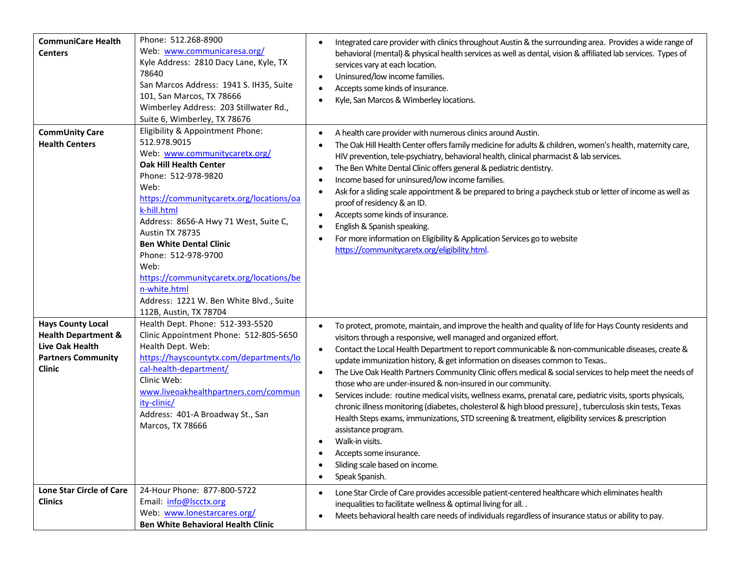| <b>CommuniCare Health</b><br><b>Centers</b>                                                                                        | Phone: 512.268-8900<br>Web: www.communicaresa.org/<br>Kyle Address: 2810 Dacy Lane, Kyle, TX<br>78640<br>San Marcos Address: 1941 S. IH35, Suite<br>101, San Marcos, TX 78666<br>Wimberley Address: 203 Stillwater Rd.,<br>Suite 6, Wimberley, TX 78676                                                                                                                                                                                                                    | Integrated care provider with clinics throughout Austin & the surrounding area. Provides a wide range of<br>$\bullet$<br>behavioral (mental) & physical health services as well as dental, vision & affiliated lab services. Types of<br>services vary at each location.<br>Uninsured/low income families.<br>$\bullet$<br>Accepts some kinds of insurance.<br>$\bullet$<br>Kyle, San Marcos & Wimberley locations.<br>$\bullet$                                                                                                                                                                                                                                                                                                                                                                                                                                                                                                                                                                                                                                     |
|------------------------------------------------------------------------------------------------------------------------------------|----------------------------------------------------------------------------------------------------------------------------------------------------------------------------------------------------------------------------------------------------------------------------------------------------------------------------------------------------------------------------------------------------------------------------------------------------------------------------|----------------------------------------------------------------------------------------------------------------------------------------------------------------------------------------------------------------------------------------------------------------------------------------------------------------------------------------------------------------------------------------------------------------------------------------------------------------------------------------------------------------------------------------------------------------------------------------------------------------------------------------------------------------------------------------------------------------------------------------------------------------------------------------------------------------------------------------------------------------------------------------------------------------------------------------------------------------------------------------------------------------------------------------------------------------------|
| <b>CommUnity Care</b><br><b>Health Centers</b>                                                                                     | Eligibility & Appointment Phone:<br>512.978.9015<br>Web: www.communitycaretx.org/<br><b>Oak Hill Health Center</b><br>Phone: 512-978-9820<br>Web:<br>https://communitycaretx.org/locations/oa<br>k-hill.html<br>Address: 8656-A Hwy 71 West, Suite C,<br>Austin TX 78735<br><b>Ben White Dental Clinic</b><br>Phone: 512-978-9700<br>Web:<br>https://communitycaretx.org/locations/be<br>n-white.html<br>Address: 1221 W. Ben White Blvd., Suite<br>112B, Austin, TX 78704 | A health care provider with numerous clinics around Austin.<br>$\bullet$<br>The Oak Hill Health Center offers family medicine for adults & children, women's health, maternity care,<br>HIV prevention, tele-psychiatry, behavioral health, clinical pharmacist & lab services.<br>The Ben White Dental Clinic offers general & pediatric dentistry.<br>Income based for uninsured/low income families.<br>Ask for a sliding scale appointment & be prepared to bring a paycheck stub or letter of income as well as<br>$\bullet$<br>proof of residency & an ID.<br>Accepts some kinds of insurance.<br>$\bullet$<br>English & Spanish speaking.<br>For more information on Eligibility & Application Services go to website<br>https://communitycaretx.org/eligibility.html.                                                                                                                                                                                                                                                                                        |
| <b>Hays County Local</b><br><b>Health Department &amp;</b><br><b>Live Oak Health</b><br><b>Partners Community</b><br><b>Clinic</b> | Health Dept. Phone: 512-393-5520<br>Clinic Appointment Phone: 512-805-5650<br>Health Dept. Web:<br>https://hayscountytx.com/departments/lo<br>cal-health-department/<br>Clinic Web:<br>www.liveoakhealthpartners.com/commun<br>ity-clinic/<br>Address: 401-A Broadway St., San<br>Marcos, TX 78666                                                                                                                                                                         | To protect, promote, maintain, and improve the health and quality of life for Hays County residents and<br>$\bullet$<br>visitors through a responsive, well managed and organized effort.<br>Contact the Local Health Department to report communicable & non-communicable diseases, create &<br>$\bullet$<br>update immunization history, & get information on diseases common to Texas<br>The Live Oak Health Partners Community Clinic offers medical & social services to help meet the needs of<br>$\bullet$<br>those who are under-insured & non-insured in our community.<br>Services include: routine medical visits, wellness exams, prenatal care, pediatric visits, sports physicals,<br>$\bullet$<br>chronic illness monitoring (diabetes, cholesterol & high blood pressure), tuberculosis skin tests, Texas<br>Health Steps exams, immunizations, STD screening & treatment, eligibility services & prescription<br>assistance program.<br>Walk-in visits.<br>$\bullet$<br>Accepts some insurance.<br>Sliding scale based on income.<br>Speak Spanish. |
| <b>Lone Star Circle of Care</b><br><b>Clinics</b>                                                                                  | 24-Hour Phone: 877-800-5722<br>Email: info@lscctx.org<br>Web: www.lonestarcares.org/<br><b>Ben White Behavioral Health Clinic</b>                                                                                                                                                                                                                                                                                                                                          | Lone Star Circle of Care provides accessible patient-centered healthcare which eliminates health<br>٠<br>inequalities to facilitate wellness & optimal living for all<br>Meets behavioral health care needs of individuals regardless of insurance status or ability to pay.                                                                                                                                                                                                                                                                                                                                                                                                                                                                                                                                                                                                                                                                                                                                                                                         |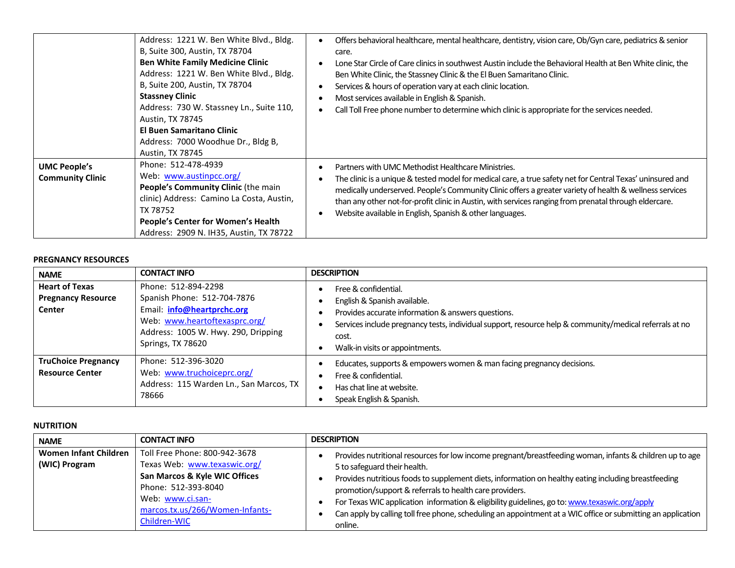|                                                | Address: 1221 W. Ben White Blvd., Bldg.<br>B, Suite 300, Austin, TX 78704<br><b>Ben White Family Medicine Clinic</b><br>Address: 1221 W. Ben White Blvd., Bldg.<br>B, Suite 200, Austin, TX 78704<br><b>Stassney Clinic</b><br>Address: 730 W. Stassney Ln., Suite 110,<br>Austin, TX 78745<br><b>El Buen Samaritano Clinic</b><br>Address: 7000 Woodhue Dr., Bldg B,<br>Austin, TX 78745 | Offers behavioral healthcare, mental healthcare, dentistry, vision care, Ob/Gyn care, pediatrics & senior<br>care.<br>Lone Star Circle of Care clinics in southwest Austin include the Behavioral Health at Ben White clinic, the<br>Ben White Clinic, the Stassney Clinic & the El Buen Samaritano Clinic.<br>Services & hours of operation vary at each clinic location.<br>Most services available in English & Spanish.<br>Call Toll Free phone number to determine which clinic is appropriate for the services needed. |
|------------------------------------------------|-------------------------------------------------------------------------------------------------------------------------------------------------------------------------------------------------------------------------------------------------------------------------------------------------------------------------------------------------------------------------------------------|------------------------------------------------------------------------------------------------------------------------------------------------------------------------------------------------------------------------------------------------------------------------------------------------------------------------------------------------------------------------------------------------------------------------------------------------------------------------------------------------------------------------------|
| <b>UMC People's</b><br><b>Community Clinic</b> | Phone: 512-478-4939<br>Web: www.austinpcc.org/<br><b>People's Community Clinic (the main</b><br>clinic) Address: Camino La Costa, Austin,<br>TX 78752<br><b>People's Center for Women's Health</b><br>Address: 2909 N. IH35, Austin, TX 78722                                                                                                                                             | Partners with UMC Methodist Healthcare Ministries.<br>The clinic is a unique & tested model for medical care, a true safety net for Central Texas' uninsured and<br>medically underserved. People's Community Clinic offers a greater variety of health & wellness services<br>than any other not-for-profit clinic in Austin, with services ranging from prenatal through eldercare.<br>Website available in English, Spanish & other languages.                                                                            |

#### **PREGNANCY RESOURCES**

| <b>NAME</b>                                                  | <b>CONTACT INFO</b>                                                                                                                                                           | <b>DESCRIPTION</b>                                                                                                                                                                                                                                                |
|--------------------------------------------------------------|-------------------------------------------------------------------------------------------------------------------------------------------------------------------------------|-------------------------------------------------------------------------------------------------------------------------------------------------------------------------------------------------------------------------------------------------------------------|
| <b>Heart of Texas</b><br><b>Pregnancy Resource</b><br>Center | Phone: 512-894-2298<br>Spanish Phone: 512-704-7876<br>Email: info@heartprchc.org<br>Web: www.heartoftexasprc.org/<br>Address: 1005 W. Hwy. 290, Dripping<br>Springs, TX 78620 | Free & confidential.<br>English & Spanish available.<br>Provides accurate information & answers questions.<br>Services include pregnancy tests, individual support, resource help & community/medical referrals at no<br>cost.<br>Walk-in visits or appointments. |
| <b>TruChoice Pregnancy</b><br><b>Resource Center</b>         | Phone: 512-396-3020<br>Web: www.truchoiceprc.org/<br>Address: 115 Warden Ln., San Marcos, TX<br>78666                                                                         | Educates, supports & empowers women & man facing pregnancy decisions.<br>Free & confidential.<br>Has chat line at website.<br>Speak English & Spanish.                                                                                                            |

#### **NUTRITION**

| <b>NAME</b>                                   | <b>CONTACT INFO</b>                                                                                                                       | <b>DESCRIPTION</b>                                                                                                                                                                                                                                                                                          |
|-----------------------------------------------|-------------------------------------------------------------------------------------------------------------------------------------------|-------------------------------------------------------------------------------------------------------------------------------------------------------------------------------------------------------------------------------------------------------------------------------------------------------------|
| <b>Women Infant Children</b><br>(WIC) Program | Toll Free Phone: 800-942-3678<br>Texas Web: www.texaswic.org/<br>San Marcos & Kyle WIC Offices<br>Phone: 512-393-8040<br>Web: www.ci.san- | Provides nutritional resources for low income pregnant/breastfeeding woman, infants & children up to age<br>5 to safeguard their health.<br>Provides nutritious foods to supplement diets, information on healthy eating including breastfeeding<br>promotion/support & referrals to health care providers. |
|                                               | marcos.tx.us/266/Women-Infants-<br>Children-WIC                                                                                           | For Texas WIC application information & eligibility guidelines, go to: www.texaswic.org/apply<br>Can apply by calling toll free phone, scheduling an appointment at a WIC office or submitting an application<br>online.                                                                                    |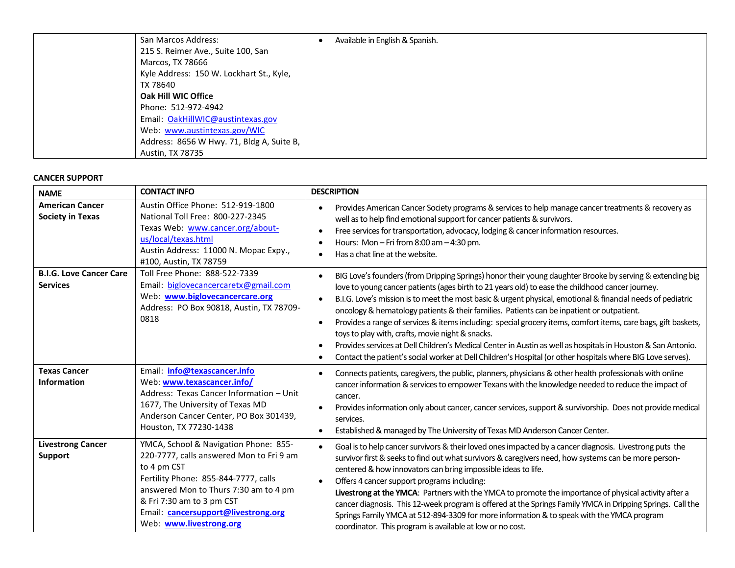| San Marcos Address:                       | Available in English & Spanish. |
|-------------------------------------------|---------------------------------|
| 215 S. Reimer Ave., Suite 100, San        |                                 |
| Marcos, TX 78666                          |                                 |
| Kyle Address: 150 W. Lockhart St., Kyle,  |                                 |
| TX 78640                                  |                                 |
| Oak Hill WIC Office                       |                                 |
| Phone: 512-972-4942                       |                                 |
| Email: OakHillWIC@austintexas.gov         |                                 |
| Web: www.austintexas.gov/WIC              |                                 |
| Address: 8656 W Hwy. 71, Bldg A, Suite B, |                                 |
| <b>Austin, TX 78735</b>                   |                                 |

#### **CANCER SUPPORT**

| <b>NAME</b>                                       | <b>CONTACT INFO</b>                                                                                                                                                                                                                                                              | <b>DESCRIPTION</b>                                                                                                                                                                                                                                                                                                                                                                                                                                                                                                                                                                                                                                                                                                                                                                                                                         |
|---------------------------------------------------|----------------------------------------------------------------------------------------------------------------------------------------------------------------------------------------------------------------------------------------------------------------------------------|--------------------------------------------------------------------------------------------------------------------------------------------------------------------------------------------------------------------------------------------------------------------------------------------------------------------------------------------------------------------------------------------------------------------------------------------------------------------------------------------------------------------------------------------------------------------------------------------------------------------------------------------------------------------------------------------------------------------------------------------------------------------------------------------------------------------------------------------|
| <b>American Cancer</b><br><b>Society in Texas</b> | Austin Office Phone: 512-919-1800<br>National Toll Free: 800-227-2345<br>Texas Web: www.cancer.org/about-<br>us/local/texas.html<br>Austin Address: 11000 N. Mopac Expy.,<br>#100, Austin, TX 78759                                                                              | Provides American Cancer Society programs & services to help manage cancer treatments & recovery as<br>well as to help find emotional support for cancer patients & survivors.<br>Free services for transportation, advocacy, lodging & cancer information resources.<br>Hours: Mon - Fri from $8:00$ am $-4:30$ pm.<br>Has a chat line at the website.                                                                                                                                                                                                                                                                                                                                                                                                                                                                                    |
| <b>B.I.G. Love Cancer Care</b><br><b>Services</b> | Toll Free Phone: 888-522-7339<br>Email: biglovecancercaretx@gmail.com<br>Web: www.biglovecancercare.org<br>Address: PO Box 90818, Austin, TX 78709-<br>0818                                                                                                                      | BIG Love's founders (from Dripping Springs) honor their young daughter Brooke by serving & extending big<br>love to young cancer patients (ages birth to 21 years old) to ease the childhood cancer journey.<br>B.I.G. Love's mission is to meet the most basic & urgent physical, emotional & financial needs of pediatric<br>oncology & hematology patients & their families. Patients can be inpatient or outpatient.<br>Provides a range of services & items including: special grocery items, comfort items, care bags, gift baskets,<br>$\bullet$<br>toys to play with, crafts, movie night & snacks.<br>Provides services at Dell Children's Medical Center in Austin as well as hospitals in Houston & San Antonio.<br>Contact the patient's social worker at Dell Children's Hospital (or other hospitals where BIG Love serves). |
| <b>Texas Cancer</b><br><b>Information</b>         | Email: info@texascancer.info<br>Web: www.texascancer.info/<br>Address: Texas Cancer Information - Unit<br>1677, The University of Texas MD<br>Anderson Cancer Center, PO Box 301439,<br>Houston, TX 77230-1438                                                                   | Connects patients, caregivers, the public, planners, physicians & other health professionals with online<br>cancer information & services to empower Texans with the knowledge needed to reduce the impact of<br>cancer.<br>Provides information only about cancer, cancer services, support & survivorship. Does not provide medical<br>services.<br>Established & managed by The University of Texas MD Anderson Cancer Center.<br>$\bullet$                                                                                                                                                                                                                                                                                                                                                                                             |
| <b>Livestrong Cancer</b><br>Support               | YMCA, School & Navigation Phone: 855-<br>220-7777, calls answered Mon to Fri 9 am<br>to 4 pm CST<br>Fertility Phone: 855-844-7777, calls<br>answered Mon to Thurs 7:30 am to 4 pm<br>& Fri 7:30 am to 3 pm CST<br>Email: cancersupport@livestrong.org<br>Web: www.livestrong.org | Goal is to help cancer survivors & their loved ones impacted by a cancer diagnosis. Livestrong puts the<br>survivor first & seeks to find out what survivors & caregivers need, how systems can be more person-<br>centered & how innovators can bring impossible ideas to life.<br>Offers 4 cancer support programs including:<br>$\bullet$<br>Livestrong at the YMCA: Partners with the YMCA to promote the importance of physical activity after a<br>cancer diagnosis. This 12-week program is offered at the Springs Family YMCA in Dripping Springs. Call the<br>Springs Family YMCA at 512-894-3309 for more information & to speak with the YMCA program<br>coordinator. This program is available at low or no cost.                                                                                                              |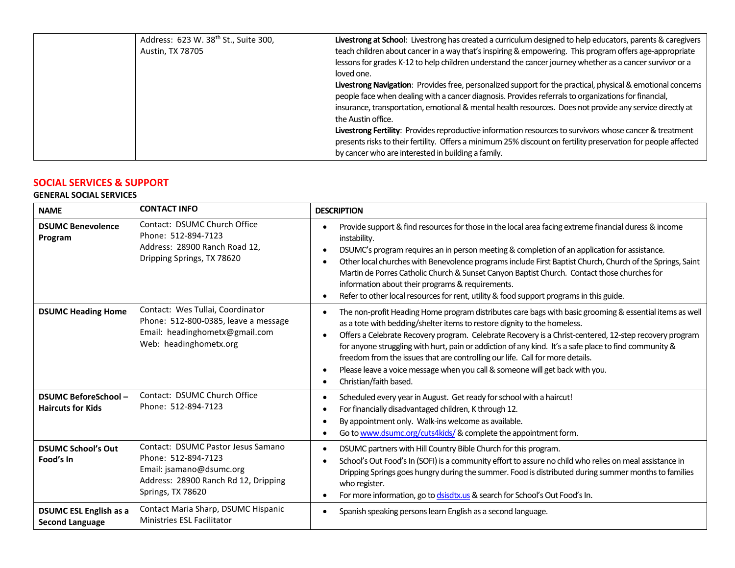| Address: 623 W. 38 <sup>th</sup> St., Suite 300, | Livestrong at School: Livestrong has created a curriculum designed to help educators, parents & caregivers     |
|--------------------------------------------------|----------------------------------------------------------------------------------------------------------------|
| Austin, TX 78705                                 | teach children about cancer in a way that's inspiring & empowering. This program offers age-appropriate        |
|                                                  | lessons for grades K-12 to help children understand the cancer journey whether as a cancer survivor or a       |
|                                                  | loved one.                                                                                                     |
|                                                  | Livestrong Navigation: Provides free, personalized support for the practical, physical & emotional concerns    |
|                                                  | people face when dealing with a cancer diagnosis. Provides referrals to organizations for financial,           |
|                                                  | insurance, transportation, emotional & mental health resources. Does not provide any service directly at       |
|                                                  | the Austin office.                                                                                             |
|                                                  | Livestrong Fertility: Provides reproductive information resources to survivors whose cancer & treatment        |
|                                                  | presents risks to their fertility. Offers a minimum 25% discount on fertility preservation for people affected |
|                                                  | by cancer who are interested in building a family.                                                             |

# **SOCIAL SERVICES & SUPPORT**

# **GENERAL SOCIAL SERVICES**

| <b>NAME</b>                                             | <b>CONTACT INFO</b>                                                                                                                                       | <b>DESCRIPTION</b>                                                                                                                                                                                                                                                                                                                                                                                                                                                                                                                                                                                                                                    |
|---------------------------------------------------------|-----------------------------------------------------------------------------------------------------------------------------------------------------------|-------------------------------------------------------------------------------------------------------------------------------------------------------------------------------------------------------------------------------------------------------------------------------------------------------------------------------------------------------------------------------------------------------------------------------------------------------------------------------------------------------------------------------------------------------------------------------------------------------------------------------------------------------|
| <b>DSUMC Benevolence</b><br>Program                     | Contact: DSUMC Church Office<br>Phone: 512-894-7123<br>Address: 28900 Ranch Road 12,<br>Dripping Springs, TX 78620                                        | Provide support & find resources for those in the local area facing extreme financial duress & income<br>$\bullet$<br>instability.<br>DSUMC's program requires an in person meeting & completion of an application for assistance.<br>$\bullet$<br>Other local churches with Benevolence programs include First Baptist Church, Church of the Springs, Saint<br>$\bullet$<br>Martin de Porres Catholic Church & Sunset Canyon Baptist Church. Contact those churches for<br>information about their programs & requirements.<br>Refer to other local resources for rent, utility & food support programs in this guide.<br>$\bullet$                  |
| <b>DSUMC Heading Home</b>                               | Contact: Wes Tullai, Coordinator<br>Phone: 512-800-0385, leave a message<br>Email: headinghometx@gmail.com<br>Web: headinghometx.org                      | The non-profit Heading Home program distributes care bags with basic grooming & essential items as well<br>$\bullet$<br>as a tote with bedding/shelter items to restore dignity to the homeless.<br>Offers a Celebrate Recovery program. Celebrate Recovery is a Christ-centered, 12-step recovery program<br>$\bullet$<br>for anyone struggling with hurt, pain or addiction of any kind. It's a safe place to find community &<br>freedom from the issues that are controlling our life. Call for more details.<br>Please leave a voice message when you call & someone will get back with you.<br>$\bullet$<br>Christian/faith based.<br>$\bullet$ |
| <b>DSUMC BeforeSchool-</b><br><b>Haircuts for Kids</b>  | Contact: DSUMC Church Office<br>Phone: 512-894-7123                                                                                                       | Scheduled every year in August. Get ready for school with a haircut!<br>For financially disadvantaged children, K through 12.<br>٠<br>By appointment only. Walk-ins welcome as available.<br>Go to www.dsumc.org/cuts4kids/ & complete the appointment form.                                                                                                                                                                                                                                                                                                                                                                                          |
| <b>DSUMC School's Out</b><br>Food's In                  | <b>Contact: DSUMC Pastor Jesus Samano</b><br>Phone: 512-894-7123<br>Email: jsamano@dsumc.org<br>Address: 28900 Ranch Rd 12, Dripping<br>Springs, TX 78620 | DSUMC partners with Hill Country Bible Church for this program.<br>$\bullet$<br>School's Out Food's In (SOFI) is a community effort to assure no child who relies on meal assistance in<br>$\bullet$<br>Dripping Springs goes hungry during the summer. Food is distributed during summer months to families<br>who register.<br>For more information, go to dsisdtx.us & search for School's Out Food's In.<br>$\bullet$                                                                                                                                                                                                                             |
| <b>DSUMC ESL English as a</b><br><b>Second Language</b> | Contact Maria Sharp, DSUMC Hispanic<br><b>Ministries ESL Facilitator</b>                                                                                  | Spanish speaking persons learn English as a second language.<br>$\bullet$                                                                                                                                                                                                                                                                                                                                                                                                                                                                                                                                                                             |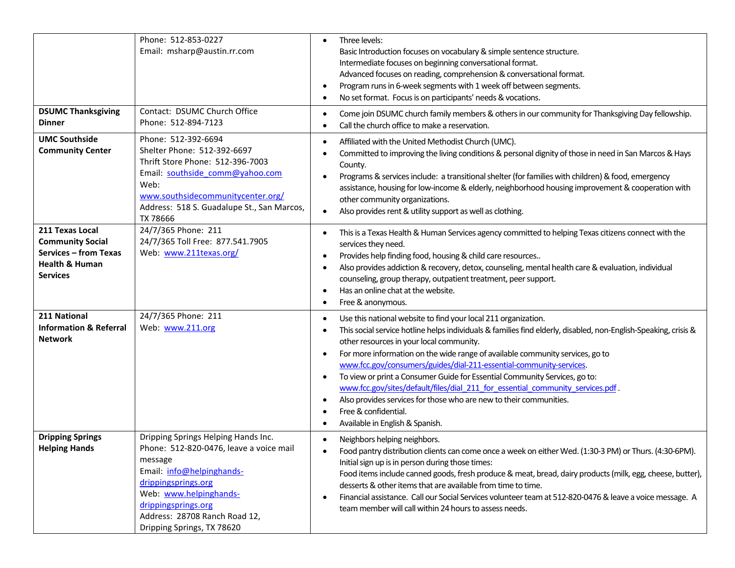|                                                                                                                            | Phone: 512-853-0227<br>Email: msharp@austin.rr.com                                                                                                                                                                                                            | Three levels:<br>$\bullet$<br>Basic Introduction focuses on vocabulary & simple sentence structure.<br>Intermediate focuses on beginning conversational format.<br>Advanced focuses on reading, comprehension & conversational format.<br>Program runs in 6-week segments with 1 week off between segments.<br>$\bullet$<br>No set format. Focus is on participants' needs & vocations.<br>$\bullet$                                                                                                                                                                                                                                                                                                                                                                      |
|----------------------------------------------------------------------------------------------------------------------------|---------------------------------------------------------------------------------------------------------------------------------------------------------------------------------------------------------------------------------------------------------------|---------------------------------------------------------------------------------------------------------------------------------------------------------------------------------------------------------------------------------------------------------------------------------------------------------------------------------------------------------------------------------------------------------------------------------------------------------------------------------------------------------------------------------------------------------------------------------------------------------------------------------------------------------------------------------------------------------------------------------------------------------------------------|
| <b>DSUMC Thanksgiving</b><br>Dinner                                                                                        | Contact: DSUMC Church Office<br>Phone: 512-894-7123                                                                                                                                                                                                           | Come join DSUMC church family members & others in our community for Thanksgiving Day fellowship.<br>$\bullet$<br>Call the church office to make a reservation.<br>٠                                                                                                                                                                                                                                                                                                                                                                                                                                                                                                                                                                                                       |
| <b>UMC Southside</b><br><b>Community Center</b>                                                                            | Phone: 512-392-6694<br>Shelter Phone: 512-392-6697<br>Thrift Store Phone: 512-396-7003<br>Email: southside_comm@yahoo.com<br>Web:<br>www.southsidecommunitycenter.org/<br>Address: 518 S. Guadalupe St., San Marcos,<br>TX 78666                              | Affiliated with the United Methodist Church (UMC).<br>$\bullet$<br>Committed to improving the living conditions & personal dignity of those in need in San Marcos & Hays<br>٠<br>County.<br>Programs & services include: a transitional shelter (for families with children) & food, emergency<br>$\bullet$<br>assistance, housing for low-income & elderly, neighborhood housing improvement & cooperation with<br>other community organizations.<br>Also provides rent & utility support as well as clothing.<br>$\bullet$                                                                                                                                                                                                                                              |
| 211 Texas Local<br><b>Community Social</b><br><b>Services - from Texas</b><br><b>Health &amp; Human</b><br><b>Services</b> | 24/7/365 Phone: 211<br>24/7/365 Toll Free: 877.541.7905<br>Web: www.211texas.org/                                                                                                                                                                             | This is a Texas Health & Human Services agency committed to helping Texas citizens connect with the<br>$\bullet$<br>services they need.<br>Provides help finding food, housing & child care resources<br>$\bullet$<br>Also provides addiction & recovery, detox, counseling, mental health care & evaluation, individual<br>$\bullet$<br>counseling, group therapy, outpatient treatment, peer support.<br>Has an online chat at the website.<br>$\bullet$<br>Free & anonymous.<br>$\bullet$                                                                                                                                                                                                                                                                              |
| 211 National<br><b>Information &amp; Referral</b><br><b>Network</b>                                                        | 24/7/365 Phone: 211<br>Web: www.211.org                                                                                                                                                                                                                       | Use this national website to find your local 211 organization.<br>$\bullet$<br>This social service hotline helps individuals & families find elderly, disabled, non-English-Speaking, crisis &<br>$\bullet$<br>other resources in your local community.<br>For more information on the wide range of available community services, go to<br>$\bullet$<br>www.fcc.gov/consumers/guides/dial-211-essential-community-services.<br>To view or print a Consumer Guide for Essential Community Services, go to:<br>$\bullet$<br>www.fcc.gov/sites/default/files/dial 211 for essential community services.pdf.<br>Also provides services for those who are new to their communities.<br>$\bullet$<br>Free & confidential.<br>$\bullet$<br>Available in English & Spanish.<br>٠ |
| <b>Dripping Springs</b><br><b>Helping Hands</b>                                                                            | Dripping Springs Helping Hands Inc.<br>Phone: 512-820-0476, leave a voice mail<br>message<br>Email: info@helpinghands-<br>drippingsprings.org<br>Web: www.helpinghands-<br>drippingsprings.org<br>Address: 28708 Ranch Road 12,<br>Dripping Springs, TX 78620 | Neighbors helping neighbors.<br>$\bullet$<br>Food pantry distribution clients can come once a week on either Wed. (1:30-3 PM) or Thurs. (4:30-6PM).<br>Initial sign up is in person during those times:<br>Food items include canned goods, fresh produce & meat, bread, dairy products (milk, egg, cheese, butter),<br>desserts & other items that are available from time to time.<br>Financial assistance. Call our Social Services volunteer team at 512-820-0476 & leave a voice message. A<br>$\bullet$<br>team member will call within 24 hours to assess needs.                                                                                                                                                                                                   |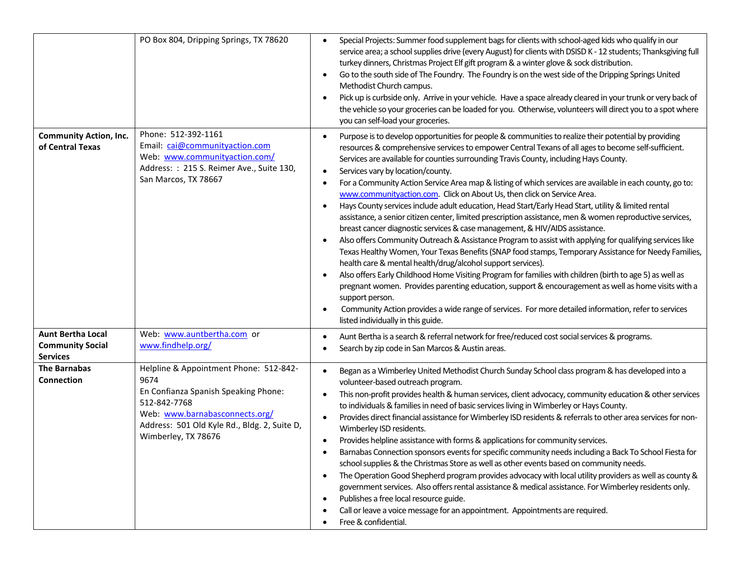|                                                                        | PO Box 804, Dripping Springs, TX 78620                                                                                                                                                                          | Special Projects: Summer food supplement bags for clients with school-aged kids who qualify in our<br>$\bullet$<br>service area; a school supplies drive (every August) for clients with DSISD K - 12 students; Thanksgiving full<br>turkey dinners, Christmas Project Elf gift program & a winter glove & sock distribution.<br>Go to the south side of The Foundry. The Foundry is on the west side of the Dripping Springs United<br>$\bullet$<br>Methodist Church campus.<br>Pick up is curbside only. Arrive in your vehicle. Have a space already cleared in your trunk or very back of<br>the vehicle so your groceries can be loaded for you. Otherwise, volunteers will direct you to a spot where<br>you can self-load your groceries.                                                                                                                                                                                                                                                                                                                                                                                                                                                                                                                                                                                                                                                                                                                                                                                                                                        |
|------------------------------------------------------------------------|-----------------------------------------------------------------------------------------------------------------------------------------------------------------------------------------------------------------|-----------------------------------------------------------------------------------------------------------------------------------------------------------------------------------------------------------------------------------------------------------------------------------------------------------------------------------------------------------------------------------------------------------------------------------------------------------------------------------------------------------------------------------------------------------------------------------------------------------------------------------------------------------------------------------------------------------------------------------------------------------------------------------------------------------------------------------------------------------------------------------------------------------------------------------------------------------------------------------------------------------------------------------------------------------------------------------------------------------------------------------------------------------------------------------------------------------------------------------------------------------------------------------------------------------------------------------------------------------------------------------------------------------------------------------------------------------------------------------------------------------------------------------------------------------------------------------------|
| <b>Community Action, Inc.</b><br>of Central Texas                      | Phone: 512-392-1161<br>Email: cai@communityaction.com<br>Web: www.communityaction.com/<br>Address: : 215 S. Reimer Ave., Suite 130,<br>San Marcos, TX 78667                                                     | Purpose is to develop opportunities for people & communities to realize their potential by providing<br>$\bullet$<br>resources & comprehensive services to empower Central Texans of all ages to become self-sufficient.<br>Services are available for counties surrounding Travis County, including Hays County.<br>Services vary by location/county.<br>$\bullet$<br>For a Community Action Service Area map & listing of which services are available in each county, go to:<br>$\bullet$<br>www.communityaction.com. Click on About Us, then click on Service Area.<br>Hays County services include adult education, Head Start/Early Head Start, utility & limited rental<br>$\bullet$<br>assistance, a senior citizen center, limited prescription assistance, men & women reproductive services,<br>breast cancer diagnostic services & case management, & HIV/AIDS assistance.<br>Also offers Community Outreach & Assistance Program to assist with applying for qualifying services like<br>$\bullet$<br>Texas Healthy Women, Your Texas Benefits (SNAP food stamps, Temporary Assistance for Needy Families,<br>health care & mental health/drug/alcohol support services).<br>Also offers Early Childhood Home Visiting Program for families with children (birth to age 5) as well as<br>$\bullet$<br>pregnant women. Provides parenting education, support & encouragement as well as home visits with a<br>support person.<br>Community Action provides a wide range of services. For more detailed information, refer to services<br>listed individually in this guide. |
| <b>Aunt Bertha Local</b><br><b>Community Social</b><br><b>Services</b> | Web: www.auntbertha.com or<br>www.findhelp.org/                                                                                                                                                                 | Aunt Bertha is a search & referral network for free/reduced cost social services & programs.<br>$\bullet$<br>Search by zip code in San Marcos & Austin areas.                                                                                                                                                                                                                                                                                                                                                                                                                                                                                                                                                                                                                                                                                                                                                                                                                                                                                                                                                                                                                                                                                                                                                                                                                                                                                                                                                                                                                           |
| <b>The Barnabas</b><br><b>Connection</b>                               | Helpline & Appointment Phone: 512-842-<br>9674<br>En Confianza Spanish Speaking Phone:<br>512-842-7768<br>Web: www.barnabasconnects.org/<br>Address: 501 Old Kyle Rd., Bldg. 2, Suite D,<br>Wimberley, TX 78676 | Began as a Wimberley United Methodist Church Sunday School class program & has developed into a<br>$\bullet$<br>volunteer-based outreach program.<br>This non-profit provides health & human services, client advocacy, community education & other services<br>$\bullet$<br>to individuals & families in need of basic services living in Wimberley or Hays County.<br>Provides direct financial assistance for Wimberley ISD residents & referrals to other area services for non-<br>$\bullet$<br>Wimberley ISD residents.<br>Provides helpline assistance with forms & applications for community services.<br>$\bullet$<br>Barnabas Connection sponsors events for specific community needs including a Back To School Fiesta for<br>school supplies & the Christmas Store as well as other events based on community needs.<br>The Operation Good Shepherd program provides advocacy with local utility providers as well as county &<br>$\bullet$<br>government services. Also offers rental assistance & medical assistance. For Wimberley residents only.<br>Publishes a free local resource guide.<br>$\bullet$<br>Call or leave a voice message for an appointment. Appointments are required.<br>Free & confidential.                                                                                                                                                                                                                                                                                                                                                       |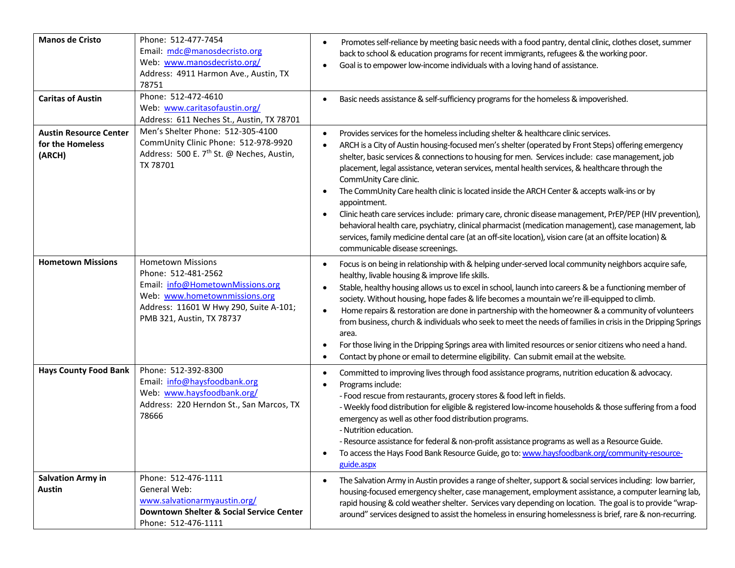| <b>Manos de Cristo</b>                                      | Phone: 512-477-7454<br>Email: mdc@manosdecristo.org<br>Web: www.manosdecristo.org/<br>Address: 4911 Harmon Ave., Austin, TX<br>78751                                                        | Promotes self-reliance by meeting basic needs with a food pantry, dental clinic, clothes closet, summer<br>$\bullet$<br>back to school & education programs for recent immigrants, refugees & the working poor.<br>Goal is to empower low-income individuals with a loving hand of assistance.<br>$\bullet$                                                                                                                                                                                                                                                                                                                                                                                                                                                                                                                                                                                                                                                       |
|-------------------------------------------------------------|---------------------------------------------------------------------------------------------------------------------------------------------------------------------------------------------|-------------------------------------------------------------------------------------------------------------------------------------------------------------------------------------------------------------------------------------------------------------------------------------------------------------------------------------------------------------------------------------------------------------------------------------------------------------------------------------------------------------------------------------------------------------------------------------------------------------------------------------------------------------------------------------------------------------------------------------------------------------------------------------------------------------------------------------------------------------------------------------------------------------------------------------------------------------------|
| <b>Caritas of Austin</b>                                    | Phone: 512-472-4610<br>Web: www.caritasofaustin.org/<br>Address: 611 Neches St., Austin, TX 78701                                                                                           | Basic needs assistance & self-sufficiency programs for the homeless & impoverished.<br>$\bullet$                                                                                                                                                                                                                                                                                                                                                                                                                                                                                                                                                                                                                                                                                                                                                                                                                                                                  |
| <b>Austin Resource Center</b><br>for the Homeless<br>(ARCH) | Men's Shelter Phone: 512-305-4100<br>CommUnity Clinic Phone: 512-978-9920<br>Address: 500 E. 7 <sup>th</sup> St. @ Neches, Austin,<br>TX 78701                                              | Provides services for the homeless including shelter & healthcare clinic services.<br>$\bullet$<br>ARCH is a City of Austin housing-focused men's shelter (operated by Front Steps) offering emergency<br>$\bullet$<br>shelter, basic services & connections to housing for men. Services include: case management, job<br>placement, legal assistance, veteran services, mental health services, & healthcare through the<br>CommUnity Care clinic.<br>The CommUnity Care health clinic is located inside the ARCH Center & accepts walk-ins or by<br>$\bullet$<br>appointment.<br>Clinic heath care services include: primary care, chronic disease management, PrEP/PEP (HIV prevention),<br>$\bullet$<br>behavioral health care, psychiatry, clinical pharmacist (medication management), case management, lab<br>services, family medicine dental care (at an off-site location), vision care (at an offsite location) &<br>communicable disease screenings. |
| <b>Hometown Missions</b>                                    | <b>Hometown Missions</b><br>Phone: 512-481-2562<br>Email: info@HometownMissions.org<br>Web: www.hometownmissions.org<br>Address: 11601 W Hwy 290, Suite A-101;<br>PMB 321, Austin, TX 78737 | Focus is on being in relationship with & helping under-served local community neighbors acquire safe,<br>$\bullet$<br>healthy, livable housing & improve life skills.<br>Stable, healthy housing allows us to excel in school, launch into careers & be a functioning member of<br>$\bullet$<br>society. Without housing, hope fades & life becomes a mountain we're ill-equipped to climb.<br>Home repairs & restoration are done in partnership with the homeowner & a community of volunteers<br>$\bullet$<br>from business, church & individuals who seek to meet the needs of families in crisis in the Dripping Springs<br>area.<br>For those living in the Dripping Springs area with limited resources or senior citizens who need a hand.<br>$\bullet$<br>Contact by phone or email to determine eligibility. Can submit email at the website.<br>$\bullet$                                                                                              |
| <b>Hays County Food Bank</b>                                | Phone: 512-392-8300<br>Email: info@haysfoodbank.org<br>Web: www.haysfoodbank.org/<br>Address: 220 Herndon St., San Marcos, TX<br>78666                                                      | Committed to improving lives through food assistance programs, nutrition education & advocacy.<br>$\bullet$<br>Programs include:<br>$\bullet$<br>- Food rescue from restaurants, grocery stores & food left in fields.<br>- Weekly food distribution for eligible & registered low-income households & those suffering from a food<br>emergency as well as other food distribution programs.<br>- Nutrition education.<br>- Resource assistance for federal & non-profit assistance programs as well as a Resource Guide.<br>To access the Hays Food Bank Resource Guide, go to: www.haysfoodbank.org/community-resource-<br>guide.aspx                                                                                                                                                                                                                                                                                                                           |
| <b>Salvation Army in</b><br><b>Austin</b>                   | Phone: 512-476-1111<br>General Web:<br>www.salvationarmyaustin.org/<br>Downtown Shelter & Social Service Center<br>Phone: 512-476-1111                                                      | The Salvation Army in Austin provides a range of shelter, support & social services including: low barrier,<br>$\bullet$<br>housing-focused emergency shelter, case management, employment assistance, a computer learning lab,<br>rapid housing & cold weather shelter. Services vary depending on location. The goal is to provide "wrap-<br>around" services designed to assist the homeless in ensuring homelessness is brief, rare & non-recurring.                                                                                                                                                                                                                                                                                                                                                                                                                                                                                                          |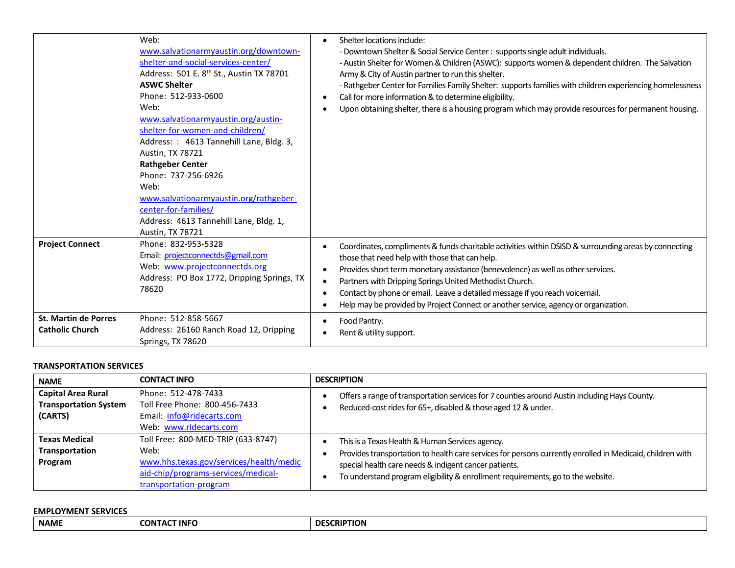|                                                       | Web:<br>www.salvationarmyaustin.org/downtown-<br>shelter-and-social-services-center/<br>Address: 501 E. 8 <sup>th</sup> St., Austin TX 78701<br><b>ASWC Shelter</b><br>Phone: 512-933-0600<br>Web:<br>www.salvationarmyaustin.org/austin-<br>shelter-for-women-and-children/<br>Address: : 4613 Tannehill Lane, Bldg. 3,<br>Austin, TX 78721<br><b>Rathgeber Center</b><br>Phone: 737-256-6926<br>Web:<br>www.salvationarmyaustin.org/rathgeber-<br>center-for-families/<br>Address: 4613 Tannehill Lane, Bldg. 1,<br>Austin, TX 78721 | Shelter locations include:<br>$\bullet$<br>- Downtown Shelter & Social Service Center : supports single adult individuals.<br>- Austin Shelter for Women & Children (ASWC): supports women & dependent children. The Salvation<br>Army & City of Austin partner to run this shelter.<br>- Rathgeber Center for Families Family Shelter: supports families with children experiencing homelessness<br>Call for more information & to determine eligibility.<br>$\bullet$<br>Upon obtaining shelter, there is a housing program which may provide resources for permanent housing.<br>٠ |
|-------------------------------------------------------|----------------------------------------------------------------------------------------------------------------------------------------------------------------------------------------------------------------------------------------------------------------------------------------------------------------------------------------------------------------------------------------------------------------------------------------------------------------------------------------------------------------------------------------|---------------------------------------------------------------------------------------------------------------------------------------------------------------------------------------------------------------------------------------------------------------------------------------------------------------------------------------------------------------------------------------------------------------------------------------------------------------------------------------------------------------------------------------------------------------------------------------|
| <b>Project Connect</b>                                | Phone: 832-953-5328<br>Email: projectconnectds@gmail.com<br>Web: www.projectconnectds.org<br>Address: PO Box 1772, Dripping Springs, TX<br>78620                                                                                                                                                                                                                                                                                                                                                                                       | Coordinates, compliments & funds charitable activities within DSISD & surrounding areas by connecting<br>٠<br>those that need help with those that can help.<br>Provides short term monetary assistance (benevolence) as well as other services.<br>$\bullet$<br>Partners with Dripping Springs United Methodist Church.<br>$\bullet$<br>Contact by phone or email. Leave a detailed message if you reach voicemail.<br>$\bullet$<br>Help may be provided by Project Connect or another service, agency or organization.<br>$\bullet$                                                 |
| <b>St. Martin de Porres</b><br><b>Catholic Church</b> | Phone: 512-858-5667<br>Address: 26160 Ranch Road 12, Dripping<br>Springs, TX 78620                                                                                                                                                                                                                                                                                                                                                                                                                                                     | Food Pantry.<br>Rent & utility support.                                                                                                                                                                                                                                                                                                                                                                                                                                                                                                                                               |

#### **TRANSPORTATION SERVICES**

| <b>NAME</b>                                                          | <b>CONTACT INFO</b>                                                                                                                                    | <b>DESCRIPTION</b>                                                                                                                                                                                                                                                                                       |
|----------------------------------------------------------------------|--------------------------------------------------------------------------------------------------------------------------------------------------------|----------------------------------------------------------------------------------------------------------------------------------------------------------------------------------------------------------------------------------------------------------------------------------------------------------|
| <b>Capital Area Rural</b><br><b>Transportation System</b><br>(CARTS) | Phone: 512-478-7433<br>Toll Free Phone: 800-456-7433<br>Email: info@ridecarts.com<br>Web: www.ridecarts.com                                            | Offers a range of transportation services for 7 counties around Austin including Hays County.<br>Reduced-cost rides for 65+, disabled & those aged 12 & under.                                                                                                                                           |
| <b>Texas Medical</b><br>Transportation<br>Program                    | Toll Free: 800-MED-TRIP (633-8747)<br>Web:<br>www.hhs.texas.gov/services/health/medic<br>aid-chip/programs-services/medical-<br>transportation-program | This is a Texas Health & Human Services agency.<br>Provides transportation to health care services for persons currently enrolled in Medicaid, children with<br>special health care needs & indigent cancer patients.<br>To understand program eligibility & enrollment requirements, go to the website. |

# **EMPLOYMENT SERVICES**

| <b>NAME</b><br>T INFC<br>- - -<br><b>CONTAC</b><br>. | <b>CRIPTION</b><br>DE |
|------------------------------------------------------|-----------------------|
|------------------------------------------------------|-----------------------|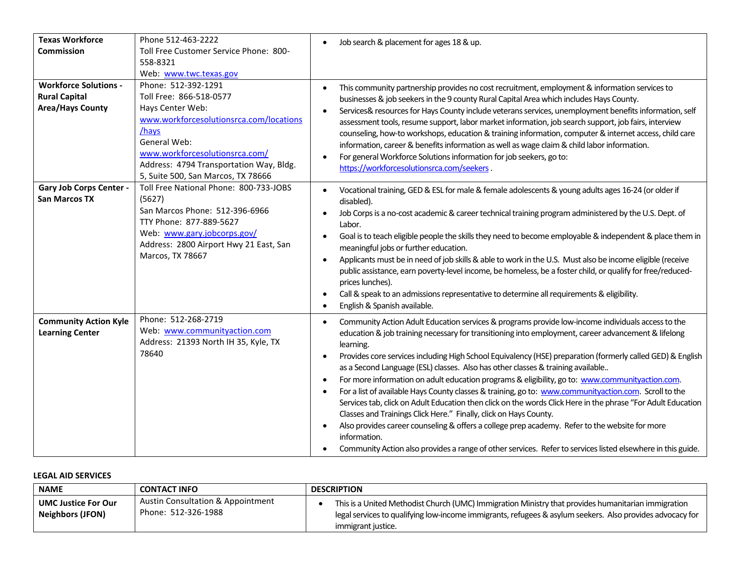| <b>Texas Workforce</b>         | Phone 512-463-2222                                                    | Job search & placement for ages 18 & up.                                                                                                                                                                                           |
|--------------------------------|-----------------------------------------------------------------------|------------------------------------------------------------------------------------------------------------------------------------------------------------------------------------------------------------------------------------|
| <b>Commission</b>              | Toll Free Customer Service Phone: 800-                                |                                                                                                                                                                                                                                    |
|                                | 558-8321                                                              |                                                                                                                                                                                                                                    |
| <b>Workforce Solutions -</b>   | Web: www.twc.texas.gov                                                |                                                                                                                                                                                                                                    |
| <b>Rural Capital</b>           | Phone: 512-392-1291<br>Toll Free: 866-518-0577                        | This community partnership provides no cost recruitment, employment & information services to<br>$\bullet$                                                                                                                         |
| <b>Area/Hays County</b>        | Hays Center Web:                                                      | businesses & job seekers in the 9 county Rural Capital Area which includes Hays County.                                                                                                                                            |
|                                | www.workforcesolutionsrca.com/locations                               | Services& resources for Hays County include veterans services, unemployment benefits information, self                                                                                                                             |
|                                | /hays                                                                 | assessment tools, resume support, labor market information, job search support, job fairs, interview                                                                                                                               |
|                                | General Web:                                                          | counseling, how-to workshops, education & training information, computer & internet access, child care<br>information, career & benefits information as well as wage claim & child labor information.                              |
|                                | www.workforcesolutionsrca.com/                                        | For general Workforce Solutions information for job seekers, go to:                                                                                                                                                                |
|                                | Address: 4794 Transportation Way, Bldg.                               | https://workforcesolutionsrca.com/seekers.                                                                                                                                                                                         |
|                                | 5, Suite 500, San Marcos, TX 78666                                    |                                                                                                                                                                                                                                    |
| <b>Gary Job Corps Center -</b> | Toll Free National Phone: 800-733-JOBS                                | Vocational training, GED & ESL for male & female adolescents & young adults ages 16-24 (or older if<br>$\bullet$                                                                                                                   |
| <b>San Marcos TX</b>           | (5627)                                                                | disabled).                                                                                                                                                                                                                         |
|                                | San Marcos Phone: 512-396-6966                                        | Job Corps is a no-cost academic & career technical training program administered by the U.S. Dept. of                                                                                                                              |
|                                | TTY Phone: 877-889-5627                                               | Labor.                                                                                                                                                                                                                             |
|                                | Web: www.gary.jobcorps.gov/<br>Address: 2800 Airport Hwy 21 East, San | Goal is to teach eligible people the skills they need to become employable & independent & place them in                                                                                                                           |
|                                | Marcos, TX 78667                                                      | meaningful jobs or further education.                                                                                                                                                                                              |
|                                |                                                                       | Applicants must be in need of job skills & able to work in the U.S. Must also be income eligible (receive<br>$\bullet$                                                                                                             |
|                                |                                                                       | public assistance, earn poverty-level income, be homeless, be a foster child, or qualify for free/reduced-                                                                                                                         |
|                                |                                                                       | prices lunches).                                                                                                                                                                                                                   |
|                                |                                                                       | Call & speak to an admissions representative to determine all requirements & eligibility.<br>English & Spanish available.<br>$\bullet$                                                                                             |
|                                |                                                                       |                                                                                                                                                                                                                                    |
| <b>Community Action Kyle</b>   | Phone: 512-268-2719                                                   | Community Action Adult Education services & programs provide low-income individuals access to the<br>$\bullet$                                                                                                                     |
| <b>Learning Center</b>         | Web: www.communityaction.com<br>Address: 21393 North IH 35, Kyle, TX  | education & job training necessary for transitioning into employment, career advancement & lifelong                                                                                                                                |
|                                | 78640                                                                 | learning.                                                                                                                                                                                                                          |
|                                |                                                                       | Provides core services including High School Equivalency (HSE) preparation (formerly called GED) & English<br>$\bullet$                                                                                                            |
|                                |                                                                       | as a Second Language (ESL) classes. Also has other classes & training available                                                                                                                                                    |
|                                |                                                                       | For more information on adult education programs & eligibility, go to: www.communityaction.com.<br>$\bullet$                                                                                                                       |
|                                |                                                                       | For a list of available Hays County classes & training, go to: www.communityaction.com. Scroll to the<br>$\bullet$<br>Services tab, click on Adult Education then click on the words Click Here in the phrase "For Adult Education |
|                                |                                                                       | Classes and Trainings Click Here." Finally, click on Hays County.                                                                                                                                                                  |
|                                |                                                                       | Also provides career counseling & offers a college prep academy. Refer to the website for more<br>$\bullet$                                                                                                                        |
|                                |                                                                       | information.                                                                                                                                                                                                                       |
|                                |                                                                       | Community Action also provides a range of other services. Refer to services listed elsewhere in this guide.                                                                                                                        |

# **LEGAL AID SERVICES**

| <b>NAME</b>                                    | <b>CONTACT INFO</b>                                                 | <b>DESCRIPTION</b>                                                                                                                                                                                               |
|------------------------------------------------|---------------------------------------------------------------------|------------------------------------------------------------------------------------------------------------------------------------------------------------------------------------------------------------------|
| <b>UMC Justice For Our</b><br>Neighbors (JFON) | <b>Austin Consultation &amp; Appointment</b><br>Phone: 512-326-1988 | This is a United Methodist Church (UMC) Immigration Ministry that provides humanitarian immigration<br>legal services to qualifying low-income immigrants, refugees & asylum seekers. Also provides advocacy for |
|                                                |                                                                     | immigrant justice.                                                                                                                                                                                               |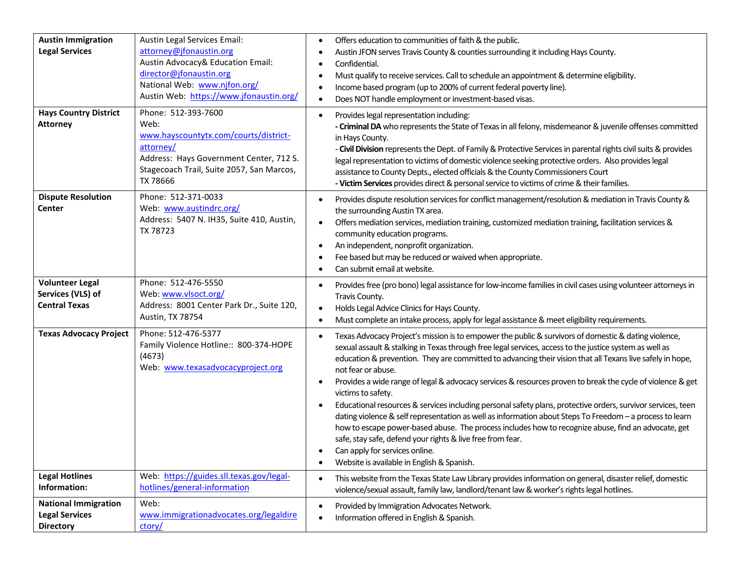| <b>Austin Immigration</b><br><b>Legal Services</b>                       | Austin Legal Services Email:<br>attorney@jfonaustin.org<br>Austin Advocacy& Education Email:<br>director@jfonaustin.org<br>National Web: www.njfon.org/<br>Austin Web: https://www.jfonaustin.org/ | Offers education to communities of faith & the public.<br>$\bullet$<br>Austin JFON serves Travis County & counties surrounding it including Hays County.<br>Confidential.<br>$\bullet$<br>Must qualify to receive services. Call to schedule an appointment & determine eligibility.<br>Income based program (up to 200% of current federal poverty line).<br>Does NOT handle employment or investment-based visas.                                                                                                                                                                                                                                                                                                                                                                                                                                                                                                                                                                                            |
|--------------------------------------------------------------------------|----------------------------------------------------------------------------------------------------------------------------------------------------------------------------------------------------|----------------------------------------------------------------------------------------------------------------------------------------------------------------------------------------------------------------------------------------------------------------------------------------------------------------------------------------------------------------------------------------------------------------------------------------------------------------------------------------------------------------------------------------------------------------------------------------------------------------------------------------------------------------------------------------------------------------------------------------------------------------------------------------------------------------------------------------------------------------------------------------------------------------------------------------------------------------------------------------------------------------|
| <b>Hays Country District</b><br><b>Attorney</b>                          | Phone: 512-393-7600<br>Web:<br>www.hayscountytx.com/courts/district-<br>attorney/<br>Address: Hays Government Center, 712 S.<br>Stagecoach Trail, Suite 2057, San Marcos,<br>TX 78666              | Provides legal representation including:<br>$\bullet$<br>- Criminal DA who represents the State of Texas in all felony, misdemeanor & juvenile offenses committed<br>in Hays County.<br>- Civil Division represents the Dept. of Family & Protective Services in parental rights civil suits & provides<br>legal representation to victims of domestic violence seeking protective orders. Also provides legal<br>assistance to County Depts., elected officials & the County Commissioners Court<br>- Victim Services provides direct & personal service to victims of crime & their families.                                                                                                                                                                                                                                                                                                                                                                                                                |
| <b>Dispute Resolution</b><br><b>Center</b>                               | Phone: 512-371-0033<br>Web: www.austindrc.org/<br>Address: 5407 N. IH35, Suite 410, Austin,<br>TX 78723                                                                                            | Provides dispute resolution services for conflict management/resolution & mediation in Travis County &<br>the surrounding Austin TX area.<br>Offers mediation services, mediation training, customized mediation training, facilitation services &<br>$\bullet$<br>community education programs.<br>An independent, nonprofit organization.<br>Fee based but may be reduced or waived when appropriate.<br>Can submit email at website.<br>$\bullet$                                                                                                                                                                                                                                                                                                                                                                                                                                                                                                                                                           |
| <b>Volunteer Legal</b><br>Services (VLS) of<br><b>Central Texas</b>      | Phone: 512-476-5550<br>Web: www.vlsoct.org/<br>Address: 8001 Center Park Dr., Suite 120,<br>Austin, TX 78754                                                                                       | Provides free (pro bono) legal assistance for low-income families in civil cases using volunteer attorneys in<br>$\bullet$<br>Travis County.<br>Holds Legal Advice Clinics for Hays County.<br>$\bullet$<br>Must complete an intake process, apply for legal assistance & meet eligibility requirements.<br>٠                                                                                                                                                                                                                                                                                                                                                                                                                                                                                                                                                                                                                                                                                                  |
| <b>Texas Advocacy Project</b>                                            | Phone: 512-476-5377<br>Family Violence Hotline:: 800-374-HOPE<br>(4673)<br>Web: www.texasadvocacyproject.org                                                                                       | Texas Advocacy Project's mission is to empower the public & survivors of domestic & dating violence,<br>$\bullet$<br>sexual assault & stalking in Texas through free legal services, access to the justice system as well as<br>education & prevention. They are committed to advancing their vision that all Texans live safely in hope,<br>not fear or abuse.<br>Provides a wide range of legal & advocacy services & resources proven to break the cycle of violence & get<br>$\bullet$<br>victims to safety.<br>Educational resources & services including personal safety plans, protective orders, survivor services, teen<br>dating violence & self representation as well as information about Steps To Freedom - a process to learn<br>how to escape power-based abuse. The process includes how to recognize abuse, find an advocate, get<br>safe, stay safe, defend your rights & live free from fear.<br>Can apply for services online.<br>Website is available in English & Spanish.<br>$\bullet$ |
| <b>Legal Hotlines</b><br>Information:                                    | Web: https://guides.sll.texas.gov/legal-<br>hotlines/general-information                                                                                                                           | This website from the Texas State Law Library provides information on general, disaster relief, domestic<br>$\bullet$<br>violence/sexual assault, family law, landlord/tenant law & worker's rights legal hotlines.                                                                                                                                                                                                                                                                                                                                                                                                                                                                                                                                                                                                                                                                                                                                                                                            |
| <b>National Immigration</b><br><b>Legal Services</b><br><b>Directory</b> | Web:<br>www.immigrationadvocates.org/legaldire<br>ctory/                                                                                                                                           | Provided by Immigration Advocates Network.<br>$\bullet$<br>Information offered in English & Spanish.                                                                                                                                                                                                                                                                                                                                                                                                                                                                                                                                                                                                                                                                                                                                                                                                                                                                                                           |